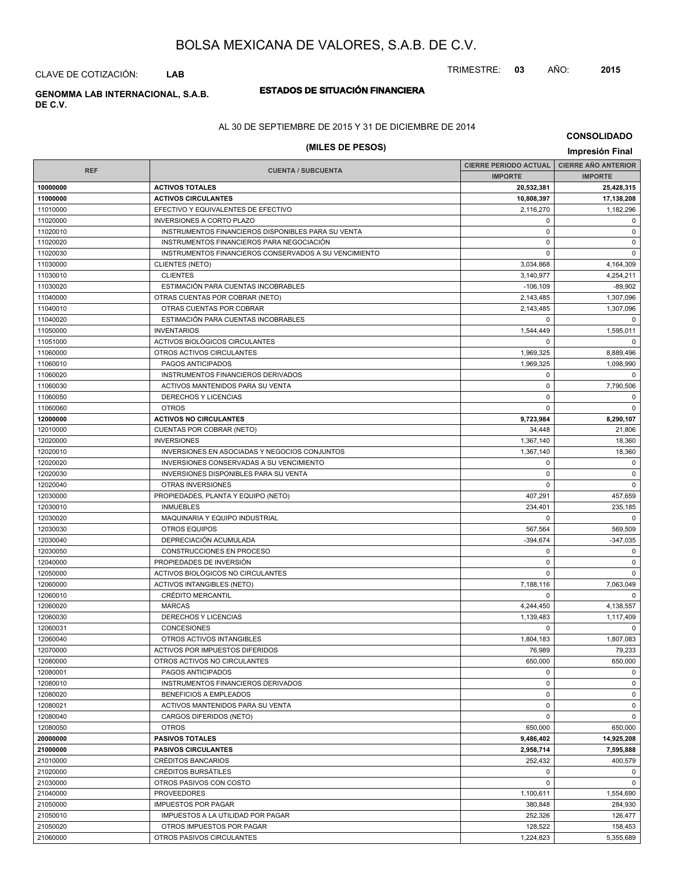TRIMESTRE: **03** AÑO: **2015**

CLAVE DE COTIZACIÓN: **LAB**

# **DE C.V.**

## **ESTADOS DE SITUACIÓN FINANCIERA GENOMMA LAB INTERNACIONAL, S.A.B.**

### AL 30 DE SEPTIEMBRE DE 2015 Y 31 DE DICIEMBRE DE 2014

## **(MILES DE PESOS) Impresión Final**

**CONSOLIDADO**

|            |                                                       | CIERRE PERIODO ACTUAL   CIERRE AÑO ANTERIOR |                |
|------------|-------------------------------------------------------|---------------------------------------------|----------------|
| <b>REF</b> | <b>CUENTA / SUBCUENTA</b>                             | <b>IMPORTE</b>                              | <b>IMPORTE</b> |
| 10000000   | <b>ACTIVOS TOTALES</b>                                | 20,532,381                                  | 25,428,315     |
| 11000000   | <b>ACTIVOS CIRCULANTES</b>                            | 10,808,397                                  | 17,138,208     |
| 11010000   | EFECTIVO Y EQUIVALENTES DE EFECTIVO                   |                                             | 1,182,296      |
| 11020000   | <b>INVERSIONES A CORTO PLAZO</b>                      | 2,116,270<br>$\mathbf 0$                    | $\mathbf 0$    |
| 11020010   | INSTRUMENTOS FINANCIEROS DISPONIBLES PARA SU VENTA    | $\mathbf 0$                                 | $\mathbf 0$    |
| 11020020   | INSTRUMENTOS FINANCIEROS PARA NEGOCIACIÓN             | 0                                           | $\mathbf 0$    |
| 11020030   | INSTRUMENTOS FINANCIEROS CONSERVADOS A SU VENCIMIENTO | $\mathbf 0$                                 | $\mathbf 0$    |
| 11030000   | <b>CLIENTES (NETO)</b>                                | 3,034,868                                   | 4,164,309      |
| 11030010   | <b>CLIENTES</b>                                       | 3,140,977                                   | 4,254,211      |
| 11030020   | ESTIMACIÓN PARA CUENTAS INCOBRABLES                   | $-106, 109$                                 | $-89,902$      |
| 11040000   | OTRAS CUENTAS POR COBRAR (NETO)                       | 2,143,485                                   | 1,307,096      |
| 11040010   | OTRAS CUENTAS POR COBRAR                              | 2,143,485                                   | 1,307,096      |
| 11040020   | ESTIMACIÓN PARA CUENTAS INCOBRABLES                   | $\mathbf 0$                                 | $\mathbf 0$    |
| 11050000   | <b>INVENTARIOS</b>                                    | 1,544,449                                   | 1,595,011      |
| 11051000   | ACTIVOS BIOLÓGICOS CIRCULANTES                        | $\Omega$                                    | $\mathbf 0$    |
| 11060000   | OTROS ACTIVOS CIRCULANTES                             | 1,969,325                                   | 8,889,496      |
| 11060010   | PAGOS ANTICIPADOS                                     | 1,969,325                                   | 1,098,990      |
| 11060020   | INSTRUMENTOS FINANCIEROS DERIVADOS                    | 0                                           | $\mathbf 0$    |
| 11060030   | ACTIVOS MANTENIDOS PARA SU VENTA                      | $\mathbf 0$                                 | 7,790,506      |
| 11060050   | DERECHOS Y LICENCIAS                                  | $\mathbf 0$                                 | $\mathbf 0$    |
| 11060060   | <b>OTROS</b>                                          | 0                                           | $\mathbf 0$    |
| 12000000   | <b>ACTIVOS NO CIRCULANTES</b>                         | 9,723,984                                   | 8,290,107      |
| 12010000   | <b>CUENTAS POR COBRAR (NETO)</b>                      | 34,448                                      | 21,806         |
| 12020000   | <b>INVERSIONES</b>                                    | 1,367,140                                   | 18,360         |
| 12020010   | INVERSIONES EN ASOCIADAS Y NEGOCIOS CONJUNTOS         | 1,367,140                                   | 18,360         |
| 12020020   | INVERSIONES CONSERVADAS A SU VENCIMIENTO              | 0                                           | $\mathbf 0$    |
| 12020030   | <b>INVERSIONES DISPONIBLES PARA SU VENTA</b>          | 0                                           | $\mathbf 0$    |
| 12020040   | OTRAS INVERSIONES                                     | $\Omega$                                    | $\mathbf 0$    |
| 12030000   | PROPIEDADES, PLANTA Y EQUIPO (NETO)                   | 407,291                                     | 457,659        |
| 12030010   | <b>INMUEBLES</b>                                      | 234,401                                     | 235,185        |
| 12030020   | MAQUINARIA Y EQUIPO INDUSTRIAL                        | $\mathbf 0$                                 | $\mathbf 0$    |
| 12030030   | <b>OTROS EQUIPOS</b>                                  | 567,564                                     | 569,509        |
| 12030040   | DEPRECIACIÓN ACUMULADA                                | $-394,674$                                  | $-347,035$     |
| 12030050   | CONSTRUCCIONES EN PROCESO                             | 0                                           | $\mathbf 0$    |
| 12040000   | PROPIEDADES DE INVERSIÓN                              | $\mathbf 0$                                 | $\mathbf 0$    |
| 12050000   | ACTIVOS BIOLÓGICOS NO CIRCULANTES                     | 0                                           | $\mathbf 0$    |
| 12060000   | <b>ACTIVOS INTANGIBLES (NETO)</b>                     | 7,188,116                                   | 7,063,049      |
| 12060010   | CRÉDITO MERCANTIL                                     | $\mathbf 0$                                 | $\mathbf 0$    |
| 12060020   | <b>MARCAS</b>                                         | 4,244,450                                   | 4,138,557      |
| 12060030   | DERECHOS Y LICENCIAS                                  | 1,139,483                                   | 1,117,409      |
| 12060031   | <b>CONCESIONES</b>                                    | $\mathbf 0$                                 | $\mathbf 0$    |
| 12060040   | OTROS ACTIVOS INTANGIBLES                             | 1,804,183                                   | 1,807,083      |
| 12070000   | ACTIVOS POR IMPUESTOS DIFERIDOS                       | 76,989                                      | 79,233         |
| 12080000   | OTROS ACTIVOS NO CIRCULANTES                          | 650,000                                     | 650,000        |
| 12080001   | PAGOS ANTICIPADOS                                     | 0                                           | $\mathbf 0$    |
| 12080010   | INSTRUMENTOS FINANCIEROS DERIVADOS                    | $\pmb{0}$                                   | $\mathbf 0$    |
| 12080020   | BENEFICIOS A EMPLEADOS                                | 0                                           | $\mathbf 0$    |
| 12080021   | ACTIVOS MANTENIDOS PARA SU VENTA                      | 0                                           | $\mathbf 0$    |
| 12080040   | CARGOS DIFERIDOS (NETO)                               | $\mathbf 0$                                 | $\mathbf 0$    |
| 12080050   | <b>OTROS</b>                                          | 650,000                                     | 650,000        |
| 20000000   | <b>PASIVOS TOTALES</b>                                | 9,486,402                                   | 14,925,208     |
| 21000000   | <b>PASIVOS CIRCULANTES</b>                            | 2,958,714                                   | 7,595,888      |
| 21010000   | CRÉDITOS BANCARIOS                                    | 252,432                                     | 400,579        |
| 21020000   | CRÉDITOS BURSÁTILES                                   | 0                                           | $\mathbf 0$    |
| 21030000   | OTROS PASIVOS CON COSTO                               | $\mathbf 0$                                 | $\Omega$       |
| 21040000   | <b>PROVEEDORES</b>                                    | 1,100,611                                   | 1,554,690      |
| 21050000   | <b>IMPUESTOS POR PAGAR</b>                            | 380,848                                     | 284,930        |
| 21050010   | IMPUESTOS A LA UTILIDAD POR PAGAR                     | 252,326                                     | 126,477        |
| 21050020   | OTROS IMPUESTOS POR PAGAR                             | 128,522                                     | 158,453        |
| 21060000   | OTROS PASIVOS CIRCULANTES                             | 1,224,823                                   | 5,355,689      |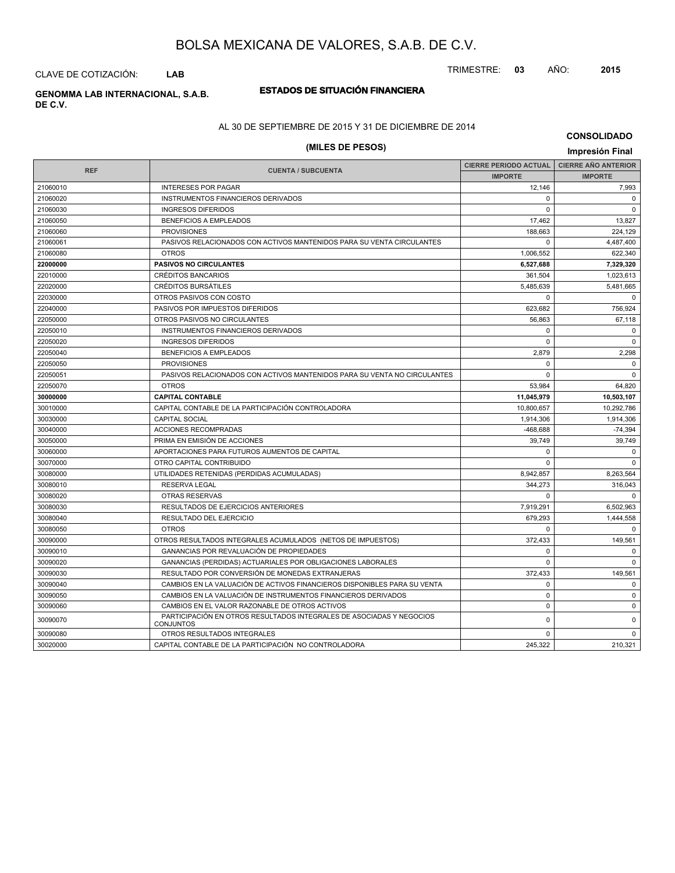CLAVE DE COTIZACIÓN: **LAB**

# **DE C.V.**

## **ESTADOS DE SITUACIÓN FINANCIERA GENOMMA LAB INTERNACIONAL, S.A.B.**

### AL 30 DE SEPTIEMBRE DE 2015 Y 31 DE DICIEMBRE DE 2014

# **(MILES DE PESOS) Impresión Final**

**CONSOLIDADO**

| <b>REF</b> |                                                                                          | <b>CIERRE PERIODO ACTUAL</b> | <b>CIERRE AÑO ANTERIOR</b> |
|------------|------------------------------------------------------------------------------------------|------------------------------|----------------------------|
|            | <b>CUENTA / SUBCUENTA</b>                                                                | <b>IMPORTE</b>               | <b>IMPORTE</b>             |
| 21060010   | <b>INTERESES POR PAGAR</b>                                                               | 12,146                       | 7,993                      |
| 21060020   | INSTRUMENTOS FINANCIEROS DERIVADOS                                                       | $\Omega$                     | $\mathbf 0$                |
| 21060030   | <b>INGRESOS DIFERIDOS</b>                                                                | $\Omega$                     | $\Omega$                   |
| 21060050   | BENEFICIOS A EMPLEADOS                                                                   | 17.462                       | 13,827                     |
| 21060060   | <b>PROVISIONES</b>                                                                       | 188,663                      | 224,129                    |
| 21060061   | PASIVOS RELACIONADOS CON ACTIVOS MANTENIDOS PARA SU VENTA CIRCULANTES                    | $\Omega$                     | 4,487,400                  |
| 21060080   | <b>OTROS</b>                                                                             | 1.006.552                    | 622.340                    |
| 22000000   | <b>PASIVOS NO CIRCULANTES</b>                                                            | 6,527,688                    | 7,329,320                  |
| 22010000   | <b>CRÉDITOS BANCARIOS</b>                                                                | 361,504                      | 1,023,613                  |
| 22020000   | CRÉDITOS BURSÁTILES                                                                      | 5.485.639                    | 5,481,665                  |
| 22030000   | OTROS PASIVOS CON COSTO                                                                  | $\Omega$                     | $\Omega$                   |
| 22040000   | PASIVOS POR IMPUESTOS DIFERIDOS                                                          | 623,682                      | 756,924                    |
| 22050000   | OTROS PASIVOS NO CIRCULANTES                                                             | 56.863                       | 67,118                     |
| 22050010   | INSTRUMENTOS FINANCIEROS DERIVADOS                                                       | $\Omega$                     | $\mathbf 0$                |
| 22050020   | <b>INGRESOS DIFERIDOS</b>                                                                | 0                            | $\mathbf 0$                |
| 22050040   | BENEFICIOS A EMPLEADOS                                                                   | 2.879                        | 2,298                      |
| 22050050   | <b>PROVISIONES</b>                                                                       | $\Omega$                     | $\Omega$                   |
| 22050051   | PASIVOS RELACIONADOS CON ACTIVOS MANTENIDOS PARA SU VENTA NO CIRCULANTES                 | $\Omega$                     | $\Omega$                   |
| 22050070   | <b>OTROS</b>                                                                             | 53,984                       | 64,820                     |
| 30000000   | <b>CAPITAL CONTABLE</b>                                                                  | 11,045,979                   | 10,503,107                 |
| 30010000   | CAPITAL CONTABLE DE LA PARTICIPACIÓN CONTROLADORA                                        | 10,800,657                   | 10,292,786                 |
| 30030000   | <b>CAPITAL SOCIAL</b>                                                                    | 1,914,306                    | 1,914,306                  |
| 30040000   | <b>ACCIONES RECOMPRADAS</b>                                                              | -468,688                     | $-74,394$                  |
| 30050000   | PRIMA EN EMISIÓN DE ACCIONES                                                             | 39,749                       | 39,749                     |
| 30060000   | APORTACIONES PARA FUTUROS AUMENTOS DE CAPITAL                                            | $\Omega$                     | $\Omega$                   |
| 30070000   | OTRO CAPITAL CONTRIBUIDO                                                                 | $\Omega$                     | $\Omega$                   |
| 30080000   | UTILIDADES RETENIDAS (PERDIDAS ACUMULADAS)                                               | 8.942.857                    | 8,263,564                  |
| 30080010   | <b>RESERVA LEGAL</b>                                                                     | 344,273                      | 316,043                    |
| 30080020   | <b>OTRAS RESERVAS</b>                                                                    | $\Omega$                     | $\Omega$                   |
| 30080030   | RESULTADOS DE EJERCICIOS ANTERIORES                                                      | 7,919,291                    | 6,502,963                  |
| 30080040   | RESULTADO DEL EJERCICIO                                                                  | 679,293                      | 1,444,558                  |
| 30080050   | <b>OTROS</b>                                                                             | $\Omega$                     | $\mathbf 0$                |
| 30090000   | OTROS RESULTADOS INTEGRALES ACUMULADOS (NETOS DE IMPUESTOS)                              | 372,433                      | 149,561                    |
| 30090010   | GANANCIAS POR REVALUACIÓN DE PROPIEDADES                                                 | $\Omega$                     | $\mathbf 0$                |
| 30090020   | GANANCIAS (PERDIDAS) ACTUARIALES POR OBLIGACIONES LABORALES                              | $\Omega$                     | $\Omega$                   |
| 30090030   | RESULTADO POR CONVERSIÓN DE MONEDAS EXTRANJERAS                                          | 372,433                      | 149,561                    |
| 30090040   | CAMBIOS EN LA VALUACIÓN DE ACTIVOS FINANCIEROS DISPONIBLES PARA SU VENTA                 | $\Omega$                     | $\mathbf 0$                |
| 30090050   | CAMBIOS EN LA VALUACIÓN DE INSTRUMENTOS FINANCIEROS DERIVADOS                            | $\mathbf 0$                  | $\mathbf 0$                |
| 30090060   | CAMBIOS EN EL VALOR RAZONABLE DE OTROS ACTIVOS                                           | $\mathbf 0$                  | $\mathbf 0$                |
| 30090070   | PARTICIPACIÓN EN OTROS RESULTADOS INTEGRALES DE ASOCIADAS Y NEGOCIOS<br><b>CONJUNTOS</b> | $\mathbf 0$                  | $\mathbf 0$                |
| 30090080   | OTROS RESULTADOS INTEGRALES                                                              | 0                            | $\mathbf 0$                |
| 30020000   | CAPITAL CONTABLE DE LA PARTICIPACIÓN NO CONTROLADORA                                     | 245,322                      | 210,321                    |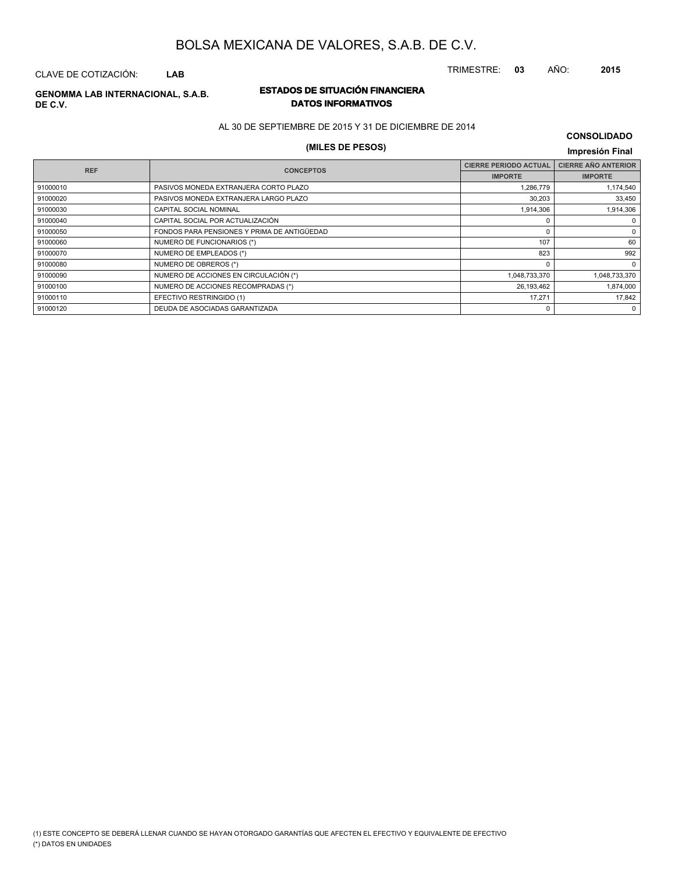CLAVE DE COTIZACIÓN: **LAB**

### **ESTADOS DE SITUACIÓN FINANCIERA GENOMMA LAB INTERNACIONAL, S.A.B. DE C.V.**

# **DATOS INFORMATIVOS**

AL 30 DE SEPTIEMBRE DE 2015 Y 31 DE DICIEMBRE DE 2014

## **(MILES DE PESOS) Impresión Final**

| <b>CONSOLIDADO</b> |  |
|--------------------|--|
|--------------------|--|

| <b>REF</b> | <b>CONCEPTOS</b>                            | <b>CIERRE PERIODO ACTUAL</b> | <b>CIERRE AÑO ANTERIOR</b> |
|------------|---------------------------------------------|------------------------------|----------------------------|
|            |                                             | <b>IMPORTE</b>               | <b>IMPORTE</b>             |
| 91000010   | PASIVOS MONEDA EXTRANJERA CORTO PLAZO       | 1,286,779                    | 1,174,540                  |
| 91000020   | PASIVOS MONEDA EXTRANJERA LARGO PLAZO       | 30,203                       | 33,450                     |
| 91000030   | CAPITAL SOCIAL NOMINAL                      | 1,914,306                    | 1,914,306                  |
| 91000040   | CAPITAL SOCIAL POR ACTUALIZACIÓN            |                              | 0                          |
| 91000050   | FONDOS PARA PENSIONES Y PRIMA DE ANTIGÜEDAD |                              | 0                          |
| 91000060   | NUMERO DE FUNCIONARIOS (*)                  | 107                          | 60                         |
| 91000070   | NUMERO DE EMPLEADOS (*)                     | 823                          | 992                        |
| 91000080   | NUMERO DE OBREROS (*)                       |                              | $\mathbf 0$                |
| 91000090   | NUMERO DE ACCIONES EN CIRCULACIÓN (*)       | 1,048,733,370                | 1,048,733,370              |
| 91000100   | NUMERO DE ACCIONES RECOMPRADAS (*)          | 26,193,462                   | 1,874,000                  |
| 91000110   | EFECTIVO RESTRINGIDO (1)                    | 17,271                       | 17.842                     |
| 91000120   | DEUDA DE ASOCIADAS GARANTIZADA              |                              | $\mathbf 0$                |

TRIMESTRE: **03** AÑO: **2015**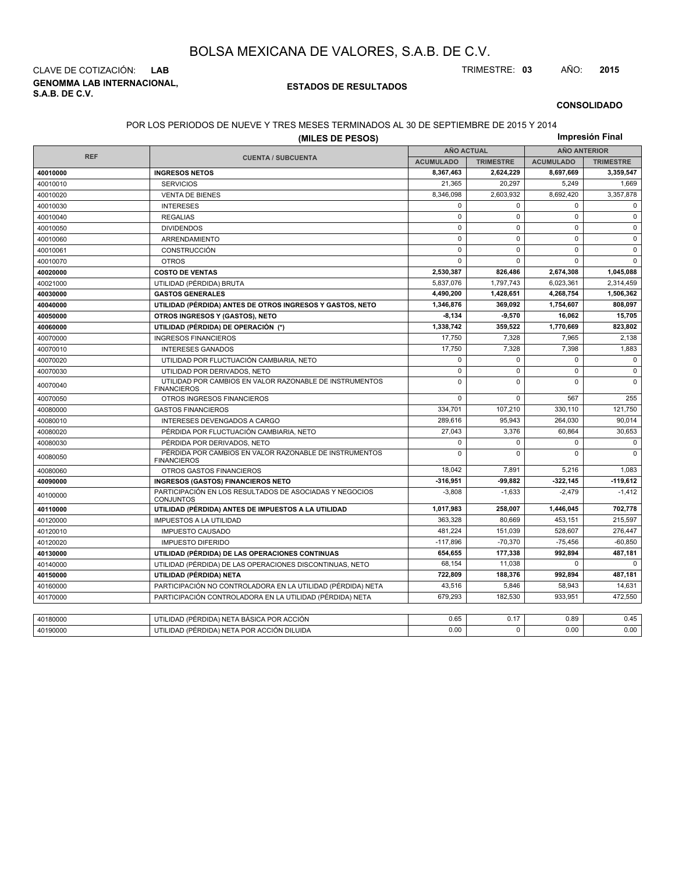**GENOMMA LAB INTERNACIONAL, S.A.B. DE C.V.** CLAVE DE COTIZACIÓN: **LAB** TRIMESTRE: **03** AÑO: **2015**

#### **ESTADOS DE RESULTADOS**

#### **CONSOLIDADO**

### POR LOS PERIODOS DE NUEVE Y TRES MESES TERMINADOS AL 30 DE SEPTIEMBRE DE 2015 Y 2014

| Impresión Final<br>(MILES DE PESOS) |                                                                               |                  |                                          |                  |                  |
|-------------------------------------|-------------------------------------------------------------------------------|------------------|------------------------------------------|------------------|------------------|
|                                     |                                                                               |                  | <b>AÑO ANTERIOR</b><br><b>AÑO ACTUAL</b> |                  |                  |
| <b>REF</b>                          | <b>CUENTA / SUBCUENTA</b>                                                     | <b>ACUMULADO</b> | <b>TRIMESTRE</b>                         | <b>ACUMULADO</b> | <b>TRIMESTRE</b> |
| 40010000                            | <b>INGRESOS NETOS</b>                                                         | 8,367,463        | 2,624,229                                | 8,697,669        | 3,359,547        |
| 40010010                            | <b>SERVICIOS</b>                                                              | 21.365           | 20,297                                   | 5,249            | 1,669            |
| 40010020                            | <b>VENTA DE BIENES</b>                                                        | 8,346,098        | 2,603,932                                | 8,692,420        | 3,357,878        |
| 40010030                            | <b>INTERESES</b>                                                              | $\mathbf 0$      | $\Omega$                                 | $\Omega$         | $\mathbf 0$      |
| 40010040                            | <b>REGALIAS</b>                                                               | $\mathbf 0$      | $\mathbf 0$                              | $\mathbf 0$      | $\mathbf{0}$     |
| 40010050                            | <b>DIVIDENDOS</b>                                                             | $\mathsf 0$      | $\mathbf 0$                              | $\mathbf 0$      | $\pmb{0}$        |
| 40010060                            | ARRENDAMIENTO                                                                 | $\mathbf 0$      | $\mathbf 0$                              | $\mathbf 0$      | $\mathbf{0}$     |
| 40010061                            | CONSTRUCCIÓN                                                                  | $\mathbf 0$      | $\Omega$                                 | $\Omega$         | $\mathbf{0}$     |
| 40010070                            | <b>OTROS</b>                                                                  | $\mathbf 0$      | $\mathbf 0$                              | $\mathbf 0$      | $\mathbf 0$      |
| 40020000                            | <b>COSTO DE VENTAS</b>                                                        | 2,530,387        | 826.486                                  | 2,674,308        | 1,045,088        |
| 40021000                            | UTILIDAD (PÉRDIDA) BRUTA                                                      | 5,837,076        | 1,797,743                                | 6,023,361        | 2,314,459        |
| 40030000                            | <b>GASTOS GENERALES</b>                                                       | 4,490,200        | 1,428,651                                | 4,268,754        | 1,506,362        |
| 40040000                            | UTILIDAD (PÉRDIDA) ANTES DE OTROS INGRESOS Y GASTOS, NETO                     | 1.346.876        | 369.092                                  | 1,754,607        | 808,097          |
| 40050000                            | OTROS INGRESOS Y (GASTOS), NETO                                               | $-8,134$         | 9,570                                    | 16,062           | 15,705           |
| 40060000                            | UTILIDAD (PÉRDIDA) DE OPERACIÓN (*)                                           | 1,338,742        | 359,522                                  | 1,770,669        | 823,802          |
| 40070000                            | <b>INGRESOS FINANCIEROS</b>                                                   | 17,750           | 7,328                                    | 7,965            | 2,138            |
| 40070010                            | <b>INTERESES GANADOS</b>                                                      | 17,750           | 7,328                                    | 7,398            | 1,883            |
| 40070020                            | UTILIDAD POR FLUCTUACIÓN CAMBIARIA, NETO                                      | 0                | $\mathbf 0$                              | 0                | $\mathbf 0$      |
| 40070030                            | UTILIDAD POR DERIVADOS, NETO                                                  | $\mathsf 0$      | $\Omega$                                 | 0                | $\mathbf 0$      |
| 40070040                            | UTILIDAD POR CAMBIOS EN VALOR RAZONABLE DE INSTRUMENTOS<br><b>FINANCIEROS</b> | $\mathbf 0$      | $\Omega$                                 | $\Omega$         | $\Omega$         |
| 40070050                            | OTROS INGRESOS FINANCIEROS                                                    | $\mathbf 0$      | $\mathbf 0$                              | 567              | 255              |
| 40080000                            | <b>GASTOS FINANCIEROS</b>                                                     | 334,701          | 107,210                                  | 330,110          | 121,750          |
| 40080010                            | INTERESES DEVENGADOS A CARGO                                                  | 289,616          | 95,943                                   | 264,030          | 90,014           |
| 40080020                            | PÉRDIDA POR FLUCTUACIÓN CAMBIARIA, NETO                                       | 27,043           | 3,376                                    | 60,864           | 30,653           |
| 40080030                            | PÉRDIDA POR DERIVADOS, NETO                                                   | 0                | $\mathbf 0$                              | $\mathbf 0$      | 0                |
| 40080050                            | PÉRDIDA POR CAMBIOS EN VALOR RAZONABLE DE INSTRUMENTOS<br><b>FINANCIEROS</b>  | $\mathbf 0$      | $\mathbf 0$                              | $\mathbf 0$      | $\mathbf{0}$     |
| 40080060                            | OTROS GASTOS FINANCIEROS                                                      | 18,042           | 7,891                                    | 5,216            | 1,083            |
| 40090000                            | <b>INGRESOS (GASTOS) FINANCIEROS NETO</b>                                     | $-316,951$       | $-99.882$                                | 322,145          | $-119,612$       |
| 40100000                            | PARTICIPACIÓN EN LOS RESULTADOS DE ASOCIADAS Y NEGOCIOS<br><b>CONJUNTOS</b>   | $-3,808$         | $-1,633$                                 | $-2,479$         | $-1,412$         |
| 40110000                            | UTILIDAD (PÉRDIDA) ANTES DE IMPUESTOS A LA UTILIDAD                           | 1,017,983        | 258,007                                  | 1,446,045        | 702,778          |
| 40120000                            | <b>IMPUESTOS A LA UTILIDAD</b>                                                | 363,328          | 80,669                                   | 453,151          | 215,597          |
| 40120010                            | <b>IMPUESTO CAUSADO</b>                                                       | 481,224          | 151,039                                  | 528,607          | 276,447          |
| 40120020                            | <b>IMPUESTO DIFERIDO</b>                                                      | $-117,896$       | $-70,370$                                | $-75,456$        | $-60,850$        |
| 40130000                            | UTILIDAD (PÉRDIDA) DE LAS OPERACIONES CONTINUAS                               | 654,655          | 177,338                                  | 992,894          | 487,181          |
| 40140000                            | UTILIDAD (PÉRDIDA) DE LAS OPERACIONES DISCONTINUAS, NETO                      | 68,154           | 11,038                                   | $\Omega$         | $\Omega$         |
| 40150000                            | UTILIDAD (PÉRDIDA) NETA                                                       | 722,809          | 188,376                                  | 992,894          | 487,181          |
| 40160000                            | PARTICIPACIÓN NO CONTROLADORA EN LA UTILIDAD (PÉRDIDA) NETA                   | 43,516           | 5,846                                    | 58,943           | 14,631           |
| 40170000                            | PARTICIPACIÓN CONTROLADORA EN LA UTILIDAD (PÉRDIDA) NETA                      | 679,293          | 182,530                                  | 933.951          | 472.550          |
|                                     |                                                                               |                  |                                          |                  |                  |
| 40180000                            | UTILIDAD (PÉRDIDA) NETA BÁSICA POR ACCIÓN                                     | 0.65             | 0.17                                     | 0.89             | 0.45             |
| 40190000                            | UTILIDAD (PÉRDIDA) NETA POR ACCIÓN DILUIDA                                    | 0.00             | $\Omega$                                 | 0.00             | 0.00             |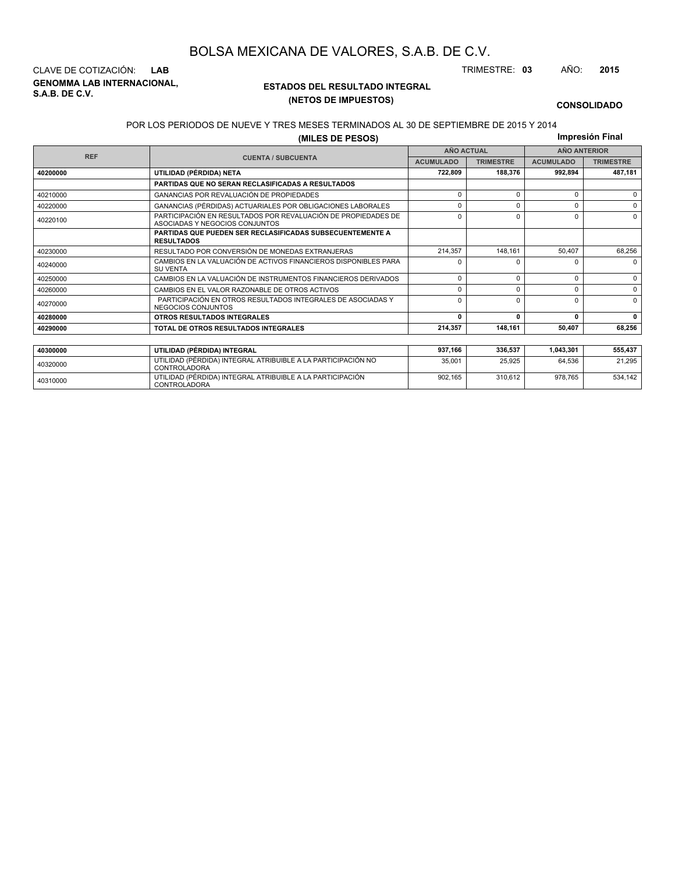**GENOMMA LAB INTERNACIONAL, S.A.B. DE C.V.** CLAVE DE COTIZACIÓN: **LAB** TRIMESTRE: **03** AÑO: **2015**

<sup>40310000</sup> UTILIDAD (PÉRDIDA) INTEGRAL ATRIBUIBLE A LA PARTICIPACIÓN CONTROLADORA

### **ESTADOS DEL RESULTADO INTEGRAL (NETOS DE IMPUESTOS)**

902,165 310,612 978,765 534,142

#### **CONSOLIDADO**

#### POR LOS PERIODOS DE NUEVE Y TRES MESES TERMINADOS AL 30 DE SEPTIEMBRE DE 2015 Y 2014

**(MILES DE PESOS)**

**Impresión Final**

| <b>REF</b> |                                                                                                 | <b>AÑO ACTUAL</b> |                  | <b>AÑO ANTERIOR</b> |                  |  |
|------------|-------------------------------------------------------------------------------------------------|-------------------|------------------|---------------------|------------------|--|
|            | <b>CUENTA / SUBCUENTA</b>                                                                       | <b>ACUMULADO</b>  | <b>TRIMESTRE</b> | <b>ACUMULADO</b>    | <b>TRIMESTRE</b> |  |
| 40200000   | UTILIDAD (PÉRDIDA) NETA                                                                         | 722.809           | 188,376          | 992,894             | 487,181          |  |
|            | <b>PARTIDAS QUE NO SERAN RECLASIFICADAS A RESULTADOS</b>                                        |                   |                  |                     |                  |  |
| 40210000   | <b>GANANCIAS POR REVALUACIÓN DE PROPIEDADES</b>                                                 | $\Omega$          | $\Omega$         | $\Omega$            | $\Omega$         |  |
| 40220000   | GANANCIAS (PÉRDIDAS) ACTUARIALES POR OBLIGACIONES LABORALES                                     | 0                 | n                | $\Omega$            | $\Omega$         |  |
| 40220100   | PARTICIPACIÓN EN RESULTADOS POR REVALUACIÓN DE PROPIEDADES DE<br>ASOCIADAS Y NEGOCIOS CONJUNTOS | 0                 | $\Omega$         | $\Omega$            | $\Omega$         |  |
|            | <b>PARTIDAS QUE PUEDEN SER RECLASIFICADAS SUBSECUENTEMENTE A</b><br><b>RESULTADOS</b>           |                   |                  |                     |                  |  |
| 40230000   | RESULTADO POR CONVERSIÓN DE MONEDAS EXTRANJERAS                                                 | 214.357           | 148.161          | 50.407              | 68,256           |  |
| 40240000   | CAMBIOS EN LA VALUACIÓN DE ACTIVOS FINANCIEROS DISPONIBLES PARA<br><b>SU VENTA</b>              | <sup>0</sup>      |                  | <sup>0</sup>        | $\Omega$         |  |
| 40250000   | CAMBIOS EN LA VALUACIÓN DE INSTRUMENTOS FINANCIEROS DERIVADOS                                   | 0                 | $\Omega$         | $\Omega$            | $\Omega$         |  |
| 40260000   | CAMBIOS EN EL VALOR RAZONABLE DE OTROS ACTIVOS                                                  | 0                 | $\Omega$         | $\Omega$            | $\Omega$         |  |
| 40270000   | PARTICIPACIÓN EN OTROS RESULTADOS INTEGRALES DE ASOCIADAS Y<br>NEGOCIOS CONJUNTOS               | 0                 | $\Omega$         | $\Omega$            | $\Omega$         |  |
| 40280000   | <b>OTROS RESULTADOS INTEGRALES</b>                                                              | 0                 | $\mathbf{r}$     | 0                   | $\mathbf{0}$     |  |
| 40290000   | TOTAL DE OTROS RESULTADOS INTEGRALES                                                            | 214.357           | 148.161          | 50.407              | 68,256           |  |
|            |                                                                                                 |                   |                  |                     |                  |  |
| 40300000   | UTILIDAD (PÉRDIDA) INTEGRAL                                                                     | 937,166           | 336,537          | 1,043,301           | 555,437          |  |
| 40320000   | UTILIDAD (PÉRDIDA) INTEGRAL ATRIBUIBLE A LA PARTICIPACIÓN NO<br><b>CONTROLADORA</b>             | 35,001            | 25,925           | 64,536              | 21,295           |  |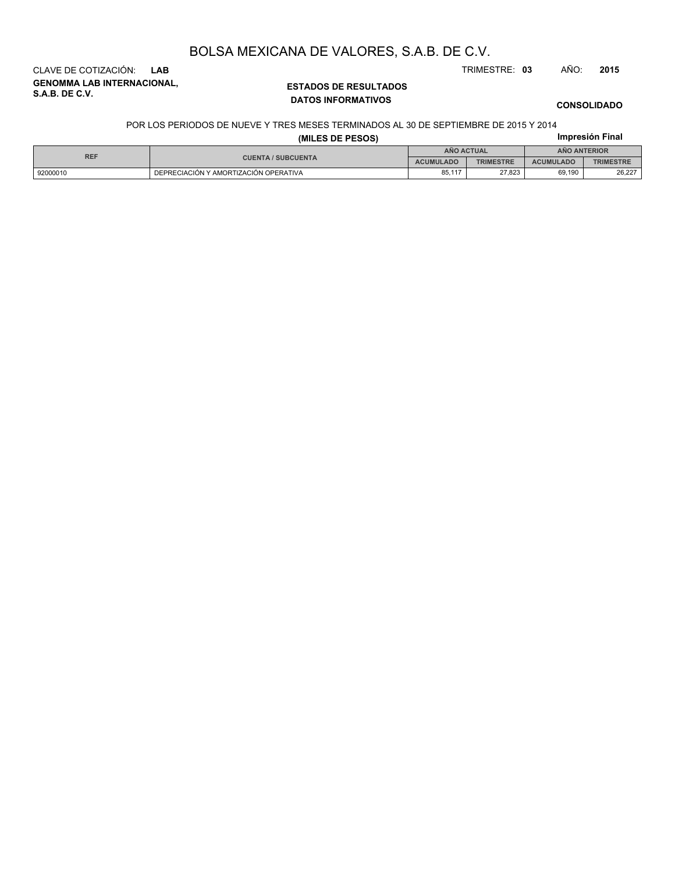CLAVE DE COTIZACIÓN: **LAB** TRIMESTRE: **03** AÑO: **2015**

**GENOMMA LAB INTERNACIONAL, S.A.B. DE C.V.**

### **ESTADOS DE RESULTADOS DATOS INFORMATIVOS**

### **CONSOLIDADO**

#### POR LOS PERIODOS DE NUEVE Y TRES MESES TERMINADOS AL 30 DE SEPTIEMBRE DE 2015 Y 2014

| (MILES DE PESOS) |                                       |                                          |                  | Impresión Final  |                  |  |
|------------------|---------------------------------------|------------------------------------------|------------------|------------------|------------------|--|
|                  |                                       | <b>AÑO ACTUAL</b><br><b>ANO ANTERIOR</b> |                  |                  |                  |  |
| <b>REF</b>       | <b>CUENTA / SUBCUENTA</b>             | <b>ACUMULADO</b>                         | <b>TRIMESTRE</b> | <b>ACUMULADO</b> | <b>TRIMESTRE</b> |  |
| 92000010         | DEPRECIACIÓN Y AMORTIZACIÓN OPERATIVA | 85,117                                   | 27.823           | 69.190           | 26,227           |  |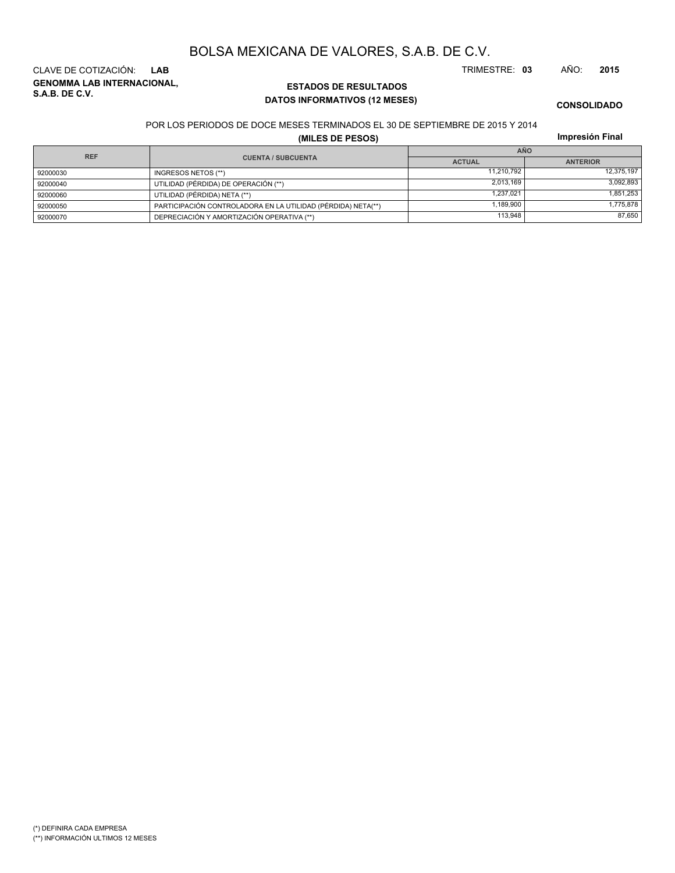**GENOMMA LAB INTERNACIONAL, S.A.B. DE C.V.** CLAVE DE COTIZACIÓN: **LAB** TRIMESTRE: **03** AÑO: **2015**

### **ESTADOS DE RESULTADOS DATOS INFORMATIVOS (12 MESES)**

**CONSOLIDADO**

#### POR LOS PERIODOS DE DOCE MESES TERMINADOS EL 30 DE SEPTIEMBRE DE 2015 Y 2014

**(MILES DE PESOS)**

**Impresión Final**

|                                         |                                                              | <b>AÑO</b>    |                 |  |  |
|-----------------------------------------|--------------------------------------------------------------|---------------|-----------------|--|--|
| <b>REF</b><br><b>CUENTA / SUBCUENTA</b> |                                                              | <b>ACTUAL</b> | <b>ANTERIOR</b> |  |  |
| 92000030                                | INGRESOS NETOS (**)                                          | 11.210.792    | 12,375,197      |  |  |
| 92000040                                | UTILIDAD (PÉRDIDA) DE OPERACIÓN (**)                         | 2.013.169     | 3,092,893       |  |  |
| 92000060                                | UTILIDAD (PÉRDIDA) NETA (**)                                 | 1.237.021     | 1,851,253       |  |  |
| 92000050                                | PARTICIPACIÓN CONTROLADORA EN LA UTILIDAD (PÉRDIDA) NETA(**) | 1.189.900     | 1,775,878       |  |  |
| 92000070                                | DEPRECIACIÓN Y AMORTIZACIÓN OPERATIVA (**)                   | 113.948       | 87,650          |  |  |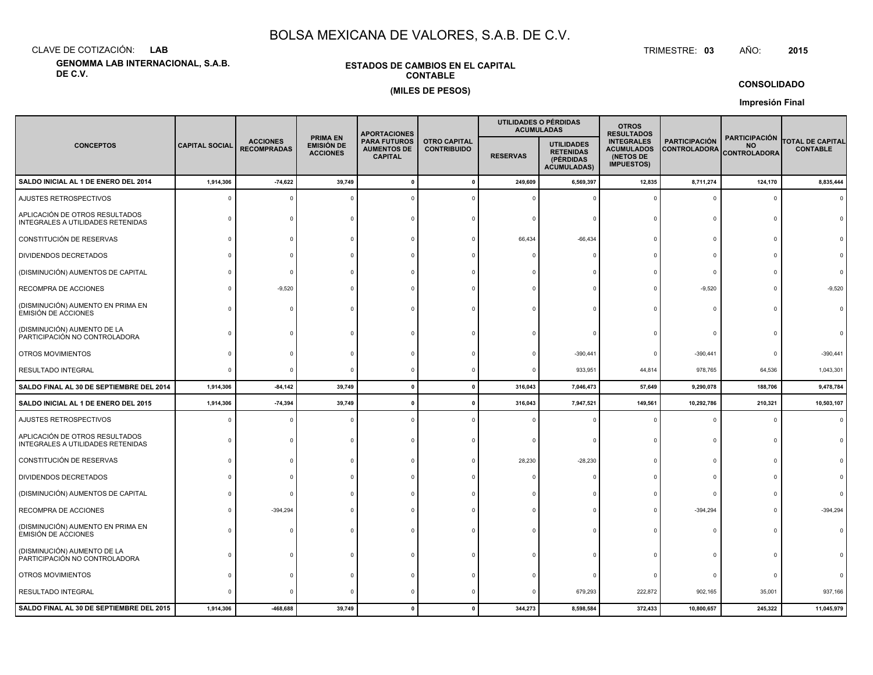CLAVE DE COTIZACIÓN:**LAB**

**GENOMMA LAB INTERNACIONAL, S.A.B. DE C.V.**

### **ESTADOS DE CAMBIOS EN EL CAPITALCONTABLE(MILES DE PESOS)**

 TRIMESTRE:TRIMESTRE: 03 AÑO: **<sup>2015</sup>**

**CONSOLIDADO**

**Impresión Final**

|                                                                     |                       |                                       |                                                         | <b>APORTACIONES</b>                                         |                                           |                 | UTILIDADES O PÉRDIDAS<br><b>ACUMULADAS</b>                               | <b>OTROS</b><br><b>RESULTADOS</b>                                        |                                             |                                                          |                                            |
|---------------------------------------------------------------------|-----------------------|---------------------------------------|---------------------------------------------------------|-------------------------------------------------------------|-------------------------------------------|-----------------|--------------------------------------------------------------------------|--------------------------------------------------------------------------|---------------------------------------------|----------------------------------------------------------|--------------------------------------------|
| <b>CONCEPTOS</b>                                                    | <b>CAPITAL SOCIAL</b> | <b>ACCIONES</b><br><b>RECOMPRADAS</b> | <b>PRIMA EN</b><br><b>EMISIÓN DE</b><br><b>ACCIONES</b> | <b>PARA FUTUROS</b><br><b>AUMENTOS DE</b><br><b>CAPITAL</b> | <b>OTRO CAPITAL</b><br><b>CONTRIBUIDO</b> | <b>RESERVAS</b> | <b>UTILIDADES</b><br><b>RETENIDAS</b><br>(PÉRDIDAS<br><b>ACUMULADAS)</b> | <b>INTEGRALES</b><br><b>ACUMULADOS</b><br>(NETOS DE<br><b>IMPUESTOS)</b> | <b>PARTICIPACIÓN</b><br><b>CONTROLADORA</b> | <b>PARTICIPACIÓN</b><br><b>NO</b><br><b>CONTROLADORA</b> | <b>TOTAL DE CAPITAL</b><br><b>CONTABLE</b> |
| SALDO INICIAL AL 1 DE ENERO DEL 2014                                | 1,914,306             | $-74,622$                             | 39,749                                                  | $\Omega$                                                    |                                           | 249,609         | 6,569,397                                                                | 12,835                                                                   | 8,711,274                                   | 124,170                                                  | 8,835,444                                  |
| AJUSTES RETROSPECTIVOS                                              | $\Omega$              |                                       |                                                         |                                                             |                                           |                 |                                                                          |                                                                          | $\Omega$                                    | $\Omega$                                                 | $\Omega$                                   |
| APLICACIÓN DE OTROS RESULTADOS<br>INTEGRALES A UTILIDADES RETENIDAS |                       |                                       |                                                         |                                                             |                                           |                 |                                                                          |                                                                          | C                                           | $\Omega$                                                 |                                            |
| CONSTITUCIÓN DE RESERVAS                                            |                       |                                       |                                                         |                                                             |                                           | 66,434          | $-66,434$                                                                |                                                                          | $\Omega$                                    | $\cap$                                                   |                                            |
| DIVIDENDOS DECRETADOS                                               |                       |                                       |                                                         |                                                             |                                           |                 |                                                                          |                                                                          | $\Omega$                                    |                                                          |                                            |
| (DISMINUCIÓN) AUMENTOS DE CAPITAL                                   |                       |                                       |                                                         |                                                             |                                           |                 |                                                                          |                                                                          | $\Omega$                                    |                                                          |                                            |
| RECOMPRA DE ACCIONES                                                |                       | $-9,520$                              |                                                         |                                                             |                                           |                 |                                                                          |                                                                          | $-9,520$                                    | $\Omega$                                                 | $-9,520$                                   |
| (DISMINUCIÓN) AUMENTO EN PRIMA EN<br><b>EMISIÓN DE ACCIONES</b>     | <sup>n</sup>          |                                       |                                                         |                                                             |                                           |                 |                                                                          |                                                                          | $\Omega$                                    | $\Omega$                                                 |                                            |
| (DISMINUCIÓN) AUMENTO DE LA<br>PARTICIPACIÓN NO CONTROLADORA        |                       |                                       |                                                         |                                                             |                                           |                 |                                                                          |                                                                          |                                             |                                                          |                                            |
| OTROS MOVIMIENTOS                                                   |                       |                                       |                                                         |                                                             |                                           |                 | $-390,441$                                                               |                                                                          | $-390,441$                                  | $\Omega$                                                 | $-390,441$                                 |
| RESULTADO INTEGRAL                                                  | $\Omega$              |                                       |                                                         |                                                             |                                           |                 | 933,951                                                                  | 44,814                                                                   | 978,765                                     | 64,536                                                   | 1,043,301                                  |
| SALDO FINAL AL 30 DE SEPTIEMBRE DEL 2014                            | 1,914,306             | $-84,142$                             | 39,749                                                  | $\mathbf{0}$                                                |                                           | 316,043         | 7,046,473                                                                | 57,649                                                                   | 9,290,078                                   | 188,706                                                  | 9,478,784                                  |
| SALDO INICIAL AL 1 DE ENERO DEL 2015                                | 1,914,306             | $-74,394$                             | 39,749                                                  | 0                                                           |                                           | 316,043         | 7,947,521                                                                | 149,561                                                                  | 10,292,786                                  | 210,321                                                  | 10,503,107                                 |
| AJUSTES RETROSPECTIVOS                                              | $\Omega$              |                                       |                                                         |                                                             |                                           |                 |                                                                          |                                                                          | $\Omega$                                    | $\Omega$                                                 |                                            |
| APLICACIÓN DE OTROS RESULTADOS<br>INTEGRALES A UTILIDADES RETENIDAS |                       |                                       |                                                         |                                                             |                                           |                 |                                                                          |                                                                          | $\Omega$                                    | $\Omega$                                                 |                                            |
| CONSTITUCIÓN DE RESERVAS                                            |                       |                                       |                                                         |                                                             |                                           | 28,230          | $-28,230$                                                                |                                                                          | $\Omega$                                    |                                                          |                                            |
| DIVIDENDOS DECRETADOS                                               |                       |                                       |                                                         |                                                             |                                           |                 |                                                                          |                                                                          | $\Omega$                                    |                                                          |                                            |
| (DISMINUCIÓN) AUMENTOS DE CAPITAL                                   |                       |                                       |                                                         |                                                             |                                           |                 |                                                                          |                                                                          | $\Omega$                                    |                                                          |                                            |
| RECOMPRA DE ACCIONES                                                |                       | $-394,294$                            |                                                         |                                                             |                                           |                 |                                                                          |                                                                          | $-394,294$                                  |                                                          | -394,294                                   |
| (DISMINUCIÓN) AUMENTO EN PRIMA EN<br><b>EMISIÓN DE ACCIONES</b>     |                       |                                       |                                                         |                                                             |                                           |                 |                                                                          |                                                                          |                                             | $\Omega$                                                 |                                            |
| (DISMINUCIÓN) AUMENTO DE LA<br>PARTICIPACIÓN NO CONTROLADORA        |                       |                                       |                                                         |                                                             |                                           |                 |                                                                          |                                                                          | $\Omega$                                    | $\Omega$                                                 |                                            |
| OTROS MOVIMIENTOS                                                   |                       |                                       |                                                         |                                                             |                                           |                 |                                                                          |                                                                          | $^{\circ}$                                  | $\Omega$                                                 |                                            |
| RESULTADO INTEGRAL                                                  |                       |                                       |                                                         |                                                             |                                           |                 | 679,293                                                                  | 222,872                                                                  | 902,165                                     | 35,001                                                   | 937,166                                    |
| SALDO FINAL AL 30 DE SEPTIEMBRE DEL 2015                            | 1,914,306             | -468,688                              | 39,749                                                  | $\Omega$                                                    |                                           | 344,273         | 8,598,584                                                                | 372,433                                                                  | 10,800,657                                  | 245,322                                                  | 11,045,979                                 |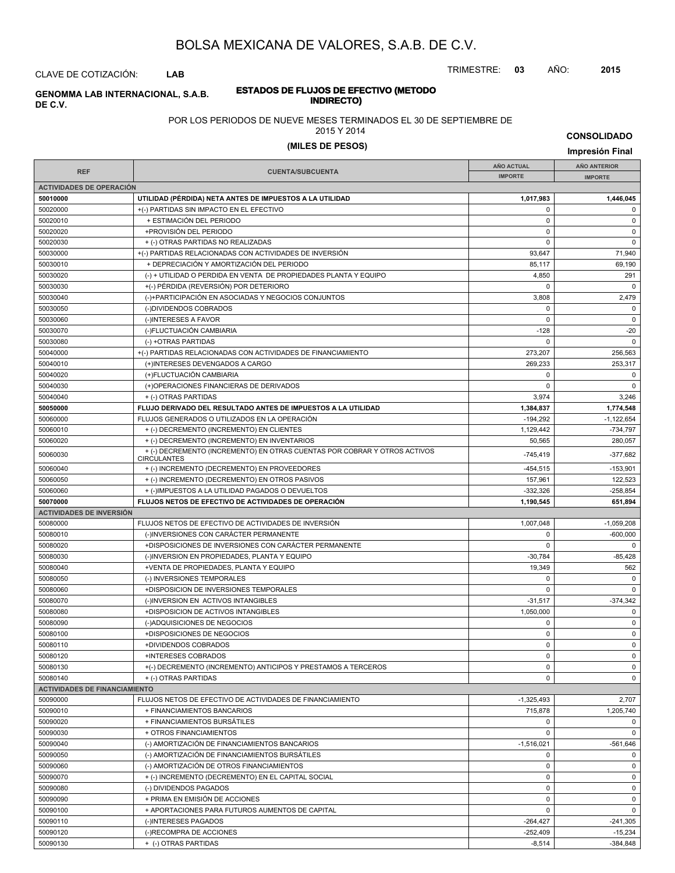TRIMESTRE: **03** AÑO: **2015**

CLAVE DE COTIZACIÓN: **LAB**

### **ESTADOS DE FLUJOS DE EFECTIVO (METODO INDIRECTO) GENOMMA LAB INTERNACIONAL, S.A.B. DE C.V.**

### POR LOS PERIODOS DE NUEVE MESES TERMINADOS EL 30 DE SEPTIEMBRE DE

#### 2015 Y 2014

# **(MILES DE PESOS) Impresión Final**

**CONSOLIDADO**

|                                      |                                                                                                 | <b>AÑO ACTUAL</b> | <b>AÑO ANTERIOR</b> |
|--------------------------------------|-------------------------------------------------------------------------------------------------|-------------------|---------------------|
| <b>REF</b>                           | <b>CUENTA/SUBCUENTA</b>                                                                         | <b>IMPORTE</b>    | <b>IMPORTE</b>      |
| <b>ACTIVIDADES DE OPERACIÓN</b>      |                                                                                                 |                   |                     |
| 50010000                             | UTILIDAD (PÉRDIDA) NETA ANTES DE IMPUESTOS A LA UTILIDAD                                        | 1,017,983         | 1,446,045           |
| 50020000                             | +(-) PARTIDAS SIN IMPACTO EN EL EFECTIVO                                                        | 0                 | $\mathsf 0$         |
| 50020010                             | + ESTIMACIÓN DEL PERIODO                                                                        | 0                 | 0                   |
| 50020020                             | +PROVISIÓN DEL PERIODO                                                                          | 0                 | $\mathsf 0$         |
| 50020030                             | + (-) OTRAS PARTIDAS NO REALIZADAS                                                              | $\Omega$          | $\mathbf 0$         |
| 50030000                             | +(-) PARTIDAS RELACIONADAS CON ACTIVIDADES DE INVERSIÓN                                         | 93,647            | 71,940              |
| 50030010                             | + DEPRECIACIÓN Y AMORTIZACIÓN DEL PERIODO                                                       | 85,117            | 69,190              |
| 50030020                             | (-) + UTILIDAD O PERDIDA EN VENTA DE PROPIEDADES PLANTA Y EQUIPO                                | 4,850             | 291                 |
| 50030030                             | +(-) PÉRDIDA (REVERSIÓN) POR DETERIORO                                                          | 0                 | $\mathbf 0$         |
| 50030040                             | (-)+PARTICIPACIÓN EN ASOCIADAS Y NEGOCIOS CONJUNTOS                                             | 3,808             | 2,479               |
| 50030050                             | (-)DIVIDENDOS COBRADOS                                                                          | $\Omega$          | $\mathbf 0$         |
| 50030060                             | (-)INTERESES A FAVOR                                                                            | 0                 | 0                   |
| 50030070                             | (-)FLUCTUACIÓN CAMBIARIA                                                                        | $-128$            | $-20$               |
| 50030080                             | (-) +OTRAS PARTIDAS                                                                             | $\Omega$          | $\mathbf 0$         |
| 50040000                             | +(-) PARTIDAS RELACIONADAS CON ACTIVIDADES DE FINANCIAMIENTO                                    | 273,207           | 256,563             |
| 50040010                             | (+)INTERESES DEVENGADOS A CARGO                                                                 | 269,233           | 253,317             |
| 50040020                             | (+)FLUCTUACIÓN CAMBIARIA                                                                        | 0                 | $\mathbf 0$         |
| 50040030                             | (+)OPERACIONES FINANCIERAS DE DERIVADOS                                                         | 0                 | $\mathbf 0$         |
| 50040040                             | + (-) OTRAS PARTIDAS                                                                            | 3,974             | 3,246               |
| 50050000                             | FLUJO DERIVADO DEL RESULTADO ANTES DE IMPUESTOS A LA UTILIDAD                                   | 1,384,837         | 1,774,548           |
| 50060000                             | FLUJOS GENERADOS O UTILIZADOS EN LA OPERACIÓN                                                   | $-194,292$        | $-1,122,654$        |
| 50060010                             | + (-) DECREMENTO (INCREMENTO) EN CLIENTES                                                       | 1,129,442         | -734,797            |
| 50060020                             | + (-) DECREMENTO (INCREMENTO) EN INVENTARIOS                                                    | 50,565            | 280.057             |
| 50060030                             | + (-) DECREMENTO (INCREMENTO) EN OTRAS CUENTAS POR COBRAR Y OTROS ACTIVOS<br><b>CIRCULANTES</b> | $-745,419$        | -377,682            |
| 50060040                             | + (-) INCREMENTO (DECREMENTO) EN PROVEEDORES                                                    | $-454,515$        | $-153,901$          |
| 50060050                             | + (-) INCREMENTO (DECREMENTO) EN OTROS PASIVOS                                                  | 157,961           | 122,523             |
| 50060060                             | + (-)IMPUESTOS A LA UTILIDAD PAGADOS O DEVUELTOS                                                | $-332,326$        | $-258,854$          |
| 50070000                             | FLUJOS NETOS DE EFECTIVO DE ACTIVIDADES DE OPERACIÓN                                            | 1,190,545         | 651,894             |
| <b>ACTIVIDADES DE INVERSIÓN</b>      |                                                                                                 |                   |                     |
| 50080000                             | FLUJOS NETOS DE EFECTIVO DE ACTIVIDADES DE INVERSIÓN                                            | 1,007,048         | $-1,059,208$        |
| 50080010                             | (-)INVERSIONES CON CARÁCTER PERMANENTE                                                          | 0                 | $-600,000$          |
| 50080020                             | +DISPOSICIONES DE INVERSIONES CON CARÁCTER PERMANENTE                                           | $\mathbf 0$       | $\mathbf 0$         |
| 50080030                             | (-)INVERSION EN PROPIEDADES, PLANTA Y EQUIPO                                                    | $-30,784$         | $-85,428$           |
| 50080040                             | +VENTA DE PROPIEDADES, PLANTA Y EQUIPO                                                          | 19,349            | 562                 |
| 50080050                             | (-) INVERSIONES TEMPORALES                                                                      | 0                 | $\mathbf 0$         |
| 50080060                             | +DISPOSICION DE INVERSIONES TEMPORALES                                                          | $\Omega$          | $\mathbf 0$         |
| 50080070                             | (-)INVERSION EN ACTIVOS INTANGIBLES                                                             | $-31,517$         | $-374,342$          |
| 50080080                             | +DISPOSICION DE ACTIVOS INTANGIBLES                                                             | 1,050,000         | $\mathbf 0$         |
| 50080090                             | (-)ADQUISICIONES DE NEGOCIOS                                                                    | 0                 | $\mathbf 0$         |
| 50080100                             | +DISPOSICIONES DE NEGOCIOS                                                                      | 0                 | 0                   |
| 50080110                             | +DIVIDENDOS COBRADOS                                                                            | $\mathbf 0$       | $\mathbf 0$         |
| 50080120                             | +INTERESES COBRADOS                                                                             | 0                 | 0                   |
| 50080130                             | +(-) DECREMENTO (INCREMENTO) ANTICIPOS Y PRESTAMOS A TERCEROS                                   | 0                 | 0                   |
| 50080140                             | + (-) OTRAS PARTIDAS                                                                            | $\mathbf 0$       | 0                   |
| <b>ACTIVIDADES DE FINANCIAMIENTO</b> |                                                                                                 |                   |                     |
| 50090000                             | FLUJOS NETOS DE EFECTIVO DE ACTIVIDADES DE FINANCIAMIENTO                                       | $-1,325,493$      | 2,707               |
| 50090010                             | + FINANCIAMIENTOS BANCARIOS                                                                     | 715,878           | 1,205,740           |
| 50090020                             | + FINANCIAMIENTOS BURSÁTILES                                                                    | 0                 | $\mathbf 0$         |
| 50090030                             | + OTROS FINANCIAMIENTOS                                                                         | 0                 | $\mathbf 0$         |
| 50090040                             | (-) AMORTIZACIÓN DE FINANCIAMIENTOS BANCARIOS                                                   | $-1,516,021$      | -561,646            |
| 50090050                             | (-) AMORTIZACIÓN DE FINANCIAMIENTOS BURSÁTILES                                                  | 0                 | $\mathbf 0$         |
| 50090060                             | (-) AMORTIZACIÓN DE OTROS FINANCIAMIENTOS                                                       | 0                 | $\mathbf 0$         |
| 50090070                             | + (-) INCREMENTO (DECREMENTO) EN EL CAPITAL SOCIAL                                              | 0                 | $\mathbf 0$         |
| 50090080                             | (-) DIVIDENDOS PAGADOS                                                                          | 0                 | $\mathbf 0$         |
| 50090090                             | + PRIMA EN EMISIÓN DE ACCIONES                                                                  | 0                 | 0                   |
| 50090100                             | + APORTACIONES PARA FUTUROS AUMENTOS DE CAPITAL                                                 | $\mathbf 0$       | $\mathbf 0$         |
| 50090110                             | (-)INTERESES PAGADOS                                                                            | $-264,427$        | $-241,305$          |
| 50090120                             | (-)RECOMPRA DE ACCIONES                                                                         | $-252,409$        | $-15,234$           |
| 50090130                             | + (-) OTRAS PARTIDAS                                                                            | $-8,514$          | $-384,848$          |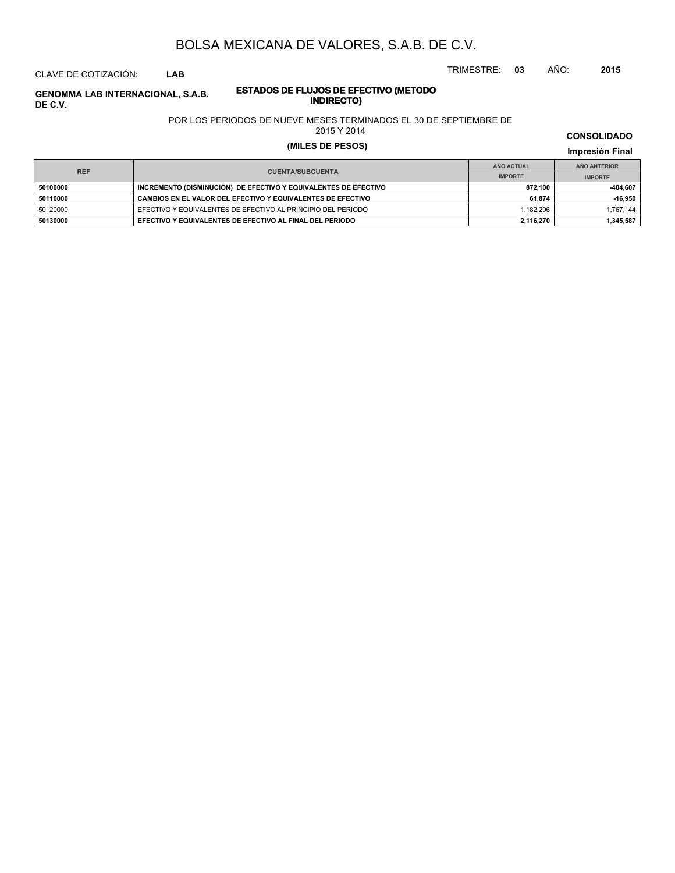CLAVE DE COTIZACIÓN: **LAB**

**DE C.V.**

**INDIRECTO) GENOMMA LAB INTERNACIONAL, S.A.B.**

# **ESTADOS DE FLUJOS DE EFECTIVO (METODO**

POR LOS PERIODOS DE NUEVE MESES TERMINADOS EL 30 DE SEPTIEMBRE DE

2015 Y 2014

# **(MILES DE PESOS) Impresión Final**

**IMPRESIÓN FINAL EN EN ENCLORED EN EL ENCLORED EN EL ENCLORED EN EL ENCLORED EN EL ENCLORED EN EL ENCLORED EN EL ENCLORED EN EL ENCLORED EN EL ENCLORED EN EL ENCLORED EN EL ENCLORED EN EL ENCLORED EN EL ENCLORED EN EL ENCL AÑO ACTUAL IMPORTE IMPORTE REF AÑO ANTERIOR IMPORTE E0100000 INCREMENTO (DISMINUCION) DE EFECTIVO Y EQUIVALENTES DE EFECTIVO 872,100 872,100 -404,607 50110000 CAMBIOS EN EL VALOR DEL EFECTIVO Y EQUIVALENTES DE EFECTIVO <b>61,874** 61,874 **-16,950** 50120000 EFECTIVO Y EQUIVALENTES DE EFECTIVO AL PRINCIPIO DEL PERIODO 1,182,296 1,182,296 1,767,144 **50130000 EFECTIVO Y EQUIVALENTES DE EFECTIVO AL FINAL DEL PERIODO <b>1999 12,116,270** 2,116,270 **1,345,587** 

TRIMESTRE: **03** AÑO: **2015**

**CONSOLIDADO**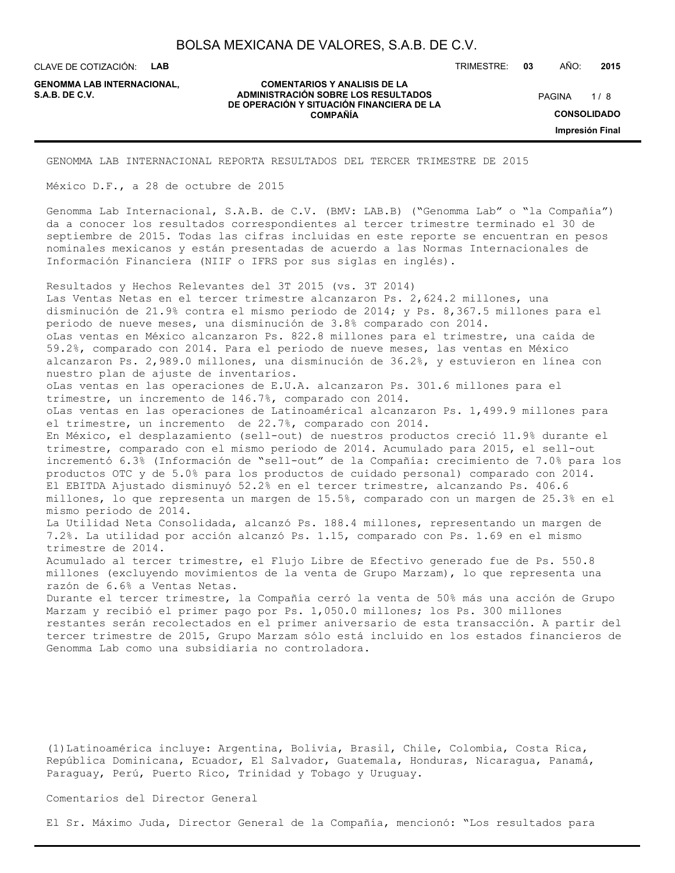CLAVE DE COTIZACIÓN: **LAB**

**GENOMMA LAB INTERNACIONAL,**

#### **COMENTARIOS Y ANALISIS DE LA ADMINISTRACIÓN SOBRE LOS RESULTADOS S.A.B. DE C.V.** PAGINA / 8 **DE OPERACIÓN Y SITUACIÓN FINANCIERA DE LA COMPAÑÍA**

 $1/8$ **CONSOLIDADO Impresión Final**

TRIMESTRE: **03** AÑO: **2015**

GENOMMA LAB INTERNACIONAL REPORTA RESULTADOS DEL TERCER TRIMESTRE DE 2015

México D.F., a 28 de octubre de 2015

Genomma Lab Internacional, S.A.B. de C.V. (BMV: LAB.B) ("Genomma Lab" o "la Compañía") da a conocer los resultados correspondientes al tercer trimestre terminado el 30 de septiembre de 2015. Todas las cifras incluidas en este reporte se encuentran en pesos nominales mexicanos y están presentadas de acuerdo a las Normas Internacionales de Información Financiera (NIIF o IFRS por sus siglas en inglés).

Resultados y Hechos Relevantes del 3T 2015 (vs. 3T 2014) Las Ventas Netas en el tercer trimestre alcanzaron Ps. 2,624.2 millones, una disminución de 21.9% contra el mismo periodo de 2014; y Ps. 8,367.5 millones para el periodo de nueve meses, una disminución de 3.8% comparado con 2014. oLas ventas en México alcanzaron Ps. 822.8 millones para el trimestre, una caída de 59.2%, comparado con 2014. Para el periodo de nueve meses, las ventas en México alcanzaron Ps. 2,989.0 millones, una disminución de 36.2%, y estuvieron en línea con nuestro plan de ajuste de inventarios. oLas ventas en las operaciones de E.U.A. alcanzaron Ps. 301.6 millones para el trimestre, un incremento de 146.7%, comparado con 2014. oLas ventas en las operaciones de Latinoamérica1 alcanzaron Ps. 1,499.9 millones para el trimestre, un incremento de 22.7%, comparado con 2014. En México, el desplazamiento (sell-out) de nuestros productos creció 11.9% durante el trimestre, comparado con el mismo periodo de 2014. Acumulado para 2015, el sell-out incrementó 6.3% (Información de "sell-out" de la Compañía: crecimiento de 7.0% para los productos OTC y de 5.0% para los productos de cuidado personal) comparado con 2014. El EBITDA Ajustado disminuyó 52.2% en el tercer trimestre, alcanzando Ps. 406.6 millones, lo que representa un margen de 15.5%, comparado con un margen de 25.3% en el mismo periodo de 2014. La Utilidad Neta Consolidada, alcanzó Ps. 188.4 millones, representando un margen de 7.2%. La utilidad por acción alcanzó Ps. 1.15, comparado con Ps. 1.69 en el mismo trimestre de 2014. Acumulado al tercer trimestre, el Flujo Libre de Efectivo generado fue de Ps. 550.8 millones (excluyendo movimientos de la venta de Grupo Marzam), lo que representa una razón de 6.6% a Ventas Netas. Durante el tercer trimestre, la Compañía cerró la venta de 50% más una acción de Grupo Marzam y recibió el primer pago por Ps. 1,050.0 millones; los Ps. 300 millones restantes serán recolectados en el primer aniversario de esta transacción. A partir del tercer trimestre de 2015, Grupo Marzam sólo está incluido en los estados financieros de Genomma Lab como una subsidiaria no controladora.

(1)Latinoamérica incluye: Argentina, Bolivia, Brasil, Chile, Colombia, Costa Rica, República Dominicana, Ecuador, El Salvador, Guatemala, Honduras, Nicaragua, Panamá, Paraguay, Perú, Puerto Rico, Trinidad y Tobago y Uruguay.

Comentarios del Director General

El Sr. Máximo Juda, Director General de la Compañía, mencionó: "Los resultados para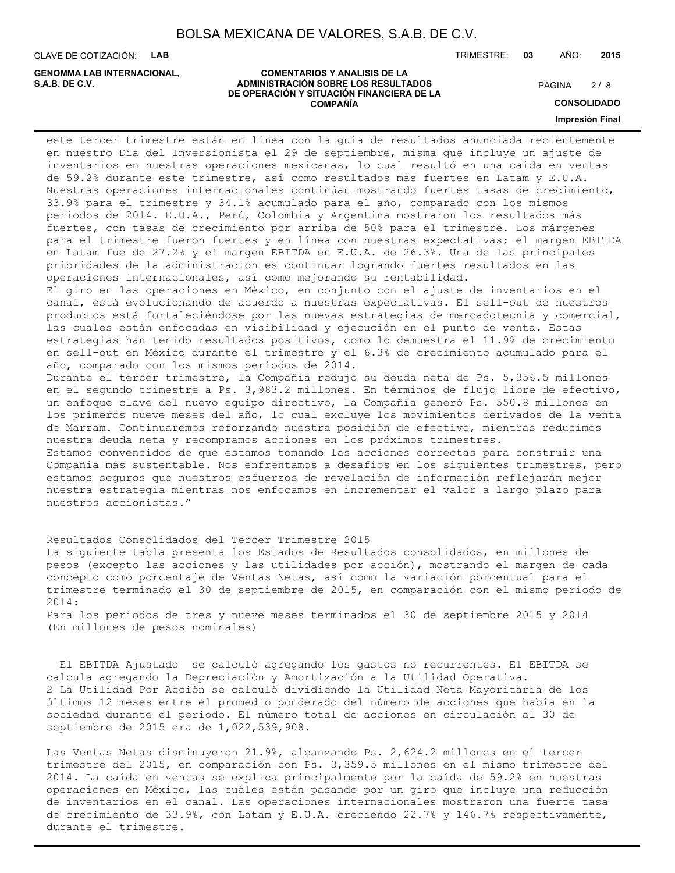**COMENTARIOS Y ANALISIS DE LA**

**DE OPERACIÓN Y SITUACIÓN FINANCIERA DE LA COMPAÑÍA**

CLAVE DE COTIZACIÓN: **LAB**

**ADMINISTRACIÓN SOBRE LOS RESULTADOS S.A.B. DE C.V.** PAGINA / 8 **GENOMMA LAB INTERNACIONAL,**

TRIMESTRE: **03** AÑO: **2015**

### $2/8$

**CONSOLIDADO**

#### **Impresión Final**

este tercer trimestre están en línea con la guía de resultados anunciada recientemente en nuestro Día del Inversionista el 29 de septiembre, misma que incluye un ajuste de inventarios en nuestras operaciones mexicanas, lo cual resultó en una caída en ventas de 59.2% durante este trimestre, así como resultados más fuertes en Latam y E.U.A. Nuestras operaciones internacionales continúan mostrando fuertes tasas de crecimiento, 33.9% para el trimestre y 34.1% acumulado para el año, comparado con los mismos periodos de 2014. E.U.A., Perú, Colombia y Argentina mostraron los resultados más fuertes, con tasas de crecimiento por arriba de 50% para el trimestre. Los márgenes para el trimestre fueron fuertes y en línea con nuestras expectativas; el margen EBITDA en Latam fue de 27.2% y el margen EBITDA en E.U.A. de 26.3%. Una de las principales prioridades de la administración es continuar logrando fuertes resultados en las operaciones internacionales, así como mejorando su rentabilidad. El giro en las operaciones en México, en conjunto con el ajuste de inventarios en el canal, está evolucionando de acuerdo a nuestras expectativas. El sell-out de nuestros productos está fortaleciéndose por las nuevas estrategias de mercadotecnia y comercial, las cuales están enfocadas en visibilidad y ejecución en el punto de venta. Estas estrategias han tenido resultados positivos, como lo demuestra el 11.9% de crecimiento en sell-out en México durante el trimestre y el 6.3% de crecimiento acumulado para el año, comparado con los mismos periodos de 2014. Durante el tercer trimestre, la Compañía redujo su deuda neta de Ps. 5,356.5 millones en el segundo trimestre a Ps. 3,983.2 millones. En términos de flujo libre de efectivo, un enfoque clave del nuevo equipo directivo, la Compañía generó Ps. 550.8 millones en los primeros nueve meses del año, lo cual excluye los movimientos derivados de la venta de Marzam. Continuaremos reforzando nuestra posición de efectivo, mientras reducimos nuestra deuda neta y recompramos acciones en los próximos trimestres. Estamos convencidos de que estamos tomando las acciones correctas para construir una Compañía más sustentable. Nos enfrentamos a desafíos en los siguientes trimestres, pero estamos seguros que nuestros esfuerzos de revelación de información reflejarán mejor nuestra estrategia mientras nos enfocamos en incrementar el valor a largo plazo para nuestros accionistas."

Resultados Consolidados del Tercer Trimestre 2015 La siguiente tabla presenta los Estados de Resultados consolidados, en millones de pesos (excepto las acciones y las utilidades por acción), mostrando el margen de cada concepto como porcentaje de Ventas Netas, así como la variación porcentual para el trimestre terminado el 30 de septiembre de 2015, en comparación con el mismo periodo de 2014: Para los periodos de tres y nueve meses terminados el 30 de septiembre 2015 y 2014

(En millones de pesos nominales)

 El EBITDA Ajustado se calculó agregando los gastos no recurrentes. El EBITDA se calcula agregando la Depreciación y Amortización a la Utilidad Operativa. 2 La Utilidad Por Acción se calculó dividiendo la Utilidad Neta Mayoritaria de los últimos 12 meses entre el promedio ponderado del número de acciones que había en la sociedad durante el periodo. El número total de acciones en circulación al 30 de septiembre de 2015 era de 1,022,539,908.

Las Ventas Netas disminuyeron 21.9%, alcanzando Ps. 2,624.2 millones en el tercer trimestre del 2015, en comparación con Ps. 3,359.5 millones en el mismo trimestre del 2014. La caída en ventas se explica principalmente por la caída de 59.2% en nuestras operaciones en México, las cuáles están pasando por un giro que incluye una reducción de inventarios en el canal. Las operaciones internacionales mostraron una fuerte tasa de crecimiento de 33.9%, con Latam y E.U.A. creciendo 22.7% y 146.7% respectivamente, durante el trimestre.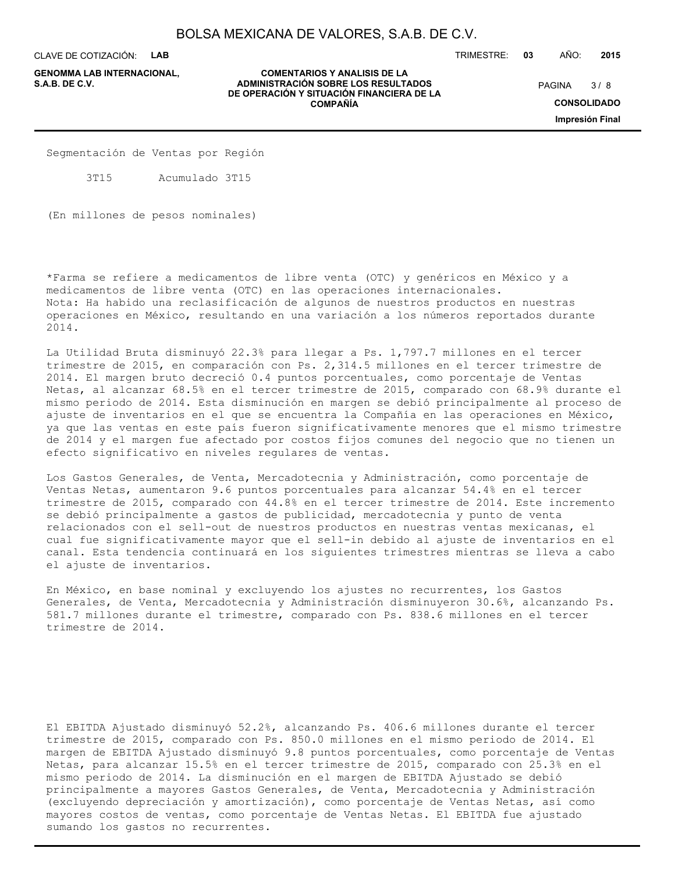**COMENTARIOS Y ANALISIS DE LA**

**DE OPERACIÓN Y SITUACIÓN FINANCIERA DE LA COMPAÑÍA**

CLAVE DE COTIZACIÓN: **LAB**

**ADMINISTRACIÓN SOBRE LOS RESULTADOS S.A.B. DE C.V.** PAGINA / 8 **GENOMMA LAB INTERNACIONAL,**

TRIMESTRE: **03** AÑO: **2015**

 $3/8$ 

**CONSOLIDADO**

**Impresión Final**

Segmentación de Ventas por Región

3T15 Acumulado 3T15

(En millones de pesos nominales)

\*Farma se refiere a medicamentos de libre venta (OTC) y genéricos en México y a medicamentos de libre venta (OTC) en las operaciones internacionales. Nota: Ha habido una reclasificación de algunos de nuestros productos en nuestras operaciones en México, resultando en una variación a los números reportados durante 2014.

La Utilidad Bruta disminuyó 22.3% para llegar a Ps. 1,797.7 millones en el tercer trimestre de 2015, en comparación con Ps. 2,314.5 millones en el tercer trimestre de 2014. El margen bruto decreció 0.4 puntos porcentuales, como porcentaje de Ventas Netas, al alcanzar 68.5% en el tercer trimestre de 2015, comparado con 68.9% durante el mismo periodo de 2014. Esta disminución en margen se debió principalmente al proceso de ajuste de inventarios en el que se encuentra la Compañía en las operaciones en México, ya que las ventas en este país fueron significativamente menores que el mismo trimestre de 2014 y el margen fue afectado por costos fijos comunes del negocio que no tienen un efecto significativo en niveles regulares de ventas.

Los Gastos Generales, de Venta, Mercadotecnia y Administración, como porcentaje de Ventas Netas, aumentaron 9.6 puntos porcentuales para alcanzar 54.4% en el tercer trimestre de 2015, comparado con 44.8% en el tercer trimestre de 2014. Este incremento se debió principalmente a gastos de publicidad, mercadotecnia y punto de venta relacionados con el sell-out de nuestros productos en nuestras ventas mexicanas, el cual fue significativamente mayor que el sell-in debido al ajuste de inventarios en el canal. Esta tendencia continuará en los siguientes trimestres mientras se lleva a cabo el ajuste de inventarios.

En México, en base nominal y excluyendo los ajustes no recurrentes, los Gastos Generales, de Venta, Mercadotecnia y Administración disminuyeron 30.6%, alcanzando Ps. 581.7 millones durante el trimestre, comparado con Ps. 838.6 millones en el tercer trimestre de 2014.

El EBITDA Ajustado disminuyó 52.2%, alcanzando Ps. 406.6 millones durante el tercer trimestre de 2015, comparado con Ps. 850.0 millones en el mismo periodo de 2014. El margen de EBITDA Ajustado disminuyó 9.8 puntos porcentuales, como porcentaje de Ventas Netas, para alcanzar 15.5% en el tercer trimestre de 2015, comparado con 25.3% en el mismo periodo de 2014. La disminución en el margen de EBITDA Ajustado se debió principalmente a mayores Gastos Generales, de Venta, Mercadotecnia y Administración (excluyendo depreciación y amortización), como porcentaje de Ventas Netas, así como mayores costos de ventas, como porcentaje de Ventas Netas. El EBITDA fue ajustado sumando los gastos no recurrentes.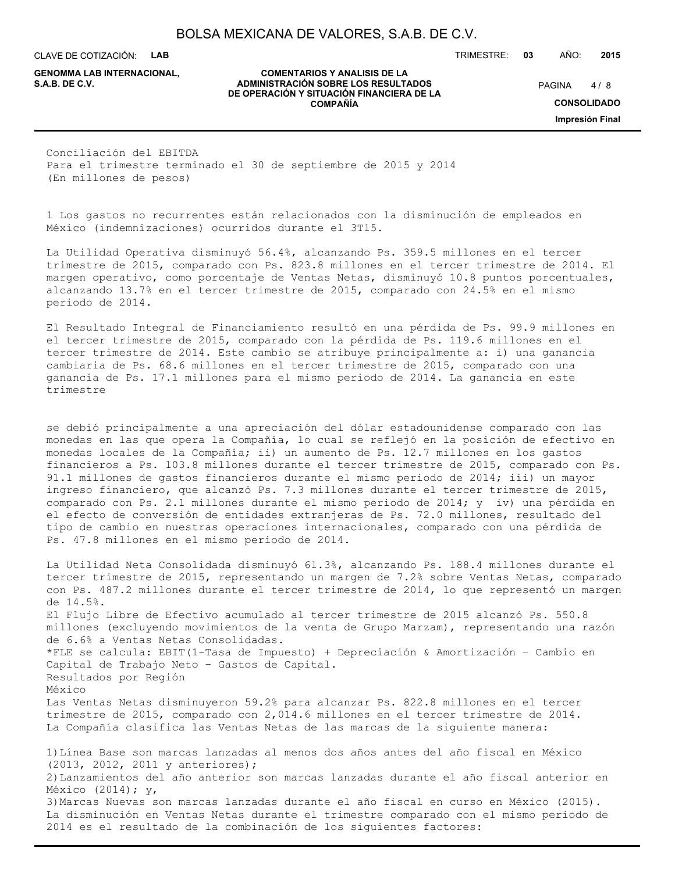CLAVE DE COTIZACIÓN: **LAB**

**GENOMMA LAB INTERNACIONAL,**

**COMENTARIOS Y ANALISIS DE LA ADMINISTRACIÓN SOBRE LOS RESULTADOS S.A.B. DE C.V.** PAGINA / 8 **DE OPERACIÓN Y SITUACIÓN FINANCIERA DE LA COMPAÑÍA**

 $4/8$ 

TRIMESTRE: **03** AÑO: **2015**

**CONSOLIDADO**

**Impresión Final**

Conciliación del EBITDA Para el trimestre terminado el 30 de septiembre de 2015 y 2014 (En millones de pesos)

1 Los gastos no recurrentes están relacionados con la disminución de empleados en México (indemnizaciones) ocurridos durante el 3T15.

La Utilidad Operativa disminuyó 56.4%, alcanzando Ps. 359.5 millones en el tercer trimestre de 2015, comparado con Ps. 823.8 millones en el tercer trimestre de 2014. El margen operativo, como porcentaje de Ventas Netas, disminuyó 10.8 puntos porcentuales, alcanzando 13.7% en el tercer trimestre de 2015, comparado con 24.5% en el mismo periodo de 2014.

El Resultado Integral de Financiamiento resultó en una pérdida de Ps. 99.9 millones en el tercer trimestre de 2015, comparado con la pérdida de Ps. 119.6 millones en el tercer trimestre de 2014. Este cambio se atribuye principalmente a: i) una ganancia cambiaria de Ps. 68.6 millones en el tercer trimestre de 2015, comparado con una ganancia de Ps. 17.1 millones para el mismo periodo de 2014. La ganancia en este trimestre

se debió principalmente a una apreciación del dólar estadounidense comparado con las monedas en las que opera la Compañía, lo cual se reflejó en la posición de efectivo en monedas locales de la Compañía; ii) un aumento de Ps. 12.7 millones en los gastos financieros a Ps. 103.8 millones durante el tercer trimestre de 2015, comparado con Ps. 91.1 millones de gastos financieros durante el mismo periodo de 2014; iii) un mayor ingreso financiero, que alcanzó Ps. 7.3 millones durante el tercer trimestre de 2015, comparado con Ps. 2.1 millones durante el mismo periodo de 2014; y iv) una pérdida en el efecto de conversión de entidades extranjeras de Ps. 72.0 millones, resultado del tipo de cambio en nuestras operaciones internacionales, comparado con una pérdida de Ps. 47.8 millones en el mismo periodo de 2014.

La Utilidad Neta Consolidada disminuyó 61.3%, alcanzando Ps. 188.4 millones durante el tercer trimestre de 2015, representando un margen de 7.2% sobre Ventas Netas, comparado con Ps. 487.2 millones durante el tercer trimestre de 2014, lo que representó un margen de 14.5%. El Flujo Libre de Efectivo acumulado al tercer trimestre de 2015 alcanzó Ps. 550.8 millones (excluyendo movimientos de la venta de Grupo Marzam), representando una razón de 6.6% a Ventas Netas Consolidadas. \*FLE se calcula: EBIT(1-Tasa de Impuesto) + Depreciación & Amortización – Cambio en Capital de Trabajo Neto – Gastos de Capital. Resultados por Región México Las Ventas Netas disminuyeron 59.2% para alcanzar Ps. 822.8 millones en el tercer trimestre de 2015, comparado con 2,014.6 millones en el tercer trimestre de 2014. La Compañía clasifica las Ventas Netas de las marcas de la siguiente manera: 1)Línea Base son marcas lanzadas al menos dos años antes del año fiscal en México (2013, 2012, 2011 y anteriores); 2)Lanzamientos del año anterior son marcas lanzadas durante el año fiscal anterior en México (2014); y, 3)Marcas Nuevas son marcas lanzadas durante el año fiscal en curso en México (2015). La disminución en Ventas Netas durante el trimestre comparado con el mismo periodo de

2014 es el resultado de la combinación de los siguientes factores: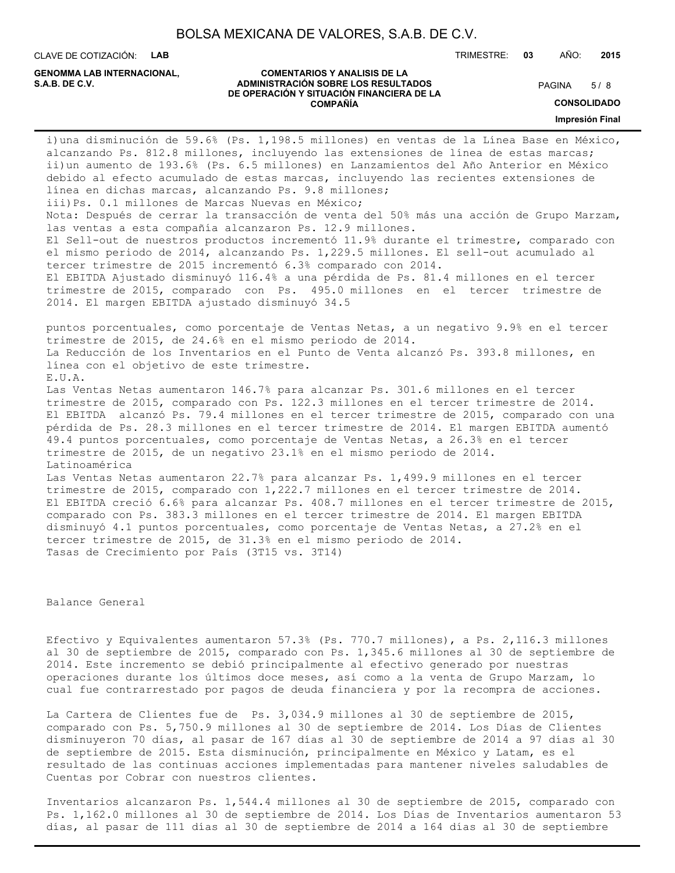CLAVE DE COTIZACIÓN: **LAB**

**GENOMMA LAB INTERNACIONAL,**

#### **COMENTARIOS Y ANALISIS DE LA ADMINISTRACIÓN SOBRE LOS RESULTADOS S.A.B. DE C.V.** PAGINA / 8 **DE OPERACIÓN Y SITUACIÓN FINANCIERA DE LA COMPAÑÍA**

 $5/8$ 

TRIMESTRE: **03** AÑO: **2015**

**CONSOLIDADO**

**Impresión Final**

i)una disminución de 59.6% (Ps. 1,198.5 millones) en ventas de la Línea Base en México, alcanzando Ps. 812.8 millones, incluyendo las extensiones de línea de estas marcas; ii)un aumento de 193.6% (Ps. 6.5 millones) en Lanzamientos del Año Anterior en México debido al efecto acumulado de estas marcas, incluyendo las recientes extensiones de línea en dichas marcas, alcanzando Ps. 9.8 millones; iii)Ps. 0.1 millones de Marcas Nuevas en México; Nota: Después de cerrar la transacción de venta del 50% más una acción de Grupo Marzam, las ventas a esta compañía alcanzaron Ps. 12.9 millones. El Sell-out de nuestros productos incrementó 11.9% durante el trimestre, comparado con el mismo periodo de 2014, alcanzando Ps. 1,229.5 millones. El sell-out acumulado al tercer trimestre de 2015 incrementó 6.3% comparado con 2014. El EBITDA Ajustado disminuyó 116.4% a una pérdida de Ps. 81.4 millones en el tercer trimestre de 2015, comparado con Ps. 495.0 millones en el tercer trimestre de 2014. El margen EBITDA ajustado disminuyó 34.5 puntos porcentuales, como porcentaje de Ventas Netas, a un negativo 9.9% en el tercer trimestre de 2015, de 24.6% en el mismo periodo de 2014. La Reducción de los Inventarios en el Punto de Venta alcanzó Ps. 393.8 millones, en línea con el objetivo de este trimestre. E.U.A. Las Ventas Netas aumentaron 146.7% para alcanzar Ps. 301.6 millones en el tercer trimestre de 2015, comparado con Ps. 122.3 millones en el tercer trimestre de 2014. El EBITDA alcanzó Ps. 79.4 millones en el tercer trimestre de 2015, comparado con una pérdida de Ps. 28.3 millones en el tercer trimestre de 2014. El margen EBITDA aumentó 49.4 puntos porcentuales, como porcentaje de Ventas Netas, a 26.3% en el tercer trimestre de 2015, de un negativo 23.1% en el mismo periodo de 2014. Latinoamérica Las Ventas Netas aumentaron 22.7% para alcanzar Ps. 1,499.9 millones en el tercer trimestre de 2015, comparado con 1,222.7 millones en el tercer trimestre de 2014. El EBITDA creció 6.6% para alcanzar Ps. 408.7 millones en el tercer trimestre de 2015, comparado con Ps. 383.3 millones en el tercer trimestre de 2014. El margen EBITDA disminuyó 4.1 puntos porcentuales, como porcentaje de Ventas Netas, a 27.2% en el tercer trimestre de 2015, de 31.3% en el mismo periodo de 2014. Tasas de Crecimiento por País (3T15 vs. 3T14)

Balance General

Efectivo y Equivalentes aumentaron 57.3% (Ps. 770.7 millones), a Ps. 2,116.3 millones al 30 de septiembre de 2015, comparado con Ps. 1,345.6 millones al 30 de septiembre de 2014. Este incremento se debió principalmente al efectivo generado por nuestras operaciones durante los últimos doce meses, así como a la venta de Grupo Marzam, lo cual fue contrarrestado por pagos de deuda financiera y por la recompra de acciones.

La Cartera de Clientes fue de Ps. 3,034.9 millones al 30 de septiembre de 2015, comparado con Ps. 5,750.9 millones al 30 de septiembre de 2014. Los Días de Clientes disminuyeron 70 días, al pasar de 167 días al 30 de septiembre de 2014 a 97 días al 30 de septiembre de 2015. Esta disminución, principalmente en México y Latam, es el resultado de las continuas acciones implementadas para mantener niveles saludables de Cuentas por Cobrar con nuestros clientes.

Inventarios alcanzaron Ps. 1,544.4 millones al 30 de septiembre de 2015, comparado con Ps. 1,162.0 millones al 30 de septiembre de 2014. Los Días de Inventarios aumentaron 53 días, al pasar de 111 días al 30 de septiembre de 2014 a 164 días al 30 de septiembre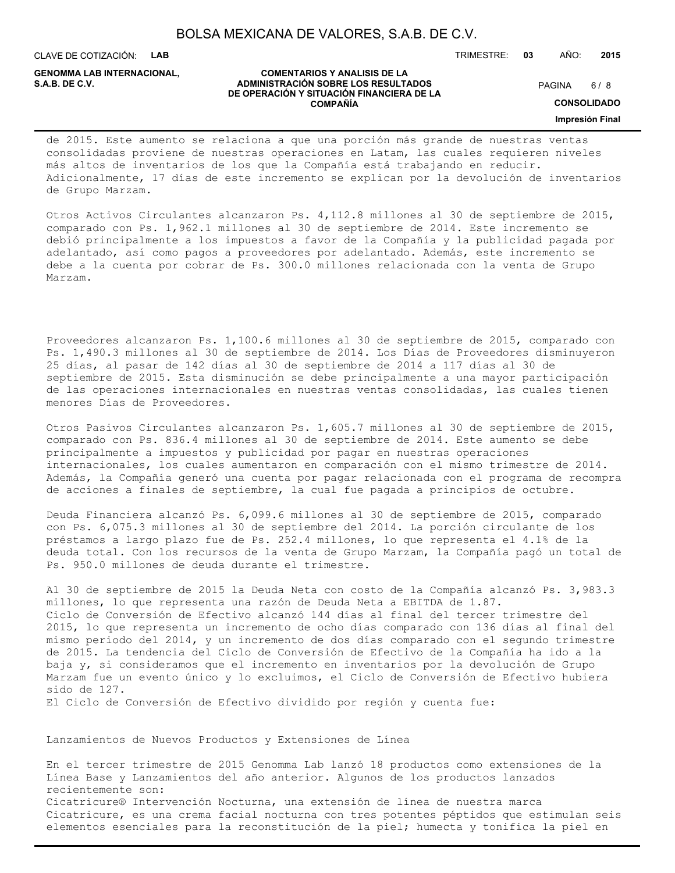CLAVE DE COTIZACIÓN: **LAB**

**GENOMMA LAB INTERNACIONAL,**

#### **COMENTARIOS Y ANALISIS DE LA ADMINISTRACIÓN SOBRE LOS RESULTADOS S.A.B. DE C.V.** PAGINA / 8 **DE OPERACIÓN Y SITUACIÓN FINANCIERA DE LA COMPAÑÍA**

 $6/8$ 

TRIMESTRE: **03** AÑO: **2015**

**CONSOLIDADO**

**Impresión Final**

### de 2015. Este aumento se relaciona a que una porción más grande de nuestras ventas consolidadas proviene de nuestras operaciones en Latam, las cuales requieren niveles más altos de inventarios de los que la Compañía está trabajando en reducir. Adicionalmente, 17 días de este incremento se explican por la devolución de inventarios de Grupo Marzam.

Otros Activos Circulantes alcanzaron Ps. 4,112.8 millones al 30 de septiembre de 2015, comparado con Ps. 1,962.1 millones al 30 de septiembre de 2014. Este incremento se debió principalmente a los impuestos a favor de la Compañía y la publicidad pagada por adelantado, así como pagos a proveedores por adelantado. Además, este incremento se debe a la cuenta por cobrar de Ps. 300.0 millones relacionada con la venta de Grupo Marzam.

Proveedores alcanzaron Ps. 1,100.6 millones al 30 de septiembre de 2015, comparado con Ps. 1,490.3 millones al 30 de septiembre de 2014. Los Días de Proveedores disminuyeron 25 días, al pasar de 142 días al 30 de septiembre de 2014 a 117 días al 30 de septiembre de 2015. Esta disminución se debe principalmente a una mayor participación de las operaciones internacionales en nuestras ventas consolidadas, las cuales tienen menores Días de Proveedores.

Otros Pasivos Circulantes alcanzaron Ps. 1,605.7 millones al 30 de septiembre de 2015, comparado con Ps. 836.4 millones al 30 de septiembre de 2014. Este aumento se debe principalmente a impuestos y publicidad por pagar en nuestras operaciones internacionales, los cuales aumentaron en comparación con el mismo trimestre de 2014. Además, la Compañía generó una cuenta por pagar relacionada con el programa de recompra de acciones a finales de septiembre, la cual fue pagada a principios de octubre.

Deuda Financiera alcanzó Ps. 6,099.6 millones al 30 de septiembre de 2015, comparado con Ps. 6,075.3 millones al 30 de septiembre del 2014. La porción circulante de los préstamos a largo plazo fue de Ps. 252.4 millones, lo que representa el 4.1% de la deuda total. Con los recursos de la venta de Grupo Marzam, la Compañía pagó un total de Ps. 950.0 millones de deuda durante el trimestre.

Al 30 de septiembre de 2015 la Deuda Neta con costo de la Compañía alcanzó Ps. 3,983.3 millones, lo que representa una razón de Deuda Neta a EBITDA de 1.87. Ciclo de Conversión de Efectivo alcanzó 144 días al final del tercer trimestre del 2015, lo que representa un incremento de ocho días comparado con 136 días al final del mismo periodo del 2014, y un incremento de dos días comparado con el segundo trimestre de 2015. La tendencia del Ciclo de Conversión de Efectivo de la Compañía ha ido a la baja y, si consideramos que el incremento en inventarios por la devolución de Grupo Marzam fue un evento único y lo excluimos, el Ciclo de Conversión de Efectivo hubiera sido de 127.

El Ciclo de Conversión de Efectivo dividido por región y cuenta fue:

Lanzamientos de Nuevos Productos y Extensiones de Línea

En el tercer trimestre de 2015 Genomma Lab lanzó 18 productos como extensiones de la Línea Base y Lanzamientos del año anterior. Algunos de los productos lanzados recientemente son: Cicatricure® Intervención Nocturna, una extensión de línea de nuestra marca Cicatricure, es una crema facial nocturna con tres potentes péptidos que estimulan seis elementos esenciales para la reconstitución de la piel; humecta y tonifica la piel en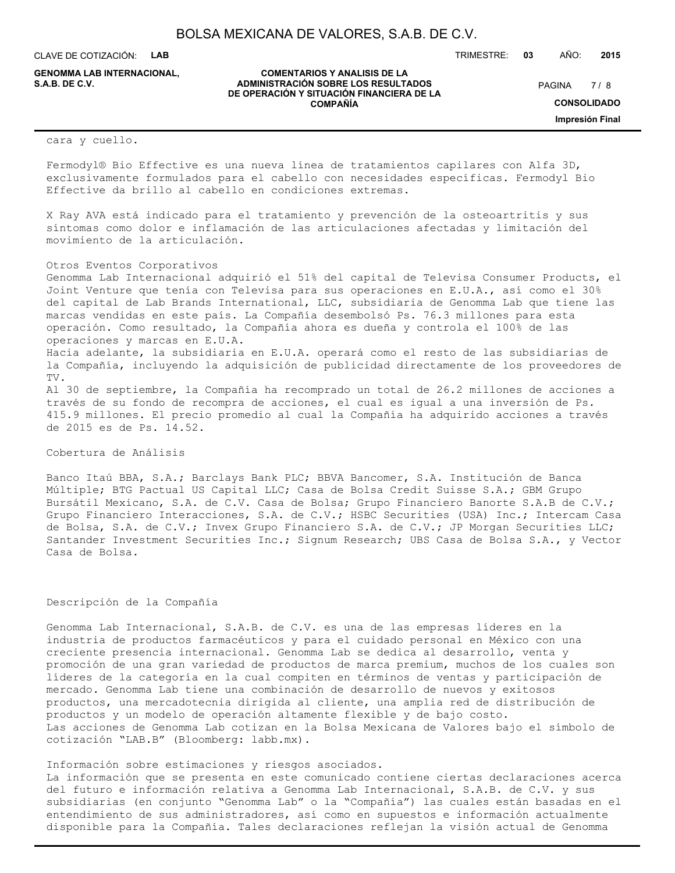**COMENTARIOS Y ANALISIS DE LA**

**DE OPERACIÓN Y SITUACIÓN FINANCIERA DE LA COMPAÑÍA**

CLAVE DE COTIZACIÓN: **LAB**

**ADMINISTRACIÓN SOBRE LOS RESULTADOS S.A.B. DE C.V.** PAGINA / 8 **GENOMMA LAB INTERNACIONAL,**

TRIMESTRE: **03** AÑO: **2015**

 $7/8$ 

**CONSOLIDADO**

**Impresión Final**

#### cara y cuello.

Fermodyl® Bio Effective es una nueva línea de tratamientos capilares con Alfa 3D, exclusivamente formulados para el cabello con necesidades específicas. Fermodyl Bio Effective da brillo al cabello en condiciones extremas.

X Ray AVA está indicado para el tratamiento y prevención de la osteoartritis y sus síntomas como dolor e inflamación de las articulaciones afectadas y limitación del movimiento de la articulación.

### Otros Eventos Corporativos

Genomma Lab Internacional adquirió el 51% del capital de Televisa Consumer Products, el Joint Venture que tenía con Televisa para sus operaciones en E.U.A., así como el 30% del capital de Lab Brands International, LLC, subsidiaria de Genomma Lab que tiene las marcas vendidas en este país. La Compañía desembolsó Ps. 76.3 millones para esta operación. Como resultado, la Compañía ahora es dueña y controla el 100% de las operaciones y marcas en E.U.A. Hacia adelante, la subsidiaria en E.U.A. operará como el resto de las subsidiarias de

la Compañía, incluyendo la adquisición de publicidad directamente de los proveedores de TV.

Al 30 de septiembre, la Compañía ha recomprado un total de 26.2 millones de acciones a través de su fondo de recompra de acciones, el cual es igual a una inversión de Ps. 415.9 millones. El precio promedio al cual la Compañía ha adquirido acciones a través de 2015 es de Ps. 14.52.

### Cobertura de Análisis

Banco Itaú BBA, S.A.; Barclays Bank PLC; BBVA Bancomer, S.A. Institución de Banca Múltiple; BTG Pactual US Capital LLC; Casa de Bolsa Credit Suisse S.A.; GBM Grupo Bursátil Mexicano, S.A. de C.V. Casa de Bolsa; Grupo Financiero Banorte S.A.B de C.V.; Grupo Financiero Interacciones, S.A. de C.V.; HSBC Securities (USA) Inc.; Intercam Casa de Bolsa, S.A. de C.V.; Invex Grupo Financiero S.A. de C.V.; JP Morgan Securities LLC; Santander Investment Securities Inc.; Signum Research; UBS Casa de Bolsa S.A., y Vector Casa de Bolsa.

### Descripción de la Compañía

Genomma Lab Internacional, S.A.B. de C.V. es una de las empresas líderes en la industria de productos farmacéuticos y para el cuidado personal en México con una creciente presencia internacional. Genomma Lab se dedica al desarrollo, venta y promoción de una gran variedad de productos de marca premium, muchos de los cuales son líderes de la categoría en la cual compiten en términos de ventas y participación de mercado. Genomma Lab tiene una combinación de desarrollo de nuevos y exitosos productos, una mercadotecnia dirigida al cliente, una amplia red de distribución de productos y un modelo de operación altamente flexible y de bajo costo. Las acciones de Genomma Lab cotizan en la Bolsa Mexicana de Valores bajo el símbolo de cotización "LAB.B" (Bloomberg: labb.mx).

#### Información sobre estimaciones y riesgos asociados.

La información que se presenta en este comunicado contiene ciertas declaraciones acerca del futuro e información relativa a Genomma Lab Internacional, S.A.B. de C.V. y sus subsidiarias (en conjunto "Genomma Lab" o la "Compañía") las cuales están basadas en el entendimiento de sus administradores, así como en supuestos e información actualmente disponible para la Compañía. Tales declaraciones reflejan la visión actual de Genomma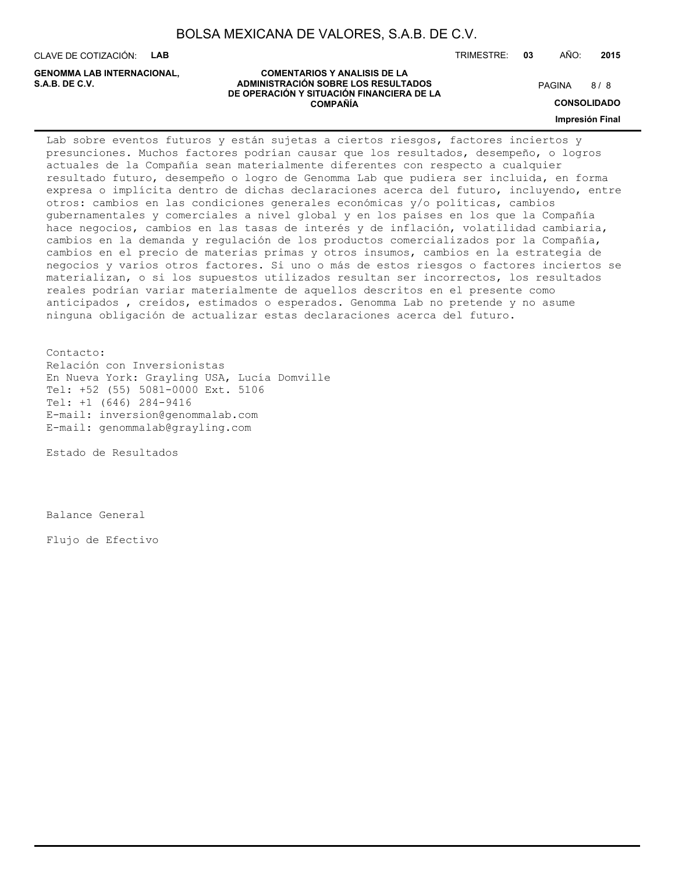CLAVE DE COTIZACIÓN: **LAB**

**GENOMMA LAB INTERNACIONAL,**

TRIMESTRE: **03** AÑO: **2015**

8/8

**CONSOLIDADO**

**Impresión Final**

Lab sobre eventos futuros y están sujetas a ciertos riesgos, factores inciertos y presunciones. Muchos factores podrían causar que los resultados, desempeño, o logros actuales de la Compañía sean materialmente diferentes con respecto a cualquier resultado futuro, desempeño o logro de Genomma Lab que pudiera ser incluida, en forma expresa o implícita dentro de dichas declaraciones acerca del futuro, incluyendo, entre otros: cambios en las condiciones generales económicas y/o políticas, cambios gubernamentales y comerciales a nivel global y en los países en los que la Compañía hace negocios, cambios en las tasas de interés y de inflación, volatilidad cambiaria, cambios en la demanda y regulación de los productos comercializados por la Compañía, cambios en el precio de materias primas y otros insumos, cambios en la estrategia de negocios y varios otros factores. Si uno o más de estos riesgos o factores inciertos se materializan, o si los supuestos utilizados resultan ser incorrectos, los resultados reales podrían variar materialmente de aquellos descritos en el presente como anticipados , creídos, estimados o esperados. Genomma Lab no pretende y no asume ninguna obligación de actualizar estas declaraciones acerca del futuro.

Contacto: Relación con Inversionistas En Nueva York: Grayling USA, Lucía Domville Tel: +52 (55) 5081-0000 Ext. 5106 Tel: +1 (646) 284-9416 E-mail: inversion@genommalab.com E-mail: genommalab@grayling.com

Estado de Resultados

Balance General

Flujo de Efectivo

#### **COMENTARIOS Y ANALISIS DE LA ADMINISTRACIÓN SOBRE LOS RESULTADOS S.A.B. DE C.V.** PAGINA / 8 **DE OPERACIÓN Y SITUACIÓN FINANCIERA DE LA COMPAÑÍA**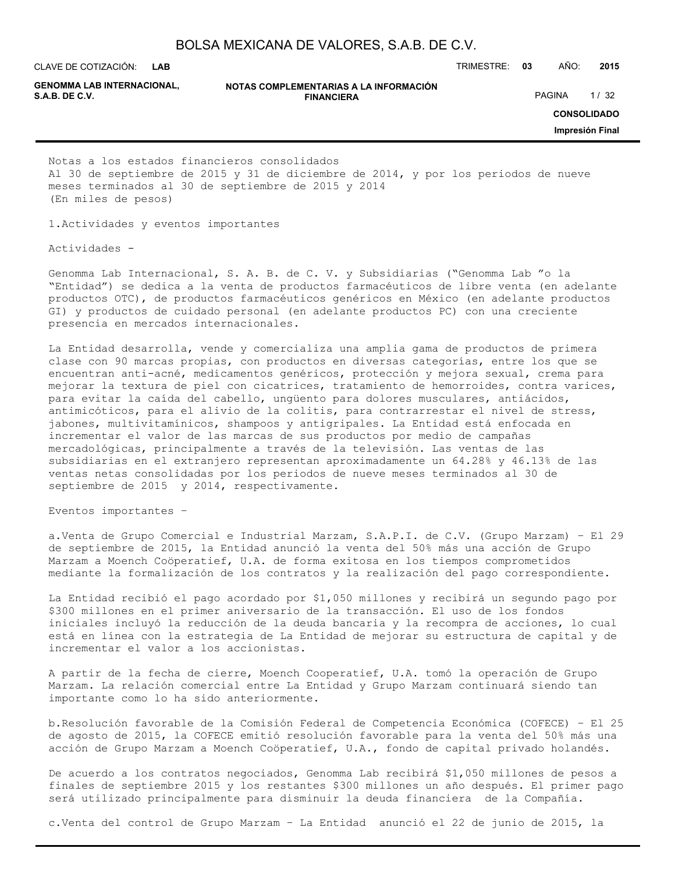**LAB GENOMMA LAB INTERNACIONAL,**

**NOTAS COMPLEMENTARIAS A LA INFORMACIÓN FINANCIERA S.A.B. DE C.V.** PAGINA 1/32

CLAVE DE COTIZACIÓN: TRIMESTRE: **03** AÑO: **2015**

**CONSOLIDADO**

**Impresión Final**

Notas a los estados financieros consolidados Al 30 de septiembre de 2015 y 31 de diciembre de 2014, y por los periodos de nueve meses terminados al 30 de septiembre de 2015 y 2014 (En miles de pesos)

1.Actividades y eventos importantes

Actividades -

Genomma Lab Internacional, S. A. B. de C. V. y Subsidiarias ("Genomma Lab "o la "Entidad") se dedica a la venta de productos farmacéuticos de libre venta (en adelante productos OTC), de productos farmacéuticos genéricos en México (en adelante productos GI) y productos de cuidado personal (en adelante productos PC) con una creciente presencia en mercados internacionales.

La Entidad desarrolla, vende y comercializa una amplia gama de productos de primera clase con 90 marcas propias, con productos en diversas categorías, entre los que se encuentran anti-acné, medicamentos genéricos, protección y mejora sexual, crema para mejorar la textura de piel con cicatrices, tratamiento de hemorroides, contra varices, para evitar la caída del cabello, ungüento para dolores musculares, antiácidos, antimicóticos, para el alivio de la colitis, para contrarrestar el nivel de stress, jabones, multivitamínicos, shampoos y antigripales. La Entidad está enfocada en incrementar el valor de las marcas de sus productos por medio de campañas mercadológicas, principalmente a través de la televisión. Las ventas de las subsidiarias en el extranjero representan aproximadamente un 64.28% y 46.13% de las ventas netas consolidadas por los periodos de nueve meses terminados al 30 de septiembre de 2015 y 2014, respectivamente.

Eventos importantes –

a.Venta de Grupo Comercial e Industrial Marzam, S.A.P.I. de C.V. (Grupo Marzam) – El 29 de septiembre de 2015, la Entidad anunció la venta del 50% más una acción de Grupo Marzam a Moench Coöperatief, U.A. de forma exitosa en los tiempos comprometidos mediante la formalización de los contratos y la realización del pago correspondiente.

La Entidad recibió el pago acordado por \$1,050 millones y recibirá un segundo pago por \$300 millones en el primer aniversario de la transacción. El uso de los fondos iniciales incluyó la reducción de la deuda bancaria y la recompra de acciones, lo cual está en línea con la estrategia de La Entidad de mejorar su estructura de capital y de incrementar el valor a los accionistas.

A partir de la fecha de cierre, Moench Cooperatief, U.A. tomó la operación de Grupo Marzam. La relación comercial entre La Entidad y Grupo Marzam continuará siendo tan importante como lo ha sido anteriormente.

b.Resolución favorable de la Comisión Federal de Competencia Económica (COFECE) – El 25 de agosto de 2015, la COFECE emitió resolución favorable para la venta del 50% más una acción de Grupo Marzam a Moench Coöperatief, U.A., fondo de capital privado holandés.

De acuerdo a los contratos negociados, Genomma Lab recibirá \$1,050 millones de pesos a finales de septiembre 2015 y los restantes \$300 millones un año después. El primer pago será utilizado principalmente para disminuir la deuda financiera de la Compañía.

c.Venta del control de Grupo Marzam – La Entidad anunció el 22 de junio de 2015, la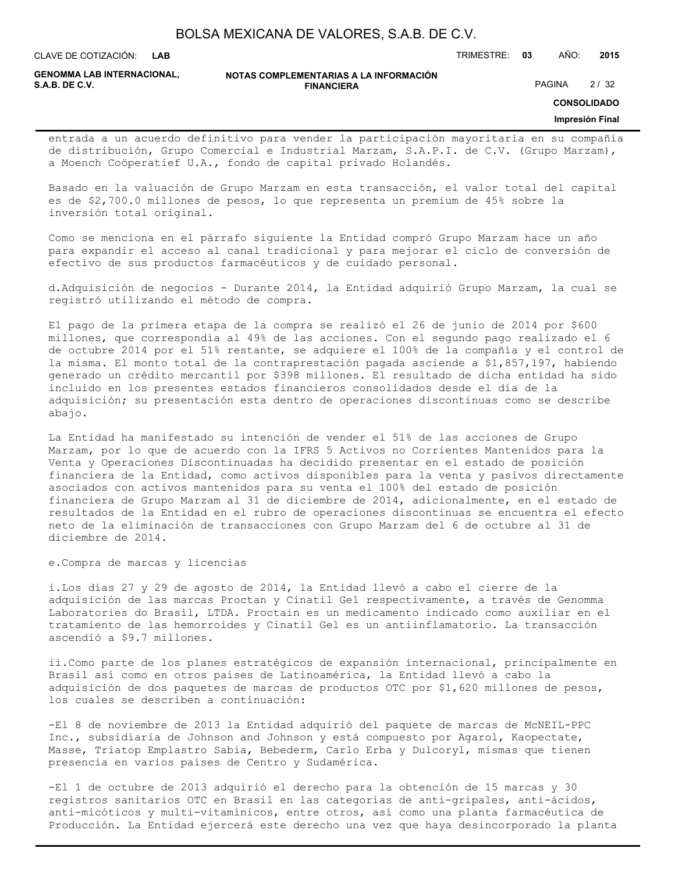**LAB**

CLAVE DE COTIZACIÓN: TRIMESTRE: **03** AÑO: **2015**

**GENOMMA LAB INTERNACIONAL,**

**NOTAS COMPLEMENTARIAS A LA INFORMACIÓN FINANCIERA S.A.B. DE C.V.** PAGINA 2 / 32

**CONSOLIDADO**

#### **Impresión Final**

entrada a un acuerdo definitivo para vender la participación mayoritaria en su compañía de distribución, Grupo Comercial e Industrial Marzam, S.A.P.I. de C.V. (Grupo Marzam), a Moench Coöperatief U.A., fondo de capital privado Holandés.

Basado en la valuación de Grupo Marzam en esta transacción, el valor total del capital es de \$2,700.0 millones de pesos, lo que representa un premium de 45% sobre la inversión total original.

Como se menciona en el párrafo siguiente la Entidad compró Grupo Marzam hace un año para expandir el acceso al canal tradicional y para mejorar el ciclo de conversión de efectivo de sus productos farmacéuticos y de cuidado personal.

d.Adquisición de negocios - Durante 2014, la Entidad adquirió Grupo Marzam, la cual se registró utilizando el método de compra.

El pago de la primera etapa de la compra se realizó el 26 de junio de 2014 por \$600 millones, que correspondía al 49% de las acciones. Con el segundo pago realizado el 6 de octubre 2014 por el 51% restante, se adquiere el 100% de la compañía y el control de la misma. El monto total de la contraprestación pagada asciende a \$1,857,197, habiendo generado un crédito mercantil por \$398 millones. El resultado de dicha entidad ha sido incluido en los presentes estados financieros consolidados desde el día de la adquisición; su presentación esta dentro de operaciones discontinuas como se describe abajo.

La Entidad ha manifestado su intención de vender el 51% de las acciones de Grupo Marzam, por lo que de acuerdo con la IFRS 5 Activos no Corrientes Mantenidos para la Venta y Operaciones Discontinuadas ha decidido presentar en el estado de posición financiera de la Entidad, como activos disponibles para la venta y pasivos directamente asociados con activos mantenidos para su venta el 100% del estado de posición financiera de Grupo Marzam al 31 de diciembre de 2014, adicionalmente, en el estado de resultados de la Entidad en el rubro de operaciones discontinuas se encuentra el efecto neto de la eliminación de transacciones con Grupo Marzam del 6 de octubre al 31 de diciembre de 2014.

e.Compra de marcas y licencias

i.Los días 27 y 29 de agosto de 2014, la Entidad llevó a cabo el cierre de la adquisición de las marcas Proctan y Cinatil Gel respectivamente, a través de Genomma Laboratories do Brasil, LTDA. Proctain es un medicamento indicado como auxiliar en el tratamiento de las hemorroides y Cinatil Gel es un antiinflamatorio. La transacción ascendió a \$9.7 millones.

ii.Como parte de los planes estratégicos de expansión internacional, principalmente en Brasil así como en otros países de Latinoamérica, la Entidad llevó a cabo la adquisición de dos paquetes de marcas de productos OTC por \$1,620 millones de pesos, los cuales se describen a continuación:

-El 8 de noviembre de 2013 la Entidad adquirió del paquete de marcas de McNEIL-PPC Inc., subsidiaria de Johnson and Johnson y está compuesto por Agarol, Kaopectate, Masse, Triatop Emplastro Sabia, Bebederm, Carlo Erba y Dulcoryl, mismas que tienen presencia en varios países de Centro y Sudamérica.

-El 1 de octubre de 2013 adquirió el derecho para la obtención de 15 marcas y 30 registros sanitarios OTC en Brasil en las categorías de anti-gripales, anti-ácidos, anti-micóticos y multi-vitamínicos, entre otros, así como una planta farmacéutica de Producción. La Entidad ejercerá este derecho una vez que haya desincorporado la planta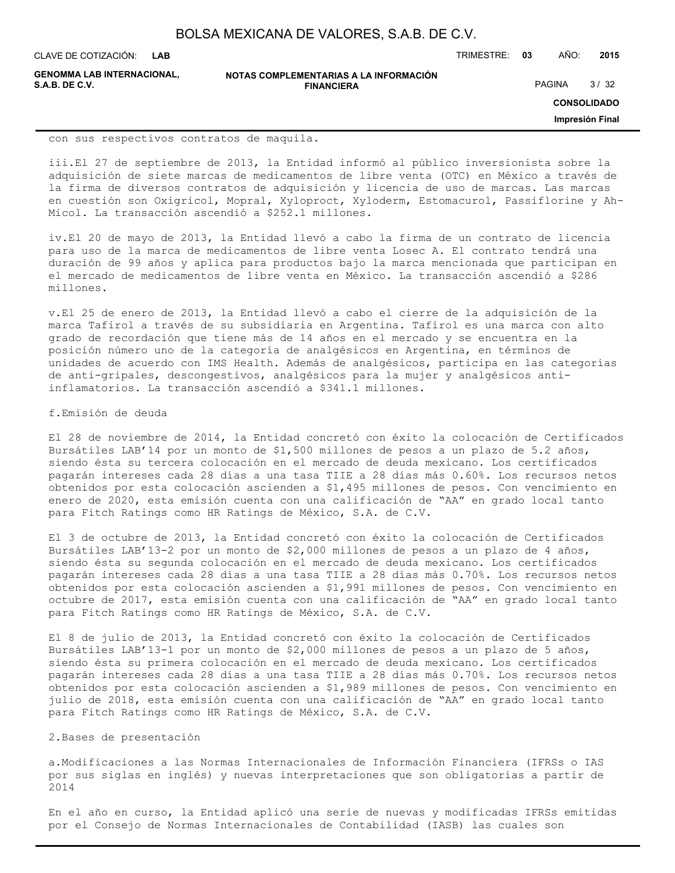**LAB**

CLAVE DE COTIZACIÓN: TRIMESTRE: **03** AÑO: **2015**

**GENOMMA LAB INTERNACIONAL, S.A.B. DE C.V.** PAGINA 3 / 32

**NOTAS COMPLEMENTARIAS A LA INFORMACIÓN FINANCIERA**

**CONSOLIDADO**

**Impresión Final**

con sus respectivos contratos de maquila.

iii.El 27 de septiembre de 2013, la Entidad informó al público inversionista sobre la adquisición de siete marcas de medicamentos de libre venta (OTC) en México a través de la firma de diversos contratos de adquisición y licencia de uso de marcas. Las marcas en cuestión son Oxigricol, Mopral, Xyloproct, Xyloderm, Estomacurol, Passiflorine y Ah-Micol. La transacción ascendió a \$252.1 millones.

iv.El 20 de mayo de 2013, la Entidad llevó a cabo la firma de un contrato de licencia para uso de la marca de medicamentos de libre venta Losec A. El contrato tendrá una duración de 99 años y aplica para productos bajo la marca mencionada que participan en el mercado de medicamentos de libre venta en México. La transacción ascendió a \$286 millones.

v.El 25 de enero de 2013, la Entidad llevó a cabo el cierre de la adquisición de la marca Tafirol a través de su subsidiaria en Argentina. Tafirol es una marca con alto grado de recordación que tiene más de 14 años en el mercado y se encuentra en la posición número uno de la categoría de analgésicos en Argentina, en términos de unidades de acuerdo con IMS Health. Además de analgésicos, participa en las categorías de anti-gripales, descongestivos, analgésicos para la mujer y analgésicos antiinflamatorios. La transacción ascendió a \$341.1 millones.

#### f.Emisión de deuda

El 28 de noviembre de 2014, la Entidad concretó con éxito la colocación de Certificados Bursátiles LAB'14 por un monto de \$1,500 millones de pesos a un plazo de 5.2 años, siendo ésta su tercera colocación en el mercado de deuda mexicano. Los certificados pagarán intereses cada 28 días a una tasa TIIE a 28 días más 0.60%. Los recursos netos obtenidos por esta colocación ascienden a \$1,495 millones de pesos. Con vencimiento en enero de 2020, esta emisión cuenta con una calificación de "AA" en grado local tanto para Fitch Ratings como HR Ratings de México, S.A. de C.V.

El 3 de octubre de 2013, la Entidad concretó con éxito la colocación de Certificados Bursátiles LAB'13-2 por un monto de \$2,000 millones de pesos a un plazo de 4 años, siendo ésta su segunda colocación en el mercado de deuda mexicano. Los certificados pagarán intereses cada 28 días a una tasa TIIE a 28 días más 0.70%. Los recursos netos obtenidos por esta colocación ascienden a \$1,991 millones de pesos. Con vencimiento en octubre de 2017, esta emisión cuenta con una calificación de "AA" en grado local tanto para Fitch Ratings como HR Ratings de México, S.A. de C.V.

El 8 de julio de 2013, la Entidad concretó con éxito la colocación de Certificados Bursátiles LAB'13-1 por un monto de \$2,000 millones de pesos a un plazo de 5 años, siendo ésta su primera colocación en el mercado de deuda mexicano. Los certificados pagarán intereses cada 28 días a una tasa TIIE a 28 días más 0.70%. Los recursos netos obtenidos por esta colocación ascienden a \$1,989 millones de pesos. Con vencimiento en julio de 2018, esta emisión cuenta con una calificación de "AA" en grado local tanto para Fitch Ratings como HR Ratings de México, S.A. de C.V.

### 2.Bases de presentación

a.Modificaciones a las Normas Internacionales de Información Financiera (IFRSs o IAS por sus siglas en inglés) y nuevas interpretaciones que son obligatorias a partir de 2014

En el año en curso, la Entidad aplicó una serie de nuevas y modificadas IFRSs emitidas por el Consejo de Normas Internacionales de Contabilidad (IASB) las cuales son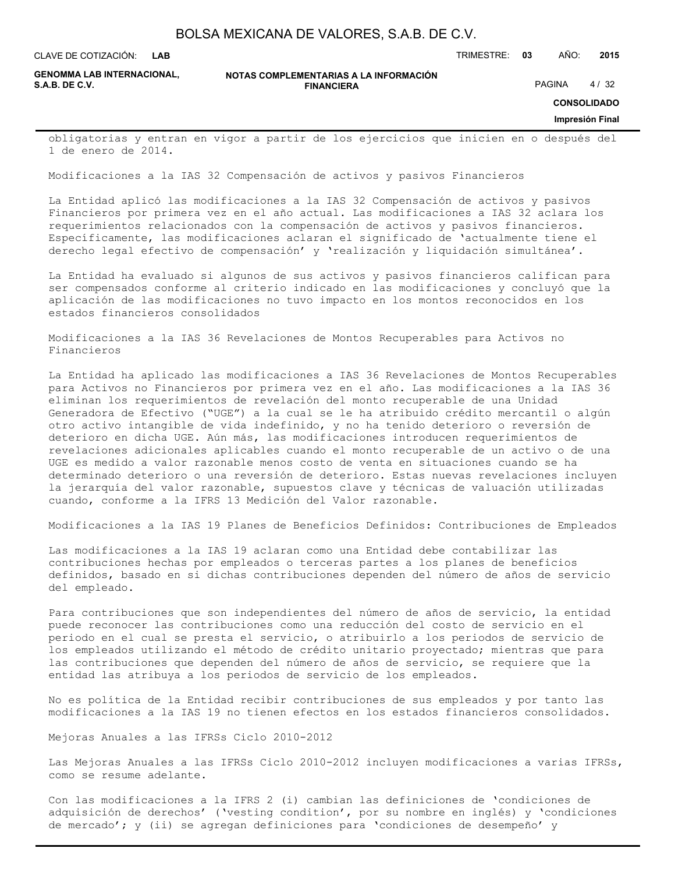**LAB**

CLAVE DE COTIZACIÓN: TRIMESTRE: **03** AÑO: **2015**

**GENOMMA LAB INTERNACIONAL,**

```
NOTAS COMPLEMENTARIAS A LA INFORMACIÓN
                        FINANCIERA
S.A.B. DE C.V. PAGINA 4 / 32
```
**CONSOLIDADO**

#### **Impresión Final**

obligatorias y entran en vigor a partir de los ejercicios que inicien en o después del 1 de enero de 2014.

Modificaciones a la IAS 32 Compensación de activos y pasivos Financieros

La Entidad aplicó las modificaciones a la IAS 32 Compensación de activos y pasivos Financieros por primera vez en el año actual. Las modificaciones a IAS 32 aclara los requerimientos relacionados con la compensación de activos y pasivos financieros. Específicamente, las modificaciones aclaran el significado de 'actualmente tiene el derecho legal efectivo de compensación' y 'realización y liquidación simultánea'.

La Entidad ha evaluado si algunos de sus activos y pasivos financieros califican para ser compensados conforme al criterio indicado en las modificaciones y concluyó que la aplicación de las modificaciones no tuvo impacto en los montos reconocidos en los estados financieros consolidados

Modificaciones a la IAS 36 Revelaciones de Montos Recuperables para Activos no Financieros

La Entidad ha aplicado las modificaciones a IAS 36 Revelaciones de Montos Recuperables para Activos no Financieros por primera vez en el año. Las modificaciones a la IAS 36 eliminan los requerimientos de revelación del monto recuperable de una Unidad Generadora de Efectivo ("UGE") a la cual se le ha atribuido crédito mercantil o algún otro activo intangible de vida indefinido, y no ha tenido deterioro o reversión de deterioro en dicha UGE. Aún más, las modificaciones introducen requerimientos de revelaciones adicionales aplicables cuando el monto recuperable de un activo o de una UGE es medido a valor razonable menos costo de venta en situaciones cuando se ha determinado deterioro o una reversión de deterioro. Estas nuevas revelaciones incluyen la jerarquía del valor razonable, supuestos clave y técnicas de valuación utilizadas cuando, conforme a la IFRS 13 Medición del Valor razonable.

Modificaciones a la IAS 19 Planes de Beneficios Definidos: Contribuciones de Empleados

Las modificaciones a la IAS 19 aclaran como una Entidad debe contabilizar las contribuciones hechas por empleados o terceras partes a los planes de beneficios definidos, basado en si dichas contribuciones dependen del número de años de servicio del empleado.

Para contribuciones que son independientes del número de años de servicio, la entidad puede reconocer las contribuciones como una reducción del costo de servicio en el periodo en el cual se presta el servicio, o atribuirlo a los periodos de servicio de los empleados utilizando el método de crédito unitario proyectado; mientras que para las contribuciones que dependen del número de años de servicio, se requiere que la entidad las atribuya a los periodos de servicio de los empleados.

No es política de la Entidad recibir contribuciones de sus empleados y por tanto las modificaciones a la IAS 19 no tienen efectos en los estados financieros consolidados.

Mejoras Anuales a las IFRSs Ciclo 2010-2012

Las Mejoras Anuales a las IFRSs Ciclo 2010-2012 incluyen modificaciones a varias IFRSs, como se resume adelante.

Con las modificaciones a la IFRS 2 (i) cambian las definiciones de 'condiciones de adquisición de derechos' ('vesting condition', por su nombre en inglés) y 'condiciones de mercado'; y (ii) se agregan definiciones para 'condiciones de desempeño' y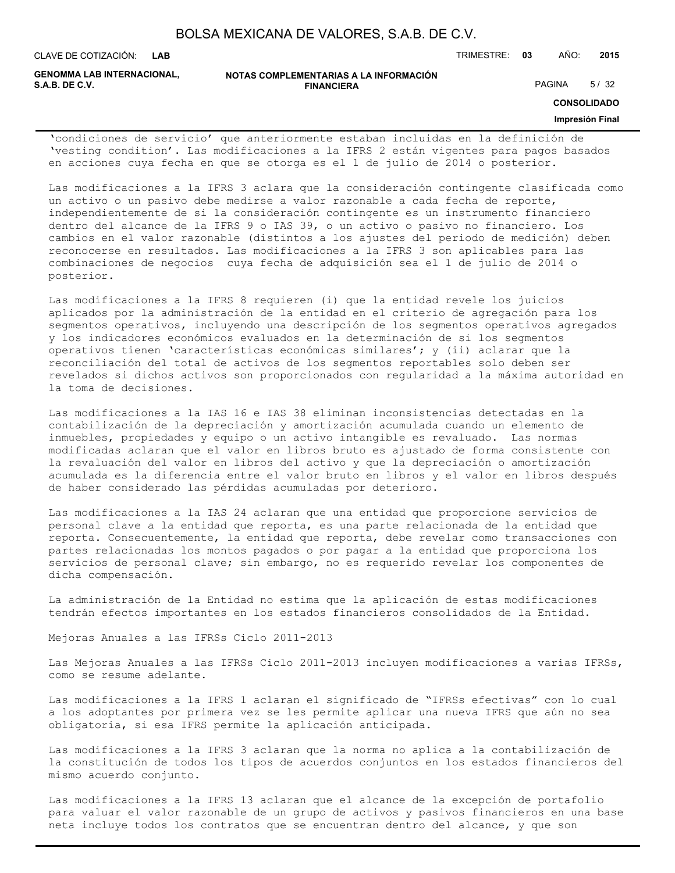| BOLSA MEXICANA DE VALORES, S.A.B. DE C.V. |  |  |
|-------------------------------------------|--|--|
|-------------------------------------------|--|--|

**LAB**

CLAVE DE COTIZACIÓN: TRIMESTRE: **03** AÑO: **2015**

**GENOMMA LAB INTERNACIONAL,**

| <b>GENOMMA LAB INTERNACIONAL.</b> | NOTAS COMPLEMENTARIAS A LA INFORMACIÓN |               |      |
|-----------------------------------|----------------------------------------|---------------|------|
| S.A.B. DE C.V.                    | <b>FINANCIERA</b>                      | <b>PAGINA</b> | 5/32 |

**CONSOLIDADO**

#### **Impresión Final**

'condiciones de servicio' que anteriormente estaban incluidas en la definición de 'vesting condition'. Las modificaciones a la IFRS 2 están vigentes para pagos basados en acciones cuya fecha en que se otorga es el 1 de julio de 2014 o posterior.

Las modificaciones a la IFRS 3 aclara que la consideración contingente clasificada como un activo o un pasivo debe medirse a valor razonable a cada fecha de reporte, independientemente de si la consideración contingente es un instrumento financiero dentro del alcance de la IFRS 9 o IAS 39, o un activo o pasivo no financiero. Los cambios en el valor razonable (distintos a los ajustes del periodo de medición) deben reconocerse en resultados. Las modificaciones a la IFRS 3 son aplicables para las combinaciones de negocios cuya fecha de adquisición sea el 1 de julio de 2014 o posterior.

Las modificaciones a la IFRS 8 requieren (i) que la entidad revele los juicios aplicados por la administración de la entidad en el criterio de agregación para los segmentos operativos, incluyendo una descripción de los segmentos operativos agregados y los indicadores económicos evaluados en la determinación de si los segmentos operativos tienen 'características económicas similares'; y (ii) aclarar que la reconciliación del total de activos de los segmentos reportables solo deben ser revelados si dichos activos son proporcionados con regularidad a la máxima autoridad en la toma de decisiones.

Las modificaciones a la IAS 16 e IAS 38 eliminan inconsistencias detectadas en la contabilización de la depreciación y amortización acumulada cuando un elemento de inmuebles, propiedades y equipo o un activo intangible es revaluado. Las normas modificadas aclaran que el valor en libros bruto es ajustado de forma consistente con la revaluación del valor en libros del activo y que la depreciación o amortización acumulada es la diferencia entre el valor bruto en libros y el valor en libros después de haber considerado las pérdidas acumuladas por deterioro.

Las modificaciones a la IAS 24 aclaran que una entidad que proporcione servicios de personal clave a la entidad que reporta, es una parte relacionada de la entidad que reporta. Consecuentemente, la entidad que reporta, debe revelar como transacciones con partes relacionadas los montos pagados o por pagar a la entidad que proporciona los servicios de personal clave; sin embargo, no es requerido revelar los componentes de dicha compensación.

La administración de la Entidad no estima que la aplicación de estas modificaciones tendrán efectos importantes en los estados financieros consolidados de la Entidad.

Mejoras Anuales a las IFRSs Ciclo 2011-2013

Las Mejoras Anuales a las IFRSs Ciclo 2011-2013 incluyen modificaciones a varias IFRSs, como se resume adelante.

Las modificaciones a la IFRS 1 aclaran el significado de "IFRSs efectivas" con lo cual a los adoptantes por primera vez se les permite aplicar una nueva IFRS que aún no sea obligatoria, si esa IFRS permite la aplicación anticipada.

Las modificaciones a la IFRS 3 aclaran que la norma no aplica a la contabilización de la constitución de todos los tipos de acuerdos conjuntos en los estados financieros del mismo acuerdo conjunto.

Las modificaciones a la IFRS 13 aclaran que el alcance de la excepción de portafolio para valuar el valor razonable de un grupo de activos y pasivos financieros en una base neta incluye todos los contratos que se encuentran dentro del alcance, y que son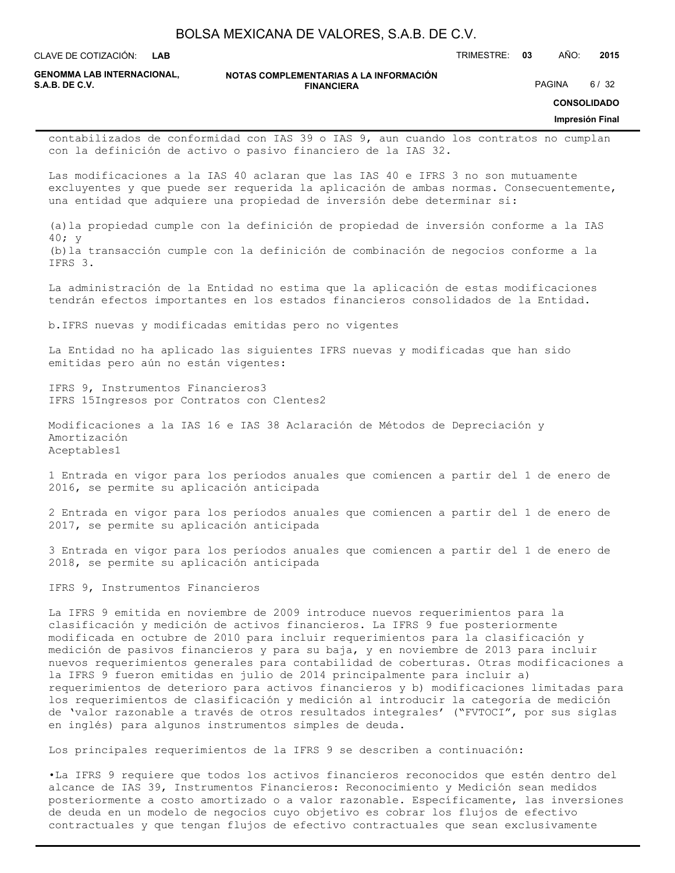**LAB**

CLAVE DE COTIZACIÓN: TRIMESTRE: **03** AÑO: **2015**

**GENOMMA LAB INTERNACIONAL,**

**NOTAS COMPLEMENTARIAS A LA INFORMACIÓN FINANCIERA S.A.B. DE C.V.** PAGINA 6 / 32

**CONSOLIDADO**

#### **Impresión Final**

contabilizados de conformidad con IAS 39 o IAS 9, aun cuando los contratos no cumplan con la definición de activo o pasivo financiero de la IAS 32.

Las modificaciones a la IAS 40 aclaran que las IAS 40 e IFRS 3 no son mutuamente excluyentes y que puede ser requerida la aplicación de ambas normas. Consecuentemente, una entidad que adquiere una propiedad de inversión debe determinar si:

(a)la propiedad cumple con la definición de propiedad de inversión conforme a la IAS 40; y (b)la transacción cumple con la definición de combinación de negocios conforme a la IFRS 3.

La administración de la Entidad no estima que la aplicación de estas modificaciones tendrán efectos importantes en los estados financieros consolidados de la Entidad.

b.IFRS nuevas y modificadas emitidas pero no vigentes

La Entidad no ha aplicado las siguientes IFRS nuevas y modificadas que han sido emitidas pero aún no están vigentes:

IFRS 9, Instrumentos Financieros3 IFRS 15Ingresos por Contratos con Clentes2

Modificaciones a la IAS 16 e IAS 38 Aclaración de Métodos de Depreciación y Amortización Aceptables1

1 Entrada en vigor para los períodos anuales que comiencen a partir del 1 de enero de 2016, se permite su aplicación anticipada

2 Entrada en vigor para los períodos anuales que comiencen a partir del 1 de enero de 2017, se permite su aplicación anticipada

3 Entrada en vigor para los períodos anuales que comiencen a partir del 1 de enero de 2018, se permite su aplicación anticipada

IFRS 9, Instrumentos Financieros

La IFRS 9 emitida en noviembre de 2009 introduce nuevos requerimientos para la clasificación y medición de activos financieros. La IFRS 9 fue posteriormente modificada en octubre de 2010 para incluir requerimientos para la clasificación y medición de pasivos financieros y para su baja, y en noviembre de 2013 para incluir nuevos requerimientos generales para contabilidad de coberturas. Otras modificaciones a la IFRS 9 fueron emitidas en julio de 2014 principalmente para incluir a) requerimientos de deterioro para activos financieros y b) modificaciones limitadas para los requerimientos de clasificación y medición al introducir la categoría de medición de 'valor razonable a través de otros resultados integrales' ("FVTOCI", por sus siglas en inglés) para algunos instrumentos simples de deuda.

Los principales requerimientos de la IFRS 9 se describen a continuación:

•La IFRS 9 requiere que todos los activos financieros reconocidos que estén dentro del alcance de IAS 39, Instrumentos Financieros: Reconocimiento y Medición sean medidos posteriormente a costo amortizado o a valor razonable. Específicamente, las inversiones de deuda en un modelo de negocios cuyo objetivo es cobrar los flujos de efectivo contractuales y que tengan flujos de efectivo contractuales que sean exclusivamente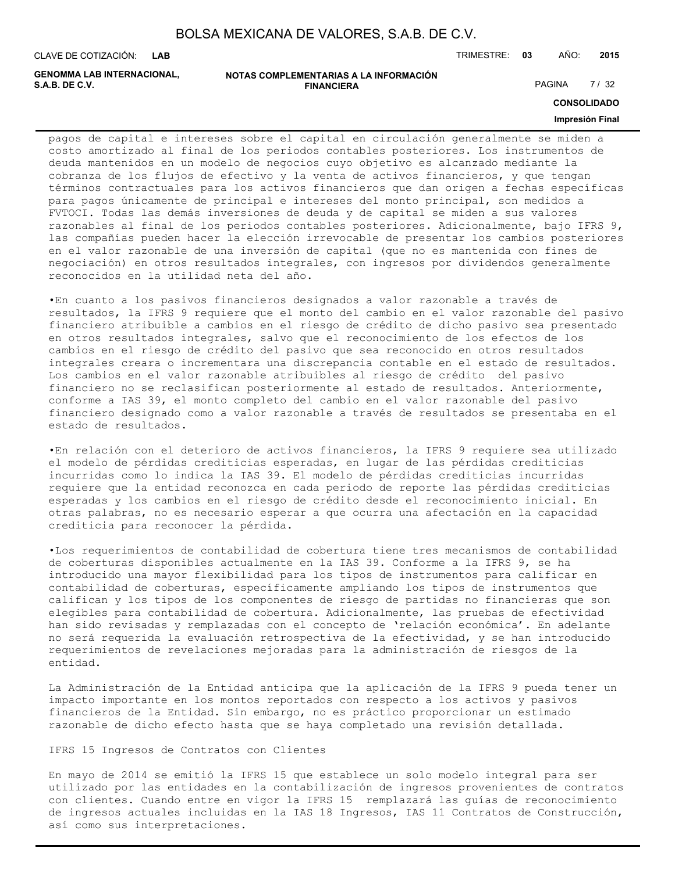**LAB**

CLAVE DE COTIZACIÓN: TRIMESTRE: **03** AÑO: **2015**

**GENOMMA LAB INTERNACIONAL,**

```
NOTAS COMPLEMENTARIAS A LA INFORMACIÓN
                         FINANCIERA
S.A.B. DE C.V. PAGINA 27 / 32
```
**CONSOLIDADO**

#### **Impresión Final**

pagos de capital e intereses sobre el capital en circulación generalmente se miden a costo amortizado al final de los periodos contables posteriores. Los instrumentos de deuda mantenidos en un modelo de negocios cuyo objetivo es alcanzado mediante la cobranza de los flujos de efectivo y la venta de activos financieros, y que tengan términos contractuales para los activos financieros que dan origen a fechas específicas para pagos únicamente de principal e intereses del monto principal, son medidos a FVTOCI. Todas las demás inversiones de deuda y de capital se miden a sus valores razonables al final de los periodos contables posteriores. Adicionalmente, bajo IFRS 9, las compañías pueden hacer la elección irrevocable de presentar los cambios posteriores en el valor razonable de una inversión de capital (que no es mantenida con fines de negociación) en otros resultados integrales, con ingresos por dividendos generalmente reconocidos en la utilidad neta del año.

•En cuanto a los pasivos financieros designados a valor razonable a través de resultados, la IFRS 9 requiere que el monto del cambio en el valor razonable del pasivo financiero atribuible a cambios en el riesgo de crédito de dicho pasivo sea presentado en otros resultados integrales, salvo que el reconocimiento de los efectos de los cambios en el riesgo de crédito del pasivo que sea reconocido en otros resultados integrales creara o incrementara una discrepancia contable en el estado de resultados. Los cambios en el valor razonable atribuibles al riesgo de crédito del pasivo financiero no se reclasifican posteriormente al estado de resultados. Anteriormente, conforme a IAS 39, el monto completo del cambio en el valor razonable del pasivo financiero designado como a valor razonable a través de resultados se presentaba en el estado de resultados.

•En relación con el deterioro de activos financieros, la IFRS 9 requiere sea utilizado el modelo de pérdidas crediticias esperadas, en lugar de las pérdidas crediticias incurridas como lo indica la IAS 39. El modelo de pérdidas crediticias incurridas requiere que la entidad reconozca en cada periodo de reporte las pérdidas crediticias esperadas y los cambios en el riesgo de crédito desde el reconocimiento inicial. En otras palabras, no es necesario esperar a que ocurra una afectación en la capacidad crediticia para reconocer la pérdida.

•Los requerimientos de contabilidad de cobertura tiene tres mecanismos de contabilidad de coberturas disponibles actualmente en la IAS 39. Conforme a la IFRS 9, se ha introducido una mayor flexibilidad para los tipos de instrumentos para calificar en contabilidad de coberturas, específicamente ampliando los tipos de instrumentos que califican y los tipos de los componentes de riesgo de partidas no financieras que son elegibles para contabilidad de cobertura. Adicionalmente, las pruebas de efectividad han sido revisadas y remplazadas con el concepto de 'relación económica'. En adelante no será requerida la evaluación retrospectiva de la efectividad, y se han introducido requerimientos de revelaciones mejoradas para la administración de riesgos de la entidad.

La Administración de la Entidad anticipa que la aplicación de la IFRS 9 pueda tener un impacto importante en los montos reportados con respecto a los activos y pasivos financieros de la Entidad. Sin embargo, no es práctico proporcionar un estimado razonable de dicho efecto hasta que se haya completado una revisión detallada.

IFRS 15 Ingresos de Contratos con Clientes

En mayo de 2014 se emitió la IFRS 15 que establece un solo modelo integral para ser utilizado por las entidades en la contabilización de ingresos provenientes de contratos con clientes. Cuando entre en vigor la IFRS 15 remplazará las guías de reconocimiento de ingresos actuales incluidas en la IAS 18 Ingresos, IAS 11 Contratos de Construcción, así como sus interpretaciones.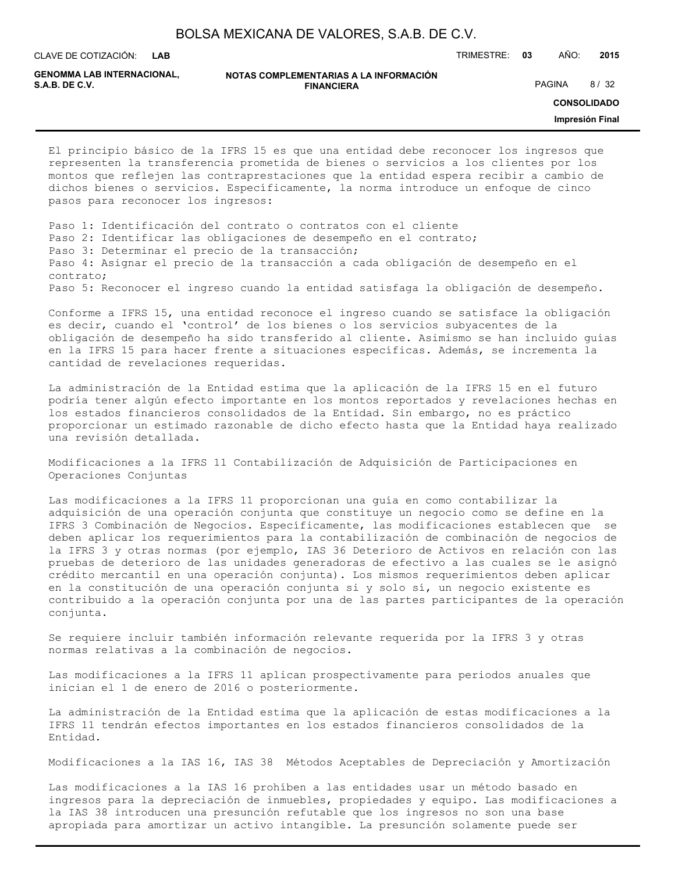**LAB**

CLAVE DE COTIZACIÓN: TRIMESTRE: **03** AÑO: **2015**

**GENOMMA LAB INTERNACIONAL,**

**NOTAS COMPLEMENTARIAS A LA INFORMACIÓN FINANCIERA S.A.B. DE C.V.** PAGINA 8 / 32

**CONSOLIDADO**

**Impresión Final**

El principio básico de la IFRS 15 es que una entidad debe reconocer los ingresos que representen la transferencia prometida de bienes o servicios a los clientes por los montos que reflejen las contraprestaciones que la entidad espera recibir a cambio de dichos bienes o servicios. Específicamente, la norma introduce un enfoque de cinco pasos para reconocer los ingresos:

Paso 1: Identificación del contrato o contratos con el cliente Paso 2: Identificar las obligaciones de desempeño en el contrato; Paso 3: Determinar el precio de la transacción; Paso 4: Asignar el precio de la transacción a cada obligación de desempeño en el contrato; Paso 5: Reconocer el ingreso cuando la entidad satisfaga la obligación de desempeño.

Conforme a IFRS 15, una entidad reconoce el ingreso cuando se satisface la obligación es decir, cuando el 'control' de los bienes o los servicios subyacentes de la obligación de desempeño ha sido transferido al cliente. Asimismo se han incluido guías en la IFRS 15 para hacer frente a situaciones específicas. Además, se incrementa la cantidad de revelaciones requeridas.

La administración de la Entidad estima que la aplicación de la IFRS 15 en el futuro podría tener algún efecto importante en los montos reportados y revelaciones hechas en los estados financieros consolidados de la Entidad. Sin embargo, no es práctico proporcionar un estimado razonable de dicho efecto hasta que la Entidad haya realizado una revisión detallada.

Modificaciones a la IFRS 11 Contabilización de Adquisición de Participaciones en Operaciones Conjuntas

Las modificaciones a la IFRS 11 proporcionan una guía en como contabilizar la adquisición de una operación conjunta que constituye un negocio como se define en la IFRS 3 Combinación de Negocios. Específicamente, las modificaciones establecen que se deben aplicar los requerimientos para la contabilización de combinación de negocios de la IFRS 3 y otras normas (por ejemplo, IAS 36 Deterioro de Activos en relación con las pruebas de deterioro de las unidades generadoras de efectivo a las cuales se le asignó crédito mercantil en una operación conjunta). Los mismos requerimientos deben aplicar en la constitución de una operación conjunta si y solo sí, un negocio existente es contribuido a la operación conjunta por una de las partes participantes de la operación conjunta.

Se requiere incluir también información relevante requerida por la IFRS 3 y otras normas relativas a la combinación de negocios.

Las modificaciones a la IFRS 11 aplican prospectivamente para periodos anuales que inician el 1 de enero de 2016 o posteriormente.

La administración de la Entidad estima que la aplicación de estas modificaciones a la IFRS 11 tendrán efectos importantes en los estados financieros consolidados de la Entidad.

Modificaciones a la IAS 16, IAS 38 Métodos Aceptables de Depreciación y Amortización

Las modificaciones a la IAS 16 prohíben a las entidades usar un método basado en ingresos para la depreciación de inmuebles, propiedades y equipo. Las modificaciones a la IAS 38 introducen una presunción refutable que los ingresos no son una base apropiada para amortizar un activo intangible. La presunción solamente puede ser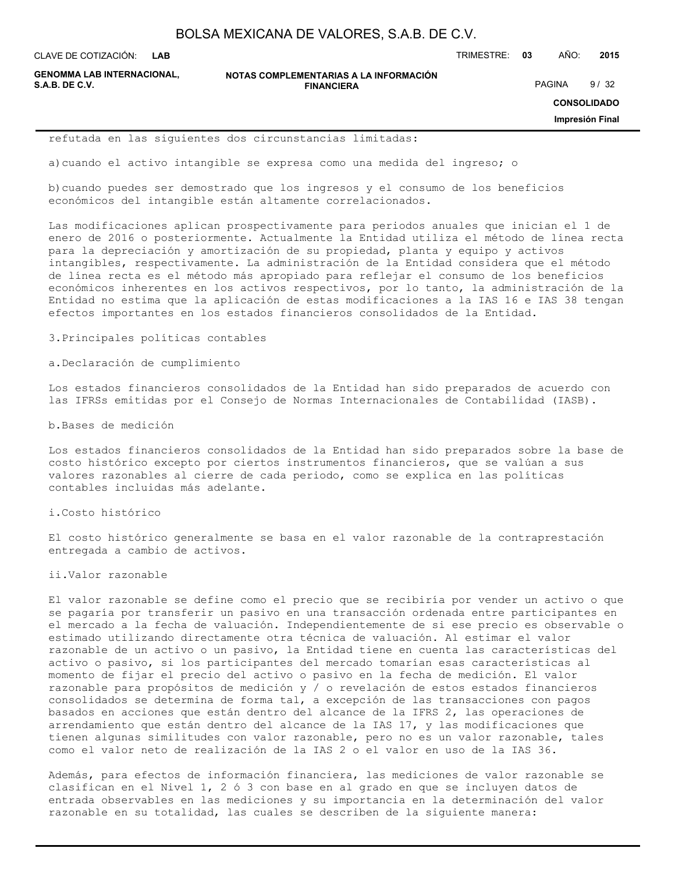**LAB**

CLAVE DE COTIZACIÓN: TRIMESTRE: **03** AÑO: **2015**

**GENOMMA LAB INTERNACIONAL,**

**NOTAS COMPLEMENTARIAS A LA INFORMACIÓN FINANCIERA S.A.B. DE C.V.** PAGINA 9/32

**CONSOLIDADO**

**Impresión Final**

refutada en las siguientes dos circunstancias limitadas:

a)cuando el activo intangible se expresa como una medida del ingreso; o

b)cuando puedes ser demostrado que los ingresos y el consumo de los beneficios económicos del intangible están altamente correlacionados.

Las modificaciones aplican prospectivamente para periodos anuales que inician el 1 de enero de 2016 o posteriormente. Actualmente la Entidad utiliza el método de línea recta para la depreciación y amortización de su propiedad, planta y equipo y activos intangibles, respectivamente. La administración de la Entidad considera que el método de línea recta es el método más apropiado para reflejar el consumo de los beneficios económicos inherentes en los activos respectivos, por lo tanto, la administración de la Entidad no estima que la aplicación de estas modificaciones a la IAS 16 e IAS 38 tengan efectos importantes en los estados financieros consolidados de la Entidad.

3.Principales políticas contables

a.Declaración de cumplimiento

Los estados financieros consolidados de la Entidad han sido preparados de acuerdo con las IFRSs emitidas por el Consejo de Normas Internacionales de Contabilidad (IASB).

b.Bases de medición

Los estados financieros consolidados de la Entidad han sido preparados sobre la base de costo histórico excepto por ciertos instrumentos financieros, que se valúan a sus valores razonables al cierre de cada periodo, como se explica en las políticas contables incluidas más adelante.

i.Costo histórico

El costo histórico generalmente se basa en el valor razonable de la contraprestación entregada a cambio de activos.

ii.Valor razonable

El valor razonable se define como el precio que se recibiría por vender un activo o que se pagaría por transferir un pasivo en una transacción ordenada entre participantes en el mercado a la fecha de valuación. Independientemente de si ese precio es observable o estimado utilizando directamente otra técnica de valuación. Al estimar el valor razonable de un activo o un pasivo, la Entidad tiene en cuenta las características del activo o pasivo, si los participantes del mercado tomarían esas características al momento de fijar el precio del activo o pasivo en la fecha de medición. El valor razonable para propósitos de medición y / o revelación de estos estados financieros consolidados se determina de forma tal, a excepción de las transacciones con pagos basados en acciones que están dentro del alcance de la IFRS 2, las operaciones de arrendamiento que están dentro del alcance de la IAS 17, y las modificaciones que tienen algunas similitudes con valor razonable, pero no es un valor razonable, tales como el valor neto de realización de la IAS 2 o el valor en uso de la IAS 36.

Además, para efectos de información financiera, las mediciones de valor razonable se clasifican en el Nivel 1, 2 ó 3 con base en al grado en que se incluyen datos de entrada observables en las mediciones y su importancia en la determinación del valor razonable en su totalidad, las cuales se describen de la siguiente manera: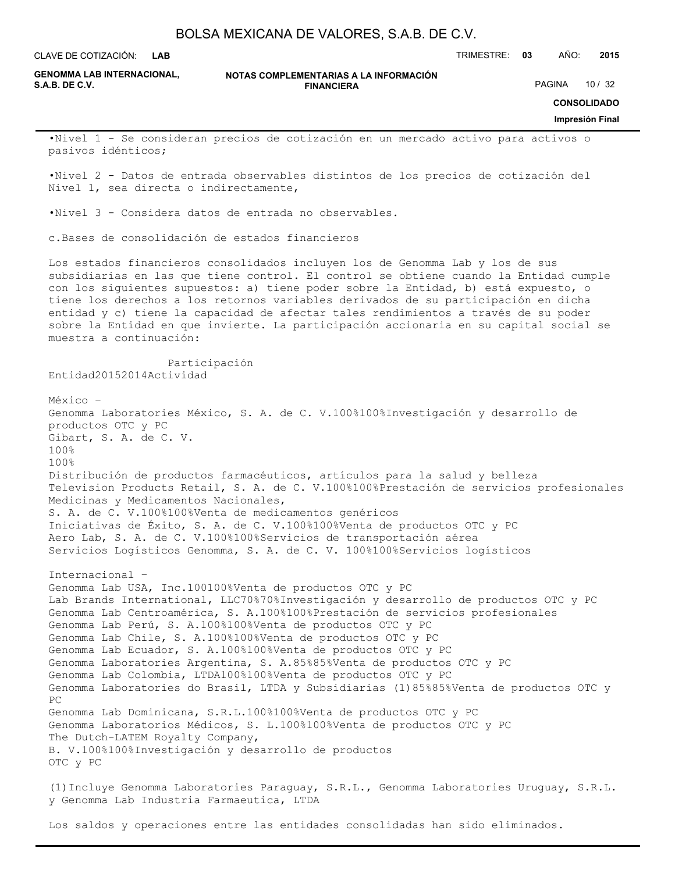**LAB**

CLAVE DE COTIZACIÓN: TRIMESTRE: **03** AÑO: **2015**

**GENOMMA LAB INTERNACIONAL,**

**NOTAS COMPLEMENTARIAS A LA INFORMACIÓN FINANCIERA**

PAGINA 10 / 32

**CONSOLIDADO**

#### **Impresión Final**

•Nivel 1 - Se consideran precios de cotización en un mercado activo para activos o pasivos idénticos;

•Nivel 2 - Datos de entrada observables distintos de los precios de cotización del Nivel 1, sea directa o indirectamente,

•Nivel 3 - Considera datos de entrada no observables.

c.Bases de consolidación de estados financieros

Participación

Los estados financieros consolidados incluyen los de Genomma Lab y los de sus subsidiarias en las que tiene control. El control se obtiene cuando la Entidad cumple con los siguientes supuestos: a) tiene poder sobre la Entidad, b) está expuesto, o tiene los derechos a los retornos variables derivados de su participación en dicha entidad y c) tiene la capacidad de afectar tales rendimientos a través de su poder sobre la Entidad en que invierte. La participación accionaria en su capital social se muestra a continuación:

Entidad20152014Actividad México – Genomma Laboratories México, S. A. de C. V.100%100%Investigación y desarrollo de productos OTC y PC Gibart, S. A. de C. V. 100% 100% Distribución de productos farmacéuticos, artículos para la salud y belleza Television Products Retail, S. A. de C. V.100%100%Prestación de servicios profesionales Medicinas y Medicamentos Nacionales, S. A. de C. V.100%100%Venta de medicamentos genéricos Iniciativas de Éxito, S. A. de C. V.100%100%Venta de productos OTC y PC Aero Lab, S. A. de C. V.100%100%Servicios de transportación aérea Servicios Logísticos Genomma, S. A. de C. V. 100%100%Servicios logísticos Internacional – Genomma Lab USA, Inc.100100%Venta de productos OTC y PC Lab Brands International, LLC70%70%Investigación y desarrollo de productos OTC y PC Genomma Lab Centroamérica, S. A.100%100%Prestación de servicios profesionales Genomma Lab Perú, S. A.100%100%Venta de productos OTC y PC Genomma Lab Chile, S. A.100%100%Venta de productos OTC y PC Genomma Lab Ecuador, S. A.100%100%Venta de productos OTC y PC Genomma Laboratories Argentina, S. A.85%85%Venta de productos OTC y PC Genomma Lab Colombia, LTDA100%100%Venta de productos OTC y PC Genomma Laboratories do Brasil, LTDA y Subsidiarias (1)85%85%Venta de productos OTC y PC Genomma Lab Dominicana, S.R.L.100%100%Venta de productos OTC y PC Genomma Laboratorios Médicos, S. L.100%100%Venta de productos OTC y PC The Dutch-LATEM Royalty Company, B. V.100%100%Investigación y desarrollo de productos OTC y PC (1)Incluye Genomma Laboratories Paraguay, S.R.L., Genomma Laboratories Uruguay, S.R.L.

y Genomma Lab Industria Farmaeutica, LTDA

Los saldos y operaciones entre las entidades consolidadas han sido eliminados.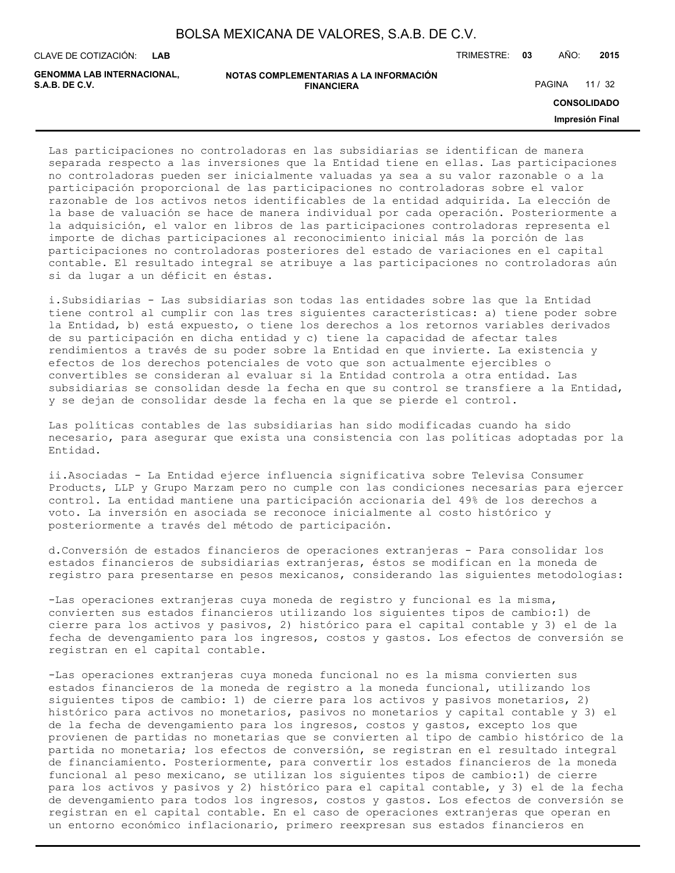**LAB**

CLAVE DE COTIZACIÓN: TRIMESTRE: **03** AÑO: **2015**

**GENOMMA LAB INTERNACIONAL,**

**NOTAS COMPLEMENTARIAS A LA INFORMACIÓN FINANCIERA S.A.B. DE C.V.** PAGINA 11 / 32

**CONSOLIDADO**

**Impresión Final**

Las participaciones no controladoras en las subsidiarias se identifican de manera separada respecto a las inversiones que la Entidad tiene en ellas. Las participaciones no controladoras pueden ser inicialmente valuadas ya sea a su valor razonable o a la participación proporcional de las participaciones no controladoras sobre el valor razonable de los activos netos identificables de la entidad adquirida. La elección de la base de valuación se hace de manera individual por cada operación. Posteriormente a la adquisición, el valor en libros de las participaciones controladoras representa el importe de dichas participaciones al reconocimiento inicial más la porción de las participaciones no controladoras posteriores del estado de variaciones en el capital contable. El resultado integral se atribuye a las participaciones no controladoras aún si da lugar a un déficit en éstas.

i.Subsidiarias - Las subsidiarias son todas las entidades sobre las que la Entidad tiene control al cumplir con las tres siguientes características: a) tiene poder sobre la Entidad, b) está expuesto, o tiene los derechos a los retornos variables derivados de su participación en dicha entidad y c) tiene la capacidad de afectar tales rendimientos a través de su poder sobre la Entidad en que invierte. La existencia y efectos de los derechos potenciales de voto que son actualmente ejercibles o convertibles se consideran al evaluar si la Entidad controla a otra entidad. Las subsidiarias se consolidan desde la fecha en que su control se transfiere a la Entidad, y se dejan de consolidar desde la fecha en la que se pierde el control.

Las políticas contables de las subsidiarias han sido modificadas cuando ha sido necesario, para asegurar que exista una consistencia con las políticas adoptadas por la Entidad.

ii.Asociadas - La Entidad ejerce influencia significativa sobre Televisa Consumer Products, LLP y Grupo Marzam pero no cumple con las condiciones necesarias para ejercer control. La entidad mantiene una participación accionaria del 49% de los derechos a voto. La inversión en asociada se reconoce inicialmente al costo histórico y posteriormente a través del método de participación.

d.Conversión de estados financieros de operaciones extranjeras - Para consolidar los estados financieros de subsidiarias extranjeras, éstos se modifican en la moneda de registro para presentarse en pesos mexicanos, considerando las siguientes metodologías:

-Las operaciones extranjeras cuya moneda de registro y funcional es la misma, convierten sus estados financieros utilizando los siguientes tipos de cambio:1) de cierre para los activos y pasivos, 2) histórico para el capital contable y 3) el de la fecha de devengamiento para los ingresos, costos y gastos. Los efectos de conversión se registran en el capital contable.

-Las operaciones extranjeras cuya moneda funcional no es la misma convierten sus estados financieros de la moneda de registro a la moneda funcional, utilizando los siguientes tipos de cambio: 1) de cierre para los activos y pasivos monetarios, 2) histórico para activos no monetarios, pasivos no monetarios y capital contable y 3) el de la fecha de devengamiento para los ingresos, costos y gastos, excepto los que provienen de partidas no monetarias que se convierten al tipo de cambio histórico de la partida no monetaria; los efectos de conversión, se registran en el resultado integral de financiamiento. Posteriormente, para convertir los estados financieros de la moneda funcional al peso mexicano, se utilizan los siguientes tipos de cambio:1) de cierre para los activos y pasivos y 2) histórico para el capital contable, y 3) el de la fecha de devengamiento para todos los ingresos, costos y gastos. Los efectos de conversión se registran en el capital contable. En el caso de operaciones extranjeras que operan en un entorno económico inflacionario, primero reexpresan sus estados financieros en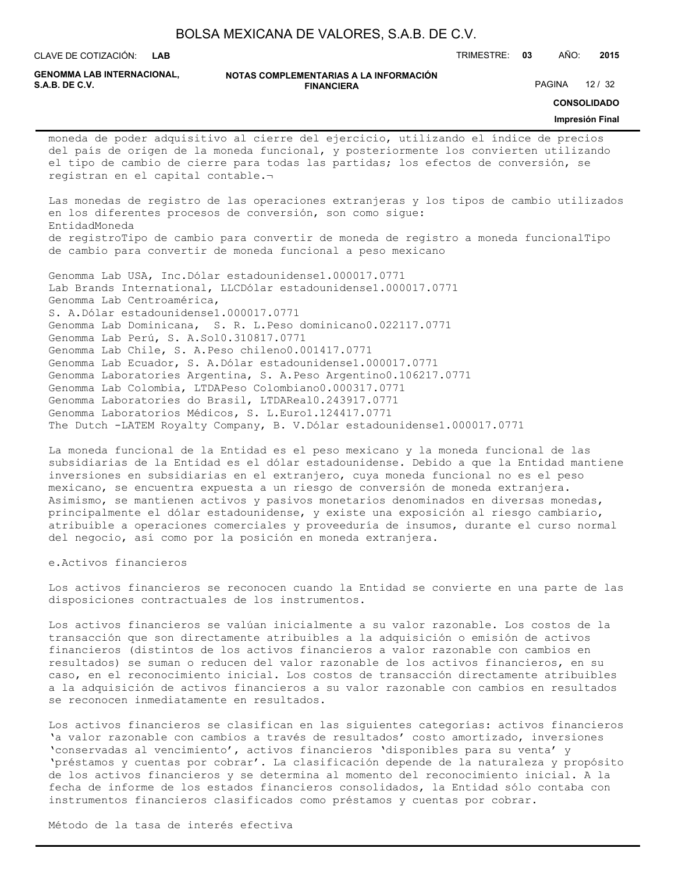**LAB**

CLAVE DE COTIZACIÓN: TRIMESTRE: **03** AÑO: **2015**

**GENOMMA LAB INTERNACIONAL,**

**NOTAS COMPLEMENTARIAS A LA INFORMACIÓN FINANCIERA**

PAGINA 12 / 32

**CONSOLIDADO**

#### **Impresión Final**

moneda de poder adquisitivo al cierre del ejercicio, utilizando el índice de precios del país de origen de la moneda funcional, y posteriormente los convierten utilizando el tipo de cambio de cierre para todas las partidas; los efectos de conversión, se registran en el capital contable.¬

Las monedas de registro de las operaciones extranjeras y los tipos de cambio utilizados en los diferentes procesos de conversión, son como sigue: EntidadMoneda de registroTipo de cambio para convertir de moneda de registro a moneda funcionalTipo de cambio para convertir de moneda funcional a peso mexicano

Genomma Lab USA, Inc.Dólar estadounidense1.000017.0771 Lab Brands International, LLCDólar estadounidense1.000017.0771 Genomma Lab Centroamérica, S. A.Dólar estadounidense1.000017.0771 Genomma Lab Dominicana, S. R. L.Peso dominicano0.022117.0771 Genomma Lab Perú, S. A.Sol0.310817.0771 Genomma Lab Chile, S. A.Peso chileno0.001417.0771 Genomma Lab Ecuador, S. A.Dólar estadounidense1.000017.0771 Genomma Laboratories Argentina, S. A.Peso Argentino0.106217.0771 Genomma Lab Colombia, LTDAPeso Colombiano0.000317.0771 Genomma Laboratories do Brasil, LTDAReal0.243917.0771 Genomma Laboratorios Médicos, S. L.Euro1.124417.0771 The Dutch -LATEM Royalty Company, B. V.Dólar estadounidense1.000017.0771

La moneda funcional de la Entidad es el peso mexicano y la moneda funcional de las subsidiarias de la Entidad es el dólar estadounidense. Debido a que la Entidad mantiene inversiones en subsidiarias en el extranjero, cuya moneda funcional no es el peso mexicano, se encuentra expuesta a un riesgo de conversión de moneda extranjera. Asimismo, se mantienen activos y pasivos monetarios denominados en diversas monedas, principalmente el dólar estadounidense, y existe una exposición al riesgo cambiario, atribuible a operaciones comerciales y proveeduría de insumos, durante el curso normal del negocio, así como por la posición en moneda extranjera.

e.Activos financieros

Los activos financieros se reconocen cuando la Entidad se convierte en una parte de las disposiciones contractuales de los instrumentos.

Los activos financieros se valúan inicialmente a su valor razonable. Los costos de la transacción que son directamente atribuibles a la adquisición o emisión de activos financieros (distintos de los activos financieros a valor razonable con cambios en resultados) se suman o reducen del valor razonable de los activos financieros, en su caso, en el reconocimiento inicial. Los costos de transacción directamente atribuibles a la adquisición de activos financieros a su valor razonable con cambios en resultados se reconocen inmediatamente en resultados.

Los activos financieros se clasifican en las siguientes categorías: activos financieros 'a valor razonable con cambios a través de resultados' costo amortizado, inversiones 'conservadas al vencimiento', activos financieros 'disponibles para su venta' y 'préstamos y cuentas por cobrar'. La clasificación depende de la naturaleza y propósito de los activos financieros y se determina al momento del reconocimiento inicial. A la fecha de informe de los estados financieros consolidados, la Entidad sólo contaba con instrumentos financieros clasificados como préstamos y cuentas por cobrar.

Método de la tasa de interés efectiva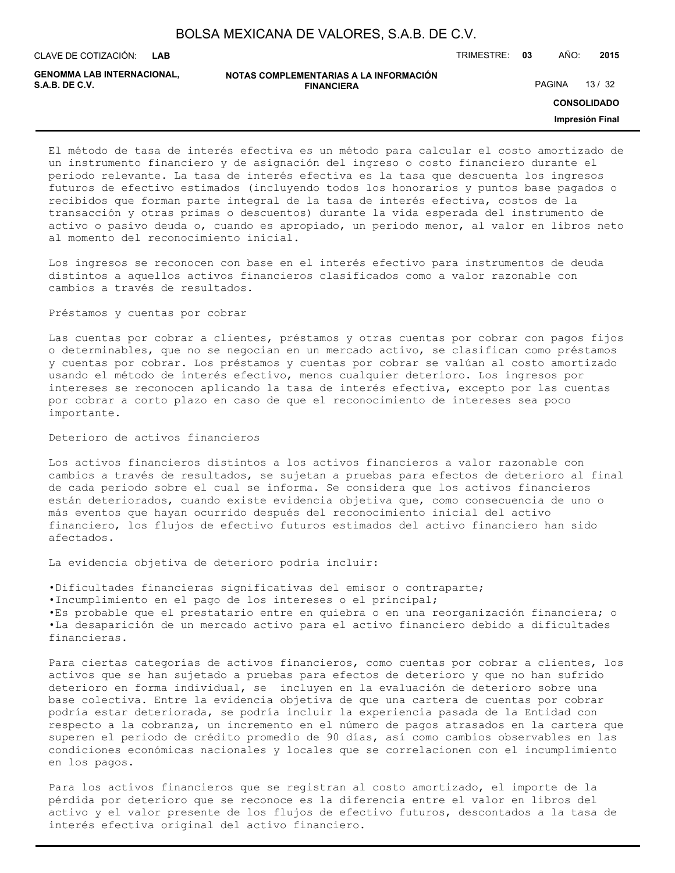| BOLSA MEXICANA DE VALORES, S.A.B. DE C.V. |  |  |
|-------------------------------------------|--|--|
|-------------------------------------------|--|--|

**LAB**

CLAVE DE COTIZACIÓN: TRIMESTRE: **03** AÑO: **2015**

| GENOMMA LAB INTERNACIONAL, | NOTAS COMPLEMENTARIAS A LA INFORMACIÓN |               |       |
|----------------------------|----------------------------------------|---------------|-------|
| S.A.B. DE C.V.             | <b>FINANCIERA</b>                      | <b>PAGINA</b> | 13/32 |

**CONSOLIDADO**

**Impresión Final**

El método de tasa de interés efectiva es un método para calcular el costo amortizado de un instrumento financiero y de asignación del ingreso o costo financiero durante el periodo relevante. La tasa de interés efectiva es la tasa que descuenta los ingresos futuros de efectivo estimados (incluyendo todos los honorarios y puntos base pagados o recibidos que forman parte integral de la tasa de interés efectiva, costos de la transacción y otras primas o descuentos) durante la vida esperada del instrumento de activo o pasivo deuda o, cuando es apropiado, un periodo menor, al valor en libros neto al momento del reconocimiento inicial.

Los ingresos se reconocen con base en el interés efectivo para instrumentos de deuda distintos a aquellos activos financieros clasificados como a valor razonable con cambios a través de resultados.

#### Préstamos y cuentas por cobrar

Las cuentas por cobrar a clientes, préstamos y otras cuentas por cobrar con pagos fijos o determinables, que no se negocian en un mercado activo, se clasifican como préstamos y cuentas por cobrar. Los préstamos y cuentas por cobrar se valúan al costo amortizado usando el método de interés efectivo, menos cualquier deterioro. Los ingresos por intereses se reconocen aplicando la tasa de interés efectiva, excepto por las cuentas por cobrar a corto plazo en caso de que el reconocimiento de intereses sea poco importante.

### Deterioro de activos financieros

Los activos financieros distintos a los activos financieros a valor razonable con cambios a través de resultados, se sujetan a pruebas para efectos de deterioro al final de cada periodo sobre el cual se informa. Se considera que los activos financieros están deteriorados, cuando existe evidencia objetiva que, como consecuencia de uno o más eventos que hayan ocurrido después del reconocimiento inicial del activo financiero, los flujos de efectivo futuros estimados del activo financiero han sido afectados.

La evidencia objetiva de deterioro podría incluir:

•Dificultades financieras significativas del emisor o contraparte;

•Incumplimiento en el pago de los intereses o el principal;

•Es probable que el prestatario entre en quiebra o en una reorganización financiera; o •La desaparición de un mercado activo para el activo financiero debido a dificultades financieras.

Para ciertas categorías de activos financieros, como cuentas por cobrar a clientes, los activos que se han sujetado a pruebas para efectos de deterioro y que no han sufrido deterioro en forma individual, se incluyen en la evaluación de deterioro sobre una base colectiva. Entre la evidencia objetiva de que una cartera de cuentas por cobrar podría estar deteriorada, se podría incluir la experiencia pasada de la Entidad con respecto a la cobranza, un incremento en el número de pagos atrasados en la cartera que superen el periodo de crédito promedio de 90 días, así como cambios observables en las condiciones económicas nacionales y locales que se correlacionen con el incumplimiento en los pagos.

Para los activos financieros que se registran al costo amortizado, el importe de la pérdida por deterioro que se reconoce es la diferencia entre el valor en libros del activo y el valor presente de los flujos de efectivo futuros, descontados a la tasa de interés efectiva original del activo financiero.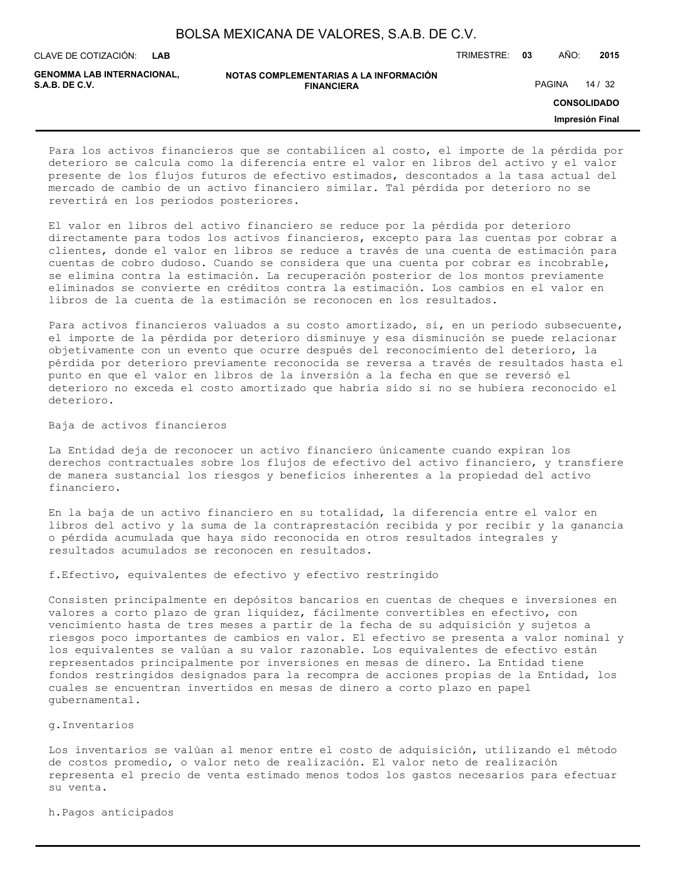| BOLSA MEXICANA DE VALORES, S.A.B. DE C.V. |  |
|-------------------------------------------|--|
|-------------------------------------------|--|

**LAB**

CLAVE DE COTIZACIÓN: TRIMESTRE: **03** AÑO: **2015**

**GENOMMA LAB INTERNACIONAL,**

| NOTAS COMPLEMENTARIAS A LA INFORMACIÓN |
|----------------------------------------|
| <b>FINANCIERA</b>                      |

PAGINA 14 / 32

**CONSOLIDADO**

**Impresión Final**

Para los activos financieros que se contabilicen al costo, el importe de la pérdida por deterioro se calcula como la diferencia entre el valor en libros del activo y el valor presente de los flujos futuros de efectivo estimados, descontados a la tasa actual del mercado de cambio de un activo financiero similar. Tal pérdida por deterioro no se revertirá en los periodos posteriores.

El valor en libros del activo financiero se reduce por la pérdida por deterioro directamente para todos los activos financieros, excepto para las cuentas por cobrar a clientes, donde el valor en libros se reduce a través de una cuenta de estimación para cuentas de cobro dudoso. Cuando se considera que una cuenta por cobrar es incobrable, se elimina contra la estimación. La recuperación posterior de los montos previamente eliminados se convierte en créditos contra la estimación. Los cambios en el valor en libros de la cuenta de la estimación se reconocen en los resultados.

Para activos financieros valuados a su costo amortizado, si, en un periodo subsecuente, el importe de la pérdida por deterioro disminuye y esa disminución se puede relacionar objetivamente con un evento que ocurre después del reconocimiento del deterioro, la pérdida por deterioro previamente reconocida se reversa a través de resultados hasta el punto en que el valor en libros de la inversión a la fecha en que se reversó el deterioro no exceda el costo amortizado que habría sido si no se hubiera reconocido el deterioro.

Baja de activos financieros

La Entidad deja de reconocer un activo financiero únicamente cuando expiran los derechos contractuales sobre los flujos de efectivo del activo financiero, y transfiere de manera sustancial los riesgos y beneficios inherentes a la propiedad del activo financiero.

En la baja de un activo financiero en su totalidad, la diferencia entre el valor en libros del activo y la suma de la contraprestación recibida y por recibir y la ganancia o pérdida acumulada que haya sido reconocida en otros resultados integrales y resultados acumulados se reconocen en resultados.

f.Efectivo, equivalentes de efectivo y efectivo restringido

Consisten principalmente en depósitos bancarios en cuentas de cheques e inversiones en valores a corto plazo de gran liquidez, fácilmente convertibles en efectivo, con vencimiento hasta de tres meses a partir de la fecha de su adquisición y sujetos a riesgos poco importantes de cambios en valor. El efectivo se presenta a valor nominal y los equivalentes se valúan a su valor razonable. Los equivalentes de efectivo están representados principalmente por inversiones en mesas de dinero. La Entidad tiene fondos restringidos designados para la recompra de acciones propias de la Entidad, los cuales se encuentran invertidos en mesas de dinero a corto plazo en papel gubernamental.

g.Inventarios

Los inventarios se valúan al menor entre el costo de adquisición, utilizando el método de costos promedio, o valor neto de realización. El valor neto de realización representa el precio de venta estimado menos todos los gastos necesarios para efectuar su venta.

h.Pagos anticipados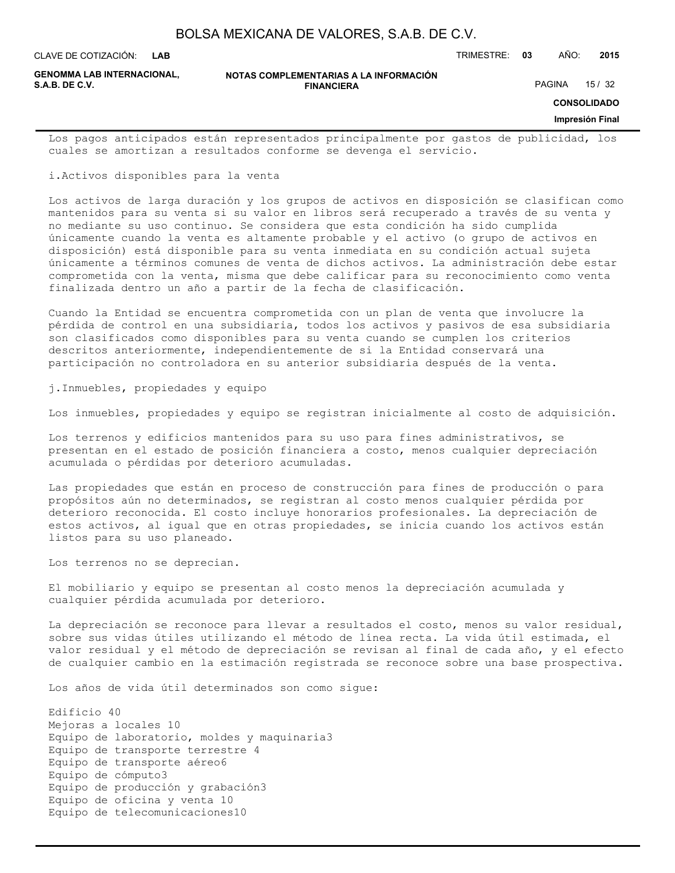**LAB**

CLAVE DE COTIZACIÓN: TRIMESTRE: **03** AÑO: **2015**

**GENOMMA LAB INTERNACIONAL,**

**NOTAS COMPLEMENTARIAS A LA INFORMACIÓN FINANCIERA S.A.B. DE C.V.** PAGINA 15 / 32

**CONSOLIDADO**

#### **Impresión Final**

Los pagos anticipados están representados principalmente por gastos de publicidad, los cuales se amortizan a resultados conforme se devenga el servicio.

i.Activos disponibles para la venta

Los activos de larga duración y los grupos de activos en disposición se clasifican como mantenidos para su venta si su valor en libros será recuperado a través de su venta y no mediante su uso continuo. Se considera que esta condición ha sido cumplida únicamente cuando la venta es altamente probable y el activo (o grupo de activos en disposición) está disponible para su venta inmediata en su condición actual sujeta únicamente a términos comunes de venta de dichos activos. La administración debe estar comprometida con la venta, misma que debe calificar para su reconocimiento como venta finalizada dentro un año a partir de la fecha de clasificación.

Cuando la Entidad se encuentra comprometida con un plan de venta que involucre la pérdida de control en una subsidiaria, todos los activos y pasivos de esa subsidiaria son clasificados como disponibles para su venta cuando se cumplen los criterios descritos anteriormente, independientemente de si la Entidad conservará una participación no controladora en su anterior subsidiaria después de la venta.

j.Inmuebles, propiedades y equipo

Los inmuebles, propiedades y equipo se registran inicialmente al costo de adquisición.

Los terrenos y edificios mantenidos para su uso para fines administrativos, se presentan en el estado de posición financiera a costo, menos cualquier depreciación acumulada o pérdidas por deterioro acumuladas.

Las propiedades que están en proceso de construcción para fines de producción o para propósitos aún no determinados, se registran al costo menos cualquier pérdida por deterioro reconocida. El costo incluye honorarios profesionales. La depreciación de estos activos, al igual que en otras propiedades, se inicia cuando los activos están listos para su uso planeado.

Los terrenos no se deprecian.

El mobiliario y equipo se presentan al costo menos la depreciación acumulada y cualquier pérdida acumulada por deterioro.

La depreciación se reconoce para llevar a resultados el costo, menos su valor residual, sobre sus vidas útiles utilizando el método de línea recta. La vida útil estimada, el valor residual y el método de depreciación se revisan al final de cada año, y el efecto de cualquier cambio en la estimación registrada se reconoce sobre una base prospectiva.

Los años de vida útil determinados son como sigue:

Edificio 40 Mejoras a locales 10 Equipo de laboratorio, moldes y maquinaria3 Equipo de transporte terrestre 4 Equipo de transporte aéreo6 Equipo de cómputo3 Equipo de producción y grabación3 Equipo de oficina y venta 10 Equipo de telecomunicaciones10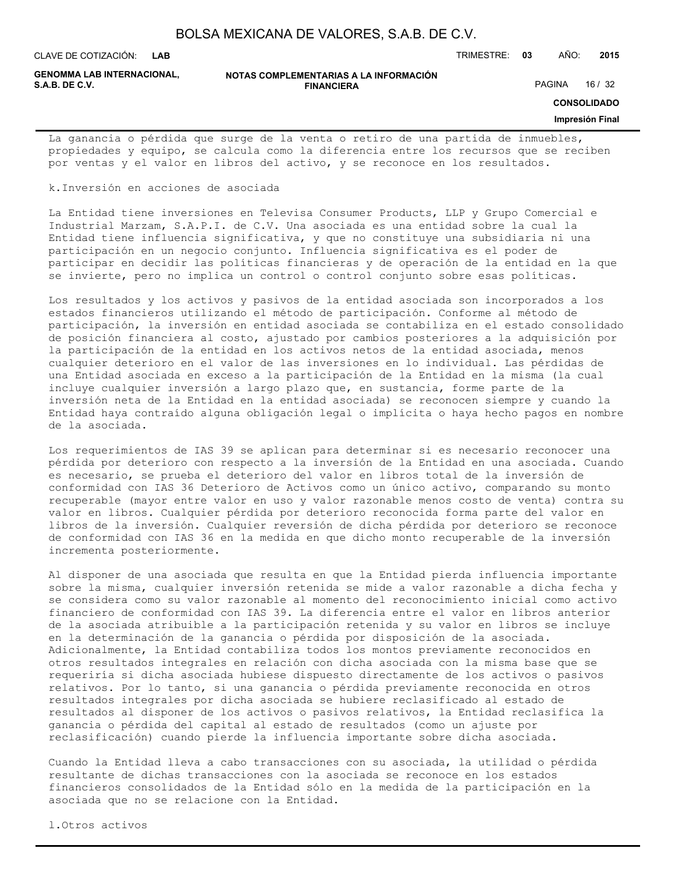**LAB**

CLAVE DE COTIZACIÓN: TRIMESTRE: **03** AÑO: **2015**

**GENOMMA LAB INTERNACIONAL,**

#### **NOTAS COMPLEMENTARIAS A LA INFORMACIÓN FINANCIERA S.A.B. DE C.V.** And the same of the set of the set of the set of the set of the set of the set of the set of the set of the set of the set of the set of the set of the set of the set of the set of the set of the set of th

**CONSOLIDADO**

#### **Impresión Final**

La ganancia o pérdida que surge de la venta o retiro de una partida de inmuebles, propiedades y equipo, se calcula como la diferencia entre los recursos que se reciben por ventas y el valor en libros del activo, y se reconoce en los resultados.

k.Inversión en acciones de asociada

La Entidad tiene inversiones en Televisa Consumer Products, LLP y Grupo Comercial e Industrial Marzam, S.A.P.I. de C.V. Una asociada es una entidad sobre la cual la Entidad tiene influencia significativa, y que no constituye una subsidiaria ni una participación en un negocio conjunto. Influencia significativa es el poder de participar en decidir las políticas financieras y de operación de la entidad en la que se invierte, pero no implica un control o control conjunto sobre esas políticas.

Los resultados y los activos y pasivos de la entidad asociada son incorporados a los estados financieros utilizando el método de participación. Conforme al método de participación, la inversión en entidad asociada se contabiliza en el estado consolidado de posición financiera al costo, ajustado por cambios posteriores a la adquisición por la participación de la entidad en los activos netos de la entidad asociada, menos cualquier deterioro en el valor de las inversiones en lo individual. Las pérdidas de una Entidad asociada en exceso a la participación de la Entidad en la misma (la cual incluye cualquier inversión a largo plazo que, en sustancia, forme parte de la inversión neta de la Entidad en la entidad asociada) se reconocen siempre y cuando la Entidad haya contraído alguna obligación legal o implícita o haya hecho pagos en nombre de la asociada.

Los requerimientos de IAS 39 se aplican para determinar si es necesario reconocer una pérdida por deterioro con respecto a la inversión de la Entidad en una asociada. Cuando es necesario, se prueba el deterioro del valor en libros total de la inversión de conformidad con IAS 36 Deterioro de Activos como un único activo, comparando su monto recuperable (mayor entre valor en uso y valor razonable menos costo de venta) contra su valor en libros. Cualquier pérdida por deterioro reconocida forma parte del valor en libros de la inversión. Cualquier reversión de dicha pérdida por deterioro se reconoce de conformidad con IAS 36 en la medida en que dicho monto recuperable de la inversión incrementa posteriormente.

Al disponer de una asociada que resulta en que la Entidad pierda influencia importante sobre la misma, cualquier inversión retenida se mide a valor razonable a dicha fecha y se considera como su valor razonable al momento del reconocimiento inicial como activo financiero de conformidad con IAS 39. La diferencia entre el valor en libros anterior de la asociada atribuible a la participación retenida y su valor en libros se incluye en la determinación de la ganancia o pérdida por disposición de la asociada. Adicionalmente, la Entidad contabiliza todos los montos previamente reconocidos en otros resultados integrales en relación con dicha asociada con la misma base que se requeriría si dicha asociada hubiese dispuesto directamente de los activos o pasivos relativos. Por lo tanto, si una ganancia o pérdida previamente reconocida en otros resultados integrales por dicha asociada se hubiere reclasificado al estado de resultados al disponer de los activos o pasivos relativos, la Entidad reclasifica la ganancia o pérdida del capital al estado de resultados (como un ajuste por reclasificación) cuando pierde la influencia importante sobre dicha asociada.

Cuando la Entidad lleva a cabo transacciones con su asociada, la utilidad o pérdida resultante de dichas transacciones con la asociada se reconoce en los estados financieros consolidados de la Entidad sólo en la medida de la participación en la asociada que no se relacione con la Entidad.

l.Otros activos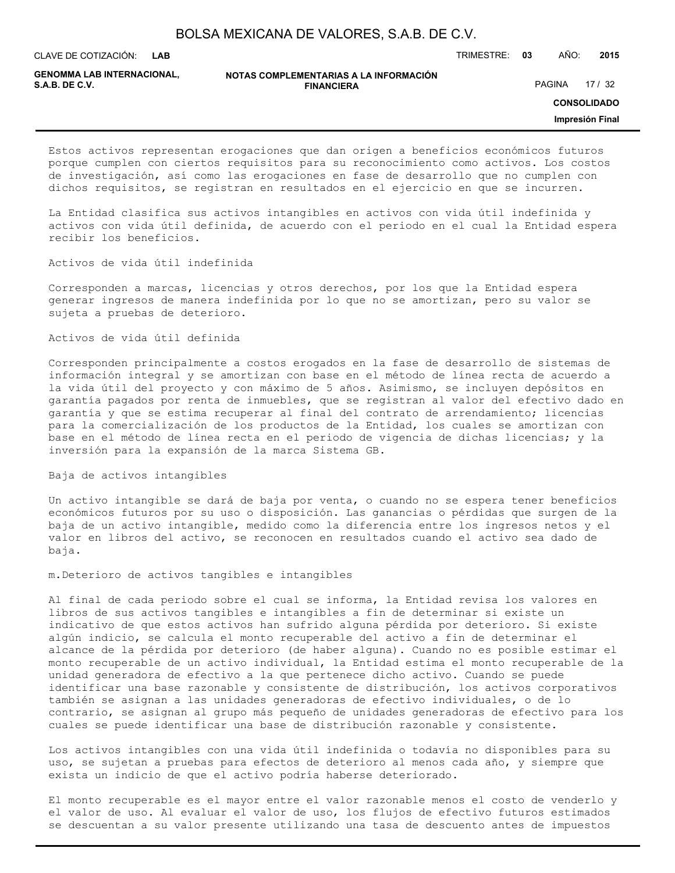**LAB**

CLAVE DE COTIZACIÓN: TRIMESTRE: **03** AÑO: **2015**

**GENOMMA LAB INTERNACIONAL,**

**NOTAS COMPLEMENTARIAS A LA INFORMACIÓN FINANCIERA S.A.B. DE C.V.** PAGINA 17 / 32

**CONSOLIDADO**

**Impresión Final**

Estos activos representan erogaciones que dan origen a beneficios económicos futuros porque cumplen con ciertos requisitos para su reconocimiento como activos. Los costos de investigación, así como las erogaciones en fase de desarrollo que no cumplen con dichos requisitos, se registran en resultados en el ejercicio en que se incurren.

La Entidad clasifica sus activos intangibles en activos con vida útil indefinida y activos con vida útil definida, de acuerdo con el periodo en el cual la Entidad espera recibir los beneficios.

Activos de vida útil indefinida

Corresponden a marcas, licencias y otros derechos, por los que la Entidad espera generar ingresos de manera indefinida por lo que no se amortizan, pero su valor se sujeta a pruebas de deterioro.

Activos de vida útil definida

Corresponden principalmente a costos erogados en la fase de desarrollo de sistemas de información integral y se amortizan con base en el método de línea recta de acuerdo a la vida útil del proyecto y con máximo de 5 años. Asimismo, se incluyen depósitos en garantía pagados por renta de inmuebles, que se registran al valor del efectivo dado en garantía y que se estima recuperar al final del contrato de arrendamiento; licencias para la comercialización de los productos de la Entidad, los cuales se amortizan con base en el método de línea recta en el periodo de vigencia de dichas licencias; y la inversión para la expansión de la marca Sistema GB.

Baja de activos intangibles

Un activo intangible se dará de baja por venta, o cuando no se espera tener beneficios económicos futuros por su uso o disposición. Las ganancias o pérdidas que surgen de la baja de un activo intangible, medido como la diferencia entre los ingresos netos y el valor en libros del activo, se reconocen en resultados cuando el activo sea dado de baja.

m.Deterioro de activos tangibles e intangibles

Al final de cada periodo sobre el cual se informa, la Entidad revisa los valores en libros de sus activos tangibles e intangibles a fin de determinar si existe un indicativo de que estos activos han sufrido alguna pérdida por deterioro. Si existe algún indicio, se calcula el monto recuperable del activo a fin de determinar el alcance de la pérdida por deterioro (de haber alguna). Cuando no es posible estimar el monto recuperable de un activo individual, la Entidad estima el monto recuperable de la unidad generadora de efectivo a la que pertenece dicho activo. Cuando se puede identificar una base razonable y consistente de distribución, los activos corporativos también se asignan a las unidades generadoras de efectivo individuales, o de lo contrario, se asignan al grupo más pequeño de unidades generadoras de efectivo para los cuales se puede identificar una base de distribución razonable y consistente.

Los activos intangibles con una vida útil indefinida o todavía no disponibles para su uso, se sujetan a pruebas para efectos de deterioro al menos cada año, y siempre que exista un indicio de que el activo podría haberse deteriorado.

El monto recuperable es el mayor entre el valor razonable menos el costo de venderlo y el valor de uso. Al evaluar el valor de uso, los flujos de efectivo futuros estimados se descuentan a su valor presente utilizando una tasa de descuento antes de impuestos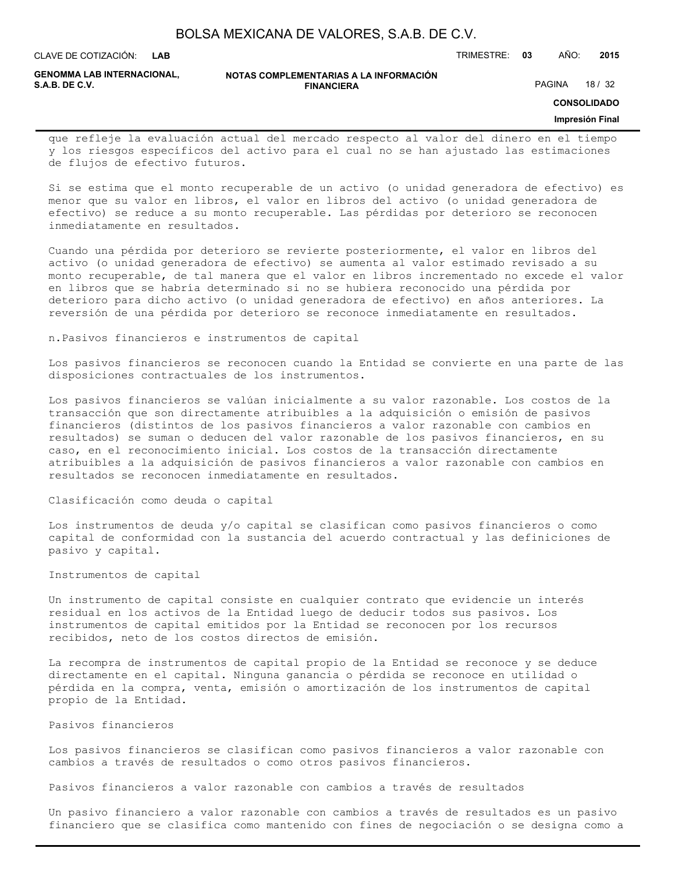| BOLSA MEXICANA DE VALORES, S.A.B. DE C.V. |  |  |  |
|-------------------------------------------|--|--|--|
|-------------------------------------------|--|--|--|

**LAB**

CLAVE DE COTIZACIÓN: TRIMESTRE: **03** AÑO: **2015**

**GENOMMA LAB INTERNACIONAL,**

**NOTAS COMPLEMENTARIAS A LA INFORMACIÓN FINANCIERA**

PAGINA 18 / 32

**CONSOLIDADO**

#### **Impresión Final**

que refleje la evaluación actual del mercado respecto al valor del dinero en el tiempo y los riesgos específicos del activo para el cual no se han ajustado las estimaciones de flujos de efectivo futuros.

Si se estima que el monto recuperable de un activo (o unidad generadora de efectivo) es menor que su valor en libros, el valor en libros del activo (o unidad generadora de efectivo) se reduce a su monto recuperable. Las pérdidas por deterioro se reconocen inmediatamente en resultados.

Cuando una pérdida por deterioro se revierte posteriormente, el valor en libros del activo (o unidad generadora de efectivo) se aumenta al valor estimado revisado a su monto recuperable, de tal manera que el valor en libros incrementado no excede el valor en libros que se habría determinado si no se hubiera reconocido una pérdida por deterioro para dicho activo (o unidad generadora de efectivo) en años anteriores. La reversión de una pérdida por deterioro se reconoce inmediatamente en resultados.

n.Pasivos financieros e instrumentos de capital

Los pasivos financieros se reconocen cuando la Entidad se convierte en una parte de las disposiciones contractuales de los instrumentos.

Los pasivos financieros se valúan inicialmente a su valor razonable. Los costos de la transacción que son directamente atribuibles a la adquisición o emisión de pasivos financieros (distintos de los pasivos financieros a valor razonable con cambios en resultados) se suman o deducen del valor razonable de los pasivos financieros, en su caso, en el reconocimiento inicial. Los costos de la transacción directamente atribuibles a la adquisición de pasivos financieros a valor razonable con cambios en resultados se reconocen inmediatamente en resultados.

#### Clasificación como deuda o capital

Los instrumentos de deuda y/o capital se clasifican como pasivos financieros o como capital de conformidad con la sustancia del acuerdo contractual y las definiciones de pasivo y capital.

#### Instrumentos de capital

Un instrumento de capital consiste en cualquier contrato que evidencie un interés residual en los activos de la Entidad luego de deducir todos sus pasivos. Los instrumentos de capital emitidos por la Entidad se reconocen por los recursos recibidos, neto de los costos directos de emisión.

La recompra de instrumentos de capital propio de la Entidad se reconoce y se deduce directamente en el capital. Ninguna ganancia o pérdida se reconoce en utilidad o pérdida en la compra, venta, emisión o amortización de los instrumentos de capital propio de la Entidad.

Pasivos financieros

Los pasivos financieros se clasifican como pasivos financieros a valor razonable con cambios a través de resultados o como otros pasivos financieros.

Pasivos financieros a valor razonable con cambios a través de resultados

Un pasivo financiero a valor razonable con cambios a través de resultados es un pasivo financiero que se clasifica como mantenido con fines de negociación o se designa como a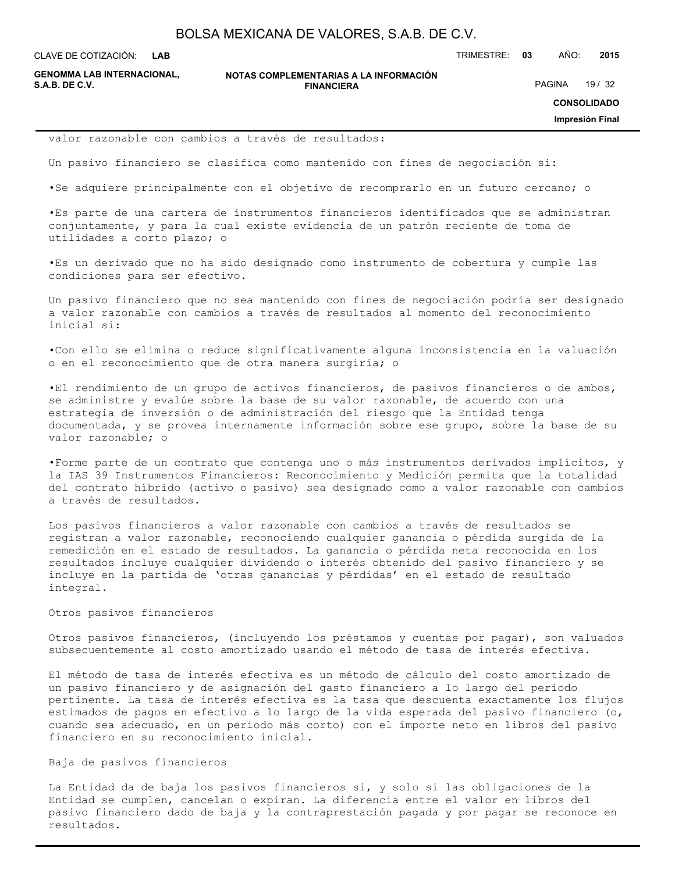**LAB**

CLAVE DE COTIZACIÓN: TRIMESTRE: **03** AÑO: **2015**

**GENOMMA LAB INTERNACIONAL,**

**NOTAS COMPLEMENTARIAS A LA INFORMACIÓN FINANCIERA**

PAGINA 19 / 32

**CONSOLIDADO**

**Impresión Final**

valor razonable con cambios a través de resultados:

Un pasivo financiero se clasifica como mantenido con fines de negociación si:

•Se adquiere principalmente con el objetivo de recomprarlo en un futuro cercano; o

•Es parte de una cartera de instrumentos financieros identificados que se administran conjuntamente, y para la cual existe evidencia de un patrón reciente de toma de utilidades a corto plazo; o

•Es un derivado que no ha sido designado como instrumento de cobertura y cumple las condiciones para ser efectivo.

Un pasivo financiero que no sea mantenido con fines de negociación podría ser designado a valor razonable con cambios a través de resultados al momento del reconocimiento inicial si:

•Con ello se elimina o reduce significativamente alguna inconsistencia en la valuación o en el reconocimiento que de otra manera surgiría; o

•El rendimiento de un grupo de activos financieros, de pasivos financieros o de ambos, se administre y evalúe sobre la base de su valor razonable, de acuerdo con una estrategia de inversión o de administración del riesgo que la Entidad tenga documentada, y se provea internamente información sobre ese grupo, sobre la base de su valor razonable; o

•Forme parte de un contrato que contenga uno o más instrumentos derivados implícitos, y la IAS 39 Instrumentos Financieros: Reconocimiento y Medición permita que la totalidad del contrato híbrido (activo o pasivo) sea designado como a valor razonable con cambios a través de resultados.

Los pasivos financieros a valor razonable con cambios a través de resultados se registran a valor razonable, reconociendo cualquier ganancia o pérdida surgida de la remedición en el estado de resultados. La ganancia o pérdida neta reconocida en los resultados incluye cualquier dividendo o interés obtenido del pasivo financiero y se incluye en la partida de 'otras ganancias y pérdidas' en el estado de resultado integral.

#### Otros pasivos financieros

Otros pasivos financieros, (incluyendo los préstamos y cuentas por pagar), son valuados subsecuentemente al costo amortizado usando el método de tasa de interés efectiva.

El método de tasa de interés efectiva es un método de cálculo del costo amortizado de un pasivo financiero y de asignación del gasto financiero a lo largo del periodo pertinente. La tasa de interés efectiva es la tasa que descuenta exactamente los flujos estimados de pagos en efectivo a lo largo de la vida esperada del pasivo financiero (o, cuando sea adecuado, en un periodo más corto) con el importe neto en libros del pasivo financiero en su reconocimiento inicial.

### Baja de pasivos financieros

La Entidad da de baja los pasivos financieros si, y solo si las obligaciones de la Entidad se cumplen, cancelan o expiran. La diferencia entre el valor en libros del pasivo financiero dado de baja y la contraprestación pagada y por pagar se reconoce en resultados.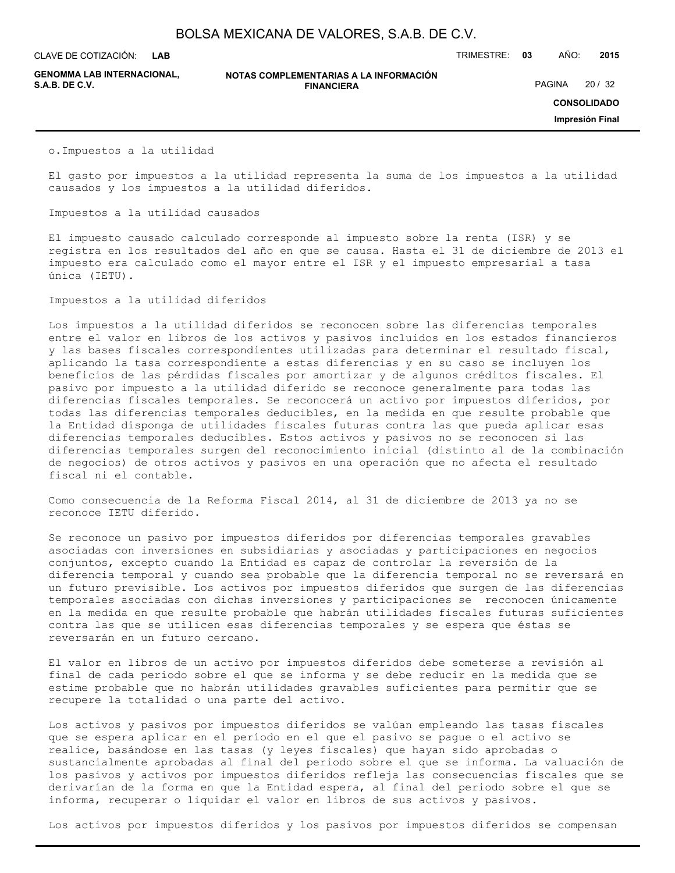**LAB**

CLAVE DE COTIZACIÓN: TRIMESTRE: **03** AÑO: **2015**

**GENOMMA LAB INTERNACIONAL,**

#### **NOTAS COMPLEMENTARIAS A LA INFORMACIÓN FINANCIERA S.A.B. DE C.V.** PAGINA 20 / 32

**CONSOLIDADO**

**Impresión Final**

o.Impuestos a la utilidad

El gasto por impuestos a la utilidad representa la suma de los impuestos a la utilidad causados y los impuestos a la utilidad diferidos.

Impuestos a la utilidad causados

El impuesto causado calculado corresponde al impuesto sobre la renta (ISR) y se registra en los resultados del año en que se causa. Hasta el 31 de diciembre de 2013 el impuesto era calculado como el mayor entre el ISR y el impuesto empresarial a tasa única (IETU).

Impuestos a la utilidad diferidos

Los impuestos a la utilidad diferidos se reconocen sobre las diferencias temporales entre el valor en libros de los activos y pasivos incluidos en los estados financieros y las bases fiscales correspondientes utilizadas para determinar el resultado fiscal, aplicando la tasa correspondiente a estas diferencias y en su caso se incluyen los beneficios de las pérdidas fiscales por amortizar y de algunos créditos fiscales. El pasivo por impuesto a la utilidad diferido se reconoce generalmente para todas las diferencias fiscales temporales. Se reconocerá un activo por impuestos diferidos, por todas las diferencias temporales deducibles, en la medida en que resulte probable que la Entidad disponga de utilidades fiscales futuras contra las que pueda aplicar esas diferencias temporales deducibles. Estos activos y pasivos no se reconocen si las diferencias temporales surgen del reconocimiento inicial (distinto al de la combinación de negocios) de otros activos y pasivos en una operación que no afecta el resultado fiscal ni el contable.

Como consecuencia de la Reforma Fiscal 2014, al 31 de diciembre de 2013 ya no se reconoce IETU diferido.

Se reconoce un pasivo por impuestos diferidos por diferencias temporales gravables asociadas con inversiones en subsidiarias y asociadas y participaciones en negocios conjuntos, excepto cuando la Entidad es capaz de controlar la reversión de la diferencia temporal y cuando sea probable que la diferencia temporal no se reversará en un futuro previsible. Los activos por impuestos diferidos que surgen de las diferencias temporales asociadas con dichas inversiones y participaciones se reconocen únicamente en la medida en que resulte probable que habrán utilidades fiscales futuras suficientes contra las que se utilicen esas diferencias temporales y se espera que éstas se reversarán en un futuro cercano.

El valor en libros de un activo por impuestos diferidos debe someterse a revisión al final de cada periodo sobre el que se informa y se debe reducir en la medida que se estime probable que no habrán utilidades gravables suficientes para permitir que se recupere la totalidad o una parte del activo.

Los activos y pasivos por impuestos diferidos se valúan empleando las tasas fiscales que se espera aplicar en el período en el que el pasivo se pague o el activo se realice, basándose en las tasas (y leyes fiscales) que hayan sido aprobadas o sustancialmente aprobadas al final del periodo sobre el que se informa. La valuación de los pasivos y activos por impuestos diferidos refleja las consecuencias fiscales que se derivarían de la forma en que la Entidad espera, al final del periodo sobre el que se informa, recuperar o liquidar el valor en libros de sus activos y pasivos.

Los activos por impuestos diferidos y los pasivos por impuestos diferidos se compensan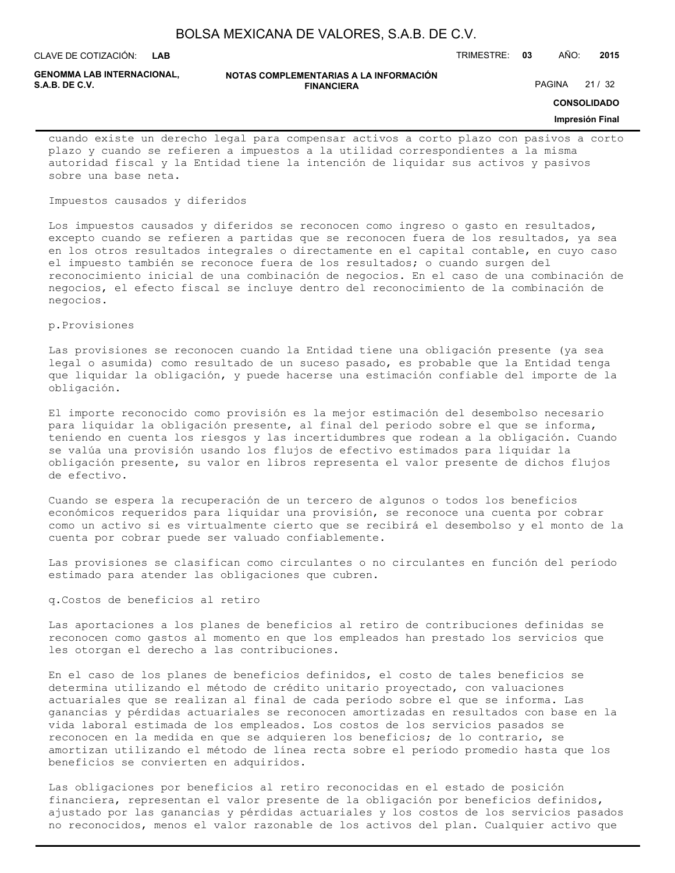**LAB**

CLAVE DE COTIZACIÓN: TRIMESTRE: **03** AÑO: **2015**

**GENOMMA LAB INTERNACIONAL,**

#### **NOTAS COMPLEMENTARIAS A LA INFORMACIÓN FINANCIERA**

PAGINA 21 / 32

### **CONSOLIDADO**

#### **Impresión Final**

cuando existe un derecho legal para compensar activos a corto plazo con pasivos a corto plazo y cuando se refieren a impuestos a la utilidad correspondientes a la misma autoridad fiscal y la Entidad tiene la intención de liquidar sus activos y pasivos sobre una base neta.

### Impuestos causados y diferidos

Los impuestos causados y diferidos se reconocen como ingreso o gasto en resultados, excepto cuando se refieren a partidas que se reconocen fuera de los resultados, ya sea en los otros resultados integrales o directamente en el capital contable, en cuyo caso el impuesto también se reconoce fuera de los resultados; o cuando surgen del reconocimiento inicial de una combinación de negocios. En el caso de una combinación de negocios, el efecto fiscal se incluye dentro del reconocimiento de la combinación de negocios.

p.Provisiones

Las provisiones se reconocen cuando la Entidad tiene una obligación presente (ya sea legal o asumida) como resultado de un suceso pasado, es probable que la Entidad tenga que liquidar la obligación, y puede hacerse una estimación confiable del importe de la obligación.

El importe reconocido como provisión es la mejor estimación del desembolso necesario para liquidar la obligación presente, al final del periodo sobre el que se informa, teniendo en cuenta los riesgos y las incertidumbres que rodean a la obligación. Cuando se valúa una provisión usando los flujos de efectivo estimados para liquidar la obligación presente, su valor en libros representa el valor presente de dichos flujos de efectivo.

Cuando se espera la recuperación de un tercero de algunos o todos los beneficios económicos requeridos para liquidar una provisión, se reconoce una cuenta por cobrar como un activo si es virtualmente cierto que se recibirá el desembolso y el monto de la cuenta por cobrar puede ser valuado confiablemente.

Las provisiones se clasifican como circulantes o no circulantes en función del período estimado para atender las obligaciones que cubren.

### q.Costos de beneficios al retiro

Las aportaciones a los planes de beneficios al retiro de contribuciones definidas se reconocen como gastos al momento en que los empleados han prestado los servicios que les otorgan el derecho a las contribuciones.

En el caso de los planes de beneficios definidos, el costo de tales beneficios se determina utilizando el método de crédito unitario proyectado, con valuaciones actuariales que se realizan al final de cada período sobre el que se informa. Las ganancias y pérdidas actuariales se reconocen amortizadas en resultados con base en la vida laboral estimada de los empleados. Los costos de los servicios pasados se reconocen en la medida en que se adquieren los beneficios; de lo contrario, se amortizan utilizando el método de línea recta sobre el período promedio hasta que los beneficios se convierten en adquiridos.

Las obligaciones por beneficios al retiro reconocidas en el estado de posición financiera, representan el valor presente de la obligación por beneficios definidos, ajustado por las ganancias y pérdidas actuariales y los costos de los servicios pasados no reconocidos, menos el valor razonable de los activos del plan. Cualquier activo que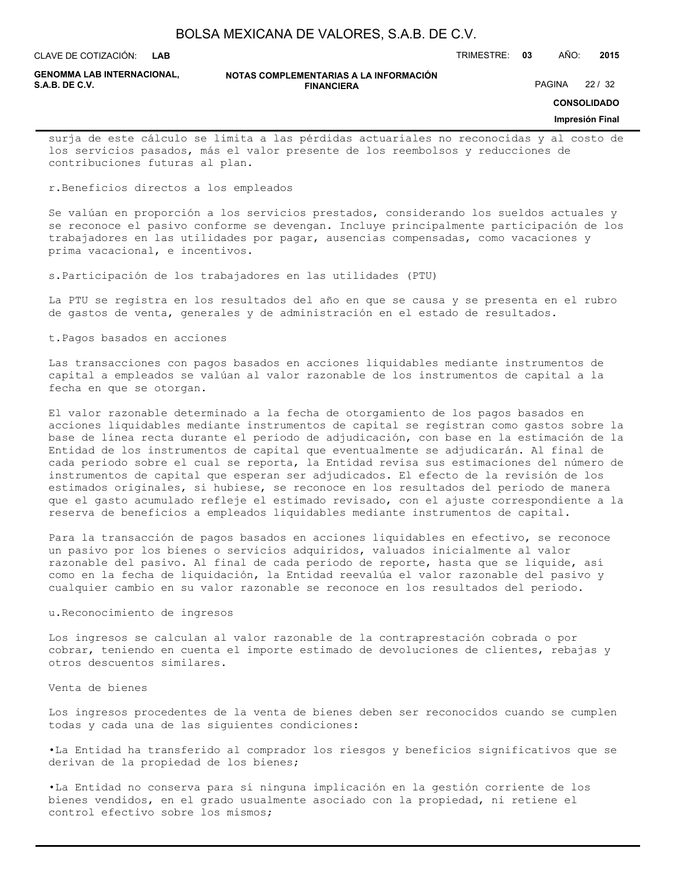**LAB**

CLAVE DE COTIZACIÓN: TRIMESTRE: **03** AÑO: **2015**

**GENOMMA LAB INTERNACIONAL,**

#### **NOTAS COMPLEMENTARIAS A LA INFORMACIÓN FINANCIERA S.A.B. DE C.V.** PAGINA 22 / 32

**CONSOLIDADO**

#### **Impresión Final**

surja de este cálculo se limita a las pérdidas actuariales no reconocidas y al costo de los servicios pasados, más el valor presente de los reembolsos y reducciones de contribuciones futuras al plan.

r.Beneficios directos a los empleados

Se valúan en proporción a los servicios prestados, considerando los sueldos actuales y se reconoce el pasivo conforme se devengan. Incluye principalmente participación de los trabajadores en las utilidades por pagar, ausencias compensadas, como vacaciones y prima vacacional, e incentivos.

s.Participación de los trabajadores en las utilidades (PTU)

La PTU se registra en los resultados del año en que se causa y se presenta en el rubro de gastos de venta, generales y de administración en el estado de resultados.

t.Pagos basados en acciones

Las transacciones con pagos basados en acciones liquidables mediante instrumentos de capital a empleados se valúan al valor razonable de los instrumentos de capital a la fecha en que se otorgan.

El valor razonable determinado a la fecha de otorgamiento de los pagos basados en acciones liquidables mediante instrumentos de capital se registran como gastos sobre la base de línea recta durante el periodo de adjudicación, con base en la estimación de la Entidad de los instrumentos de capital que eventualmente se adjudicarán. Al final de cada periodo sobre el cual se reporta, la Entidad revisa sus estimaciones del número de instrumentos de capital que esperan ser adjudicados. El efecto de la revisión de los estimados originales, si hubiese, se reconoce en los resultados del periodo de manera que el gasto acumulado refleje el estimado revisado, con el ajuste correspondiente a la reserva de beneficios a empleados liquidables mediante instrumentos de capital.

Para la transacción de pagos basados en acciones liquidables en efectivo, se reconoce un pasivo por los bienes o servicios adquiridos, valuados inicialmente al valor razonable del pasivo. Al final de cada periodo de reporte, hasta que se liquide, así como en la fecha de liquidación, la Entidad reevalúa el valor razonable del pasivo y cualquier cambio en su valor razonable se reconoce en los resultados del periodo.

#### u.Reconocimiento de ingresos

Los ingresos se calculan al valor razonable de la contraprestación cobrada o por cobrar, teniendo en cuenta el importe estimado de devoluciones de clientes, rebajas y otros descuentos similares.

Venta de bienes

Los ingresos procedentes de la venta de bienes deben ser reconocidos cuando se cumplen todas y cada una de las siguientes condiciones:

•La Entidad ha transferido al comprador los riesgos y beneficios significativos que se derivan de la propiedad de los bienes;

•La Entidad no conserva para sí ninguna implicación en la gestión corriente de los bienes vendidos, en el grado usualmente asociado con la propiedad, ni retiene el control efectivo sobre los mismos;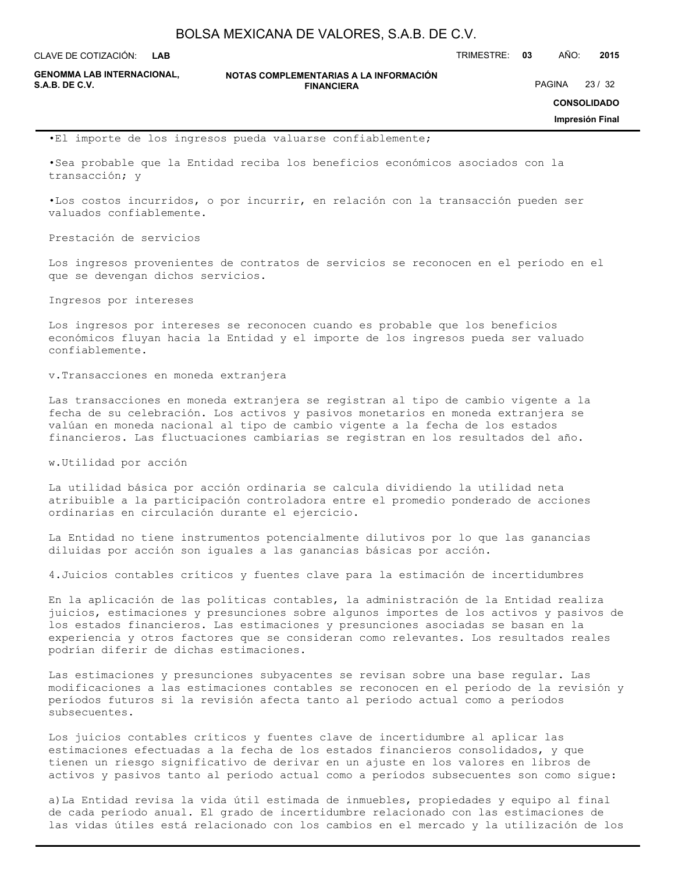**LAB**

CLAVE DE COTIZACIÓN: TRIMESTRE: **03** AÑO: **2015**

**GENOMMA LAB INTERNACIONAL,**

**NOTAS COMPLEMENTARIAS A LA INFORMACIÓN FINANCIERA S.A.B. DE C.V.** PAGINA 23 / 32

**CONSOLIDADO**

**Impresión Final**

•El importe de los ingresos pueda valuarse confiablemente;

•Sea probable que la Entidad reciba los beneficios económicos asociados con la transacción; y

•Los costos incurridos, o por incurrir, en relación con la transacción pueden ser valuados confiablemente.

Prestación de servicios

Los ingresos provenientes de contratos de servicios se reconocen en el período en el que se devengan dichos servicios.

Ingresos por intereses

Los ingresos por intereses se reconocen cuando es probable que los beneficios económicos fluyan hacia la Entidad y el importe de los ingresos pueda ser valuado confiablemente.

v.Transacciones en moneda extranjera

Las transacciones en moneda extranjera se registran al tipo de cambio vigente a la fecha de su celebración. Los activos y pasivos monetarios en moneda extranjera se valúan en moneda nacional al tipo de cambio vigente a la fecha de los estados financieros. Las fluctuaciones cambiarias se registran en los resultados del año.

w.Utilidad por acción

La utilidad básica por acción ordinaria se calcula dividiendo la utilidad neta atribuible a la participación controladora entre el promedio ponderado de acciones ordinarias en circulación durante el ejercicio.

La Entidad no tiene instrumentos potencialmente dilutivos por lo que las ganancias diluidas por acción son iguales a las ganancias básicas por acción.

4.Juicios contables críticos y fuentes clave para la estimación de incertidumbres

En la aplicación de las políticas contables, la administración de la Entidad realiza juicios, estimaciones y presunciones sobre algunos importes de los activos y pasivos de los estados financieros. Las estimaciones y presunciones asociadas se basan en la experiencia y otros factores que se consideran como relevantes. Los resultados reales podrían diferir de dichas estimaciones.

Las estimaciones y presunciones subyacentes se revisan sobre una base regular. Las modificaciones a las estimaciones contables se reconocen en el período de la revisión y períodos futuros si la revisión afecta tanto al período actual como a períodos subsecuentes.

Los juicios contables críticos y fuentes clave de incertidumbre al aplicar las estimaciones efectuadas a la fecha de los estados financieros consolidados, y que tienen un riesgo significativo de derivar en un ajuste en los valores en libros de activos y pasivos tanto al período actual como a períodos subsecuentes son como sigue:

a)La Entidad revisa la vida útil estimada de inmuebles, propiedades y equipo al final de cada período anual. El grado de incertidumbre relacionado con las estimaciones de las vidas útiles está relacionado con los cambios en el mercado y la utilización de los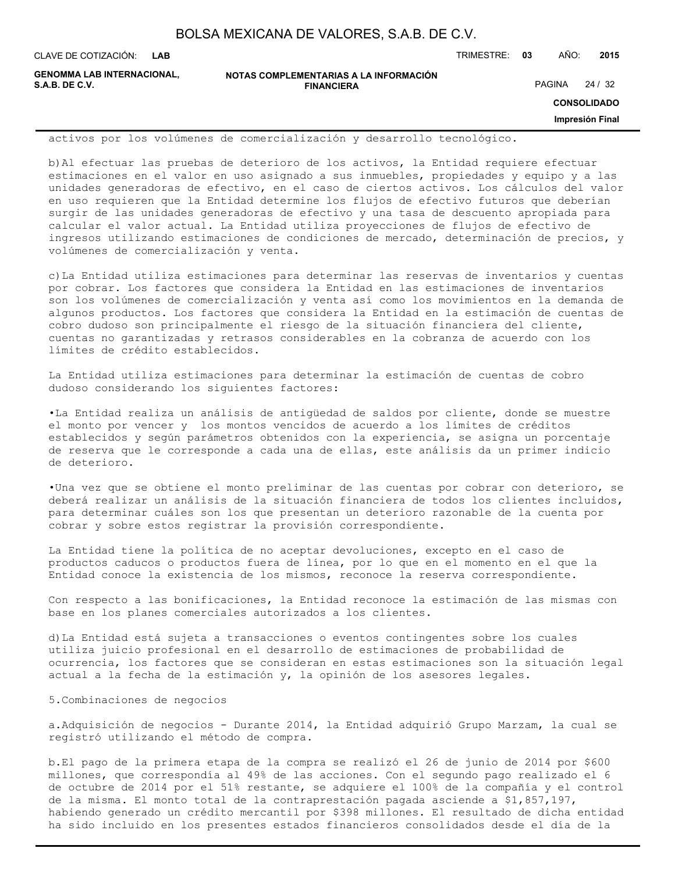**LAB**

CLAVE DE COTIZACIÓN: TRIMESTRE: **03** AÑO: **2015**

**GENOMMA LAB INTERNACIONAL,**

```
NOTAS COMPLEMENTARIAS A LA INFORMACIÓN
              FINANCIERA
```
PAGINA 24 / 32

**CONSOLIDADO**

**Impresión Final**

activos por los volúmenes de comercialización y desarrollo tecnológico.

b)Al efectuar las pruebas de deterioro de los activos, la Entidad requiere efectuar estimaciones en el valor en uso asignado a sus inmuebles, propiedades y equipo y a las unidades generadoras de efectivo, en el caso de ciertos activos. Los cálculos del valor en uso requieren que la Entidad determine los flujos de efectivo futuros que deberían surgir de las unidades generadoras de efectivo y una tasa de descuento apropiada para calcular el valor actual. La Entidad utiliza proyecciones de flujos de efectivo de ingresos utilizando estimaciones de condiciones de mercado, determinación de precios, y volúmenes de comercialización y venta.

c)La Entidad utiliza estimaciones para determinar las reservas de inventarios y cuentas por cobrar. Los factores que considera la Entidad en las estimaciones de inventarios son los volúmenes de comercialización y venta así como los movimientos en la demanda de algunos productos. Los factores que considera la Entidad en la estimación de cuentas de cobro dudoso son principalmente el riesgo de la situación financiera del cliente, cuentas no garantizadas y retrasos considerables en la cobranza de acuerdo con los límites de crédito establecidos.

La Entidad utiliza estimaciones para determinar la estimación de cuentas de cobro dudoso considerando los siguientes factores:

•La Entidad realiza un análisis de antigüedad de saldos por cliente, donde se muestre el monto por vencer y los montos vencidos de acuerdo a los límites de créditos establecidos y según parámetros obtenidos con la experiencia, se asigna un porcentaje de reserva que le corresponde a cada una de ellas, este análisis da un primer indicio de deterioro.

•Una vez que se obtiene el monto preliminar de las cuentas por cobrar con deterioro, se deberá realizar un análisis de la situación financiera de todos los clientes incluidos, para determinar cuáles son los que presentan un deterioro razonable de la cuenta por cobrar y sobre estos registrar la provisión correspondiente.

La Entidad tiene la política de no aceptar devoluciones, excepto en el caso de productos caducos o productos fuera de línea, por lo que en el momento en el que la Entidad conoce la existencia de los mismos, reconoce la reserva correspondiente.

Con respecto a las bonificaciones, la Entidad reconoce la estimación de las mismas con base en los planes comerciales autorizados a los clientes.

d)La Entidad está sujeta a transacciones o eventos contingentes sobre los cuales utiliza juicio profesional en el desarrollo de estimaciones de probabilidad de ocurrencia, los factores que se consideran en estas estimaciones son la situación legal actual a la fecha de la estimación y, la opinión de los asesores legales.

5.Combinaciones de negocios

a.Adquisición de negocios - Durante 2014, la Entidad adquirió Grupo Marzam, la cual se registró utilizando el método de compra.

b.El pago de la primera etapa de la compra se realizó el 26 de junio de 2014 por \$600 millones, que correspondía al 49% de las acciones. Con el segundo pago realizado el 6 de octubre de 2014 por el 51% restante, se adquiere el 100% de la compañía y el control de la misma. El monto total de la contraprestación pagada asciende a \$1,857,197, habiendo generado un crédito mercantil por \$398 millones. El resultado de dicha entidad ha sido incluido en los presentes estados financieros consolidados desde el día de la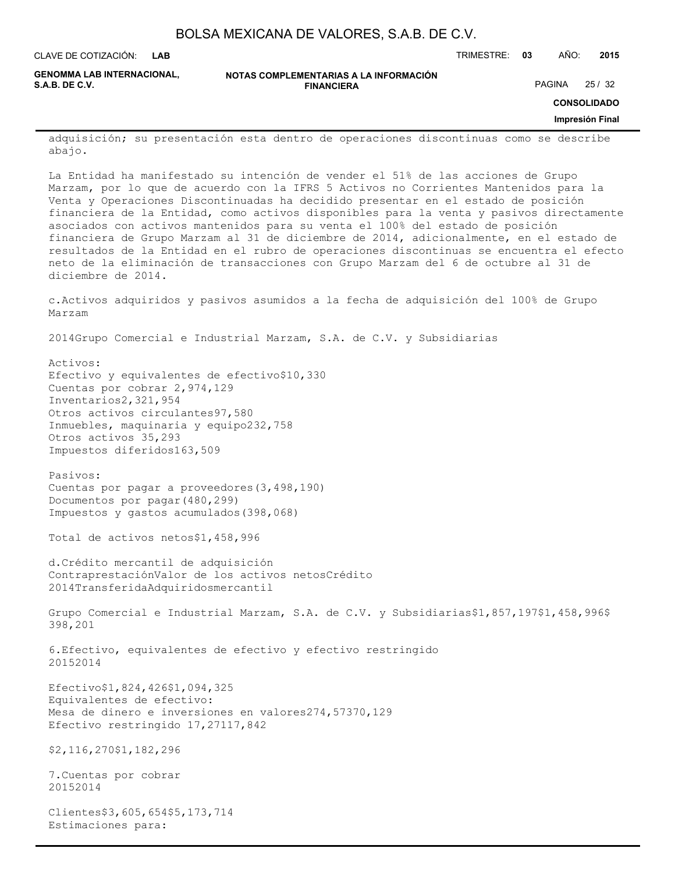| BOLSA MEXICANA DE VALORES, S.A.B. DE C.V. |  |  |
|-------------------------------------------|--|--|
|-------------------------------------------|--|--|

**LAB**

CLAVE DE COTIZACIÓN: TRIMESTRE: **03** AÑO: **2015**

**GENOMMA LAB INTERNACIONAL,**

**NOTAS COMPLEMENTARIAS A LA INFORMACIÓN FINANCIERA**

PAGINA 25 / 32

**CONSOLIDADO**

#### **Impresión Final**

adquisición; su presentación esta dentro de operaciones discontinuas como se describe abajo.

La Entidad ha manifestado su intención de vender el 51% de las acciones de Grupo Marzam, por lo que de acuerdo con la IFRS 5 Activos no Corrientes Mantenidos para la Venta y Operaciones Discontinuadas ha decidido presentar en el estado de posición financiera de la Entidad, como activos disponibles para la venta y pasivos directamente asociados con activos mantenidos para su venta el 100% del estado de posición financiera de Grupo Marzam al 31 de diciembre de 2014, adicionalmente, en el estado de resultados de la Entidad en el rubro de operaciones discontinuas se encuentra el efecto neto de la eliminación de transacciones con Grupo Marzam del 6 de octubre al 31 de diciembre de 2014.

c.Activos adquiridos y pasivos asumidos a la fecha de adquisición del 100% de Grupo Marzam

2014Grupo Comercial e Industrial Marzam, S.A. de C.V. y Subsidiarias

Activos: Efectivo y equivalentes de efectivo\$10,330 Cuentas por cobrar 2,974,129 Inventarios2,321,954 Otros activos circulantes97,580 Inmuebles, maquinaria y equipo232,758 Otros activos 35,293 Impuestos diferidos163,509

Pasivos: Cuentas por pagar a proveedores(3,498,190) Documentos por pagar(480,299) Impuestos y gastos acumulados(398,068)

Total de activos netos\$1,458,996

d.Crédito mercantil de adquisición ContraprestaciónValor de los activos netosCrédito 2014TransferidaAdquiridosmercantil

Grupo Comercial e Industrial Marzam, S.A. de C.V. y Subsidiarias\$1,857,197\$1,458,996\$ 398,201

6.Efectivo, equivalentes de efectivo y efectivo restringido 20152014

Efectivo\$1,824,426\$1,094,325 Equivalentes de efectivo: Mesa de dinero e inversiones en valores274,57370,129 Efectivo restringido 17,27117,842

\$2,116,270\$1,182,296

7.Cuentas por cobrar 20152014

Clientes\$3,605,654\$5,173,714 Estimaciones para: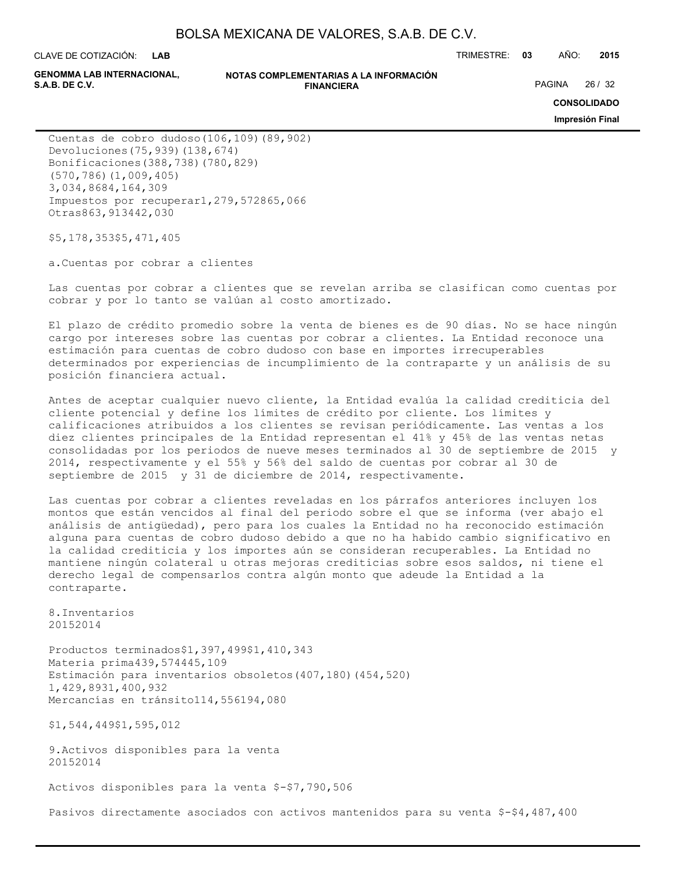CLAVE DE COTIZACIÓN: TRIMESTRE: **03** AÑO: **2015 LAB**

**GENOMMA LAB INTERNACIONAL,**

#### **NOTAS COMPLEMENTARIAS A LA INFORMACIÓN FINANCIERA S.A.B. DE C.V.** PAGINA 26 / 32

**CONSOLIDADO**

**Impresión Final**

Cuentas de cobro dudoso(106,109)(89,902) Devoluciones(75,939)(138,674) Bonificaciones(388,738)(780,829) (570,786)(1,009,405) 3,034,8684,164,309 Impuestos por recuperar1,279,572865,066 Otras863,913442,030

\$5,178,353\$5,471,405

a.Cuentas por cobrar a clientes

Las cuentas por cobrar a clientes que se revelan arriba se clasifican como cuentas por cobrar y por lo tanto se valúan al costo amortizado.

El plazo de crédito promedio sobre la venta de bienes es de 90 días. No se hace ningún cargo por intereses sobre las cuentas por cobrar a clientes. La Entidad reconoce una estimación para cuentas de cobro dudoso con base en importes irrecuperables determinados por experiencias de incumplimiento de la contraparte y un análisis de su posición financiera actual.

Antes de aceptar cualquier nuevo cliente, la Entidad evalúa la calidad crediticia del cliente potencial y define los límites de crédito por cliente. Los límites y calificaciones atribuidos a los clientes se revisan periódicamente. Las ventas a los diez clientes principales de la Entidad representan el 41% y 45% de las ventas netas consolidadas por los periodos de nueve meses terminados al 30 de septiembre de 2015 y 2014, respectivamente y el 55% y 56% del saldo de cuentas por cobrar al 30 de septiembre de 2015 y 31 de diciembre de 2014, respectivamente.

Las cuentas por cobrar a clientes reveladas en los párrafos anteriores incluyen los montos que están vencidos al final del periodo sobre el que se informa (ver abajo el análisis de antigüedad), pero para los cuales la Entidad no ha reconocido estimación alguna para cuentas de cobro dudoso debido a que no ha habido cambio significativo en la calidad crediticia y los importes aún se consideran recuperables. La Entidad no mantiene ningún colateral u otras mejoras crediticias sobre esos saldos, ni tiene el derecho legal de compensarlos contra algún monto que adeude la Entidad a la contraparte.

8.Inventarios 20152014

Productos terminados\$1,397,499\$1,410,343 Materia prima439,574445,109 Estimación para inventarios obsoletos(407,180)(454,520) 1,429,8931,400,932 Mercancías en tránsito114,556194,080

\$1,544,449\$1,595,012

9.Activos disponibles para la venta 20152014

Activos disponibles para la venta \$-\$7,790,506

Pasivos directamente asociados con activos mantenidos para su venta \$-\$4,487,400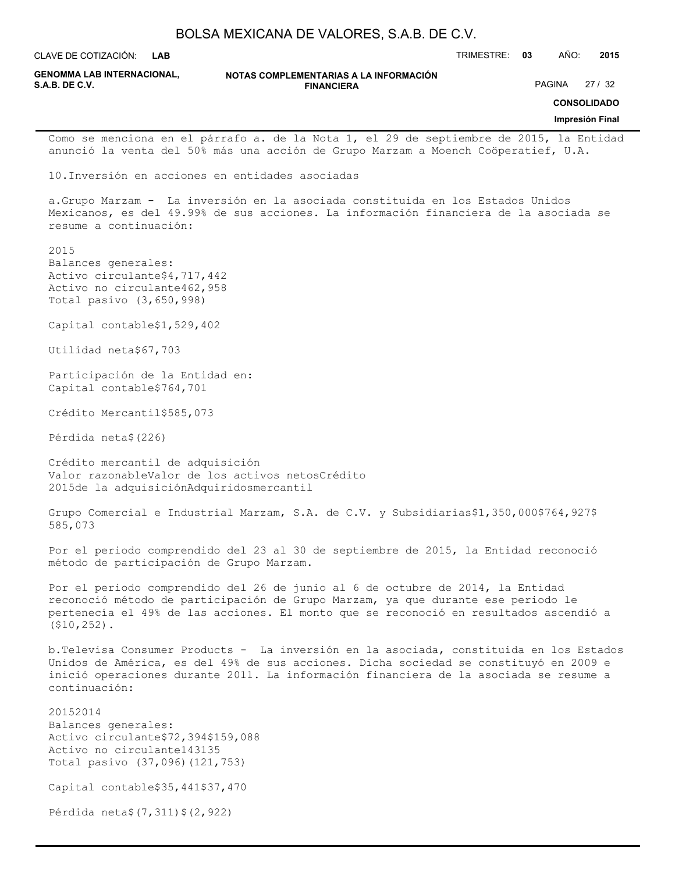|                                                                                                                                        | BOLSA MEXICANA DE VALORES, S.A.B. DE C.V.                                                                                                                                                                                                                                 |               |               |                                                |
|----------------------------------------------------------------------------------------------------------------------------------------|---------------------------------------------------------------------------------------------------------------------------------------------------------------------------------------------------------------------------------------------------------------------------|---------------|---------------|------------------------------------------------|
| CLAVE DE COTIZACIÓN:<br><b>LAB</b>                                                                                                     |                                                                                                                                                                                                                                                                           | TRIMESTRE: 03 | AÑO:          | 2015                                           |
| <b>GENOMMA LAB INTERNACIONAL,</b><br><b>S.A.B. DE C.V.</b>                                                                             | NOTAS COMPLEMENTARIAS A LA INFORMACIÓN<br><b>FINANCIERA</b>                                                                                                                                                                                                               |               | <b>PAGINA</b> | 27/32<br><b>CONSOLIDADO</b><br>Impresión Final |
|                                                                                                                                        | Como se menciona en el párrafo a. de la Nota 1, el 29 de septiembre de 2015, la Entidad                                                                                                                                                                                   |               |               |                                                |
|                                                                                                                                        | anunció la venta del 50% más una acción de Grupo Marzam a Moench Coöperatief, U.A.                                                                                                                                                                                        |               |               |                                                |
|                                                                                                                                        | 10. Inversión en acciones en entidades asociadas                                                                                                                                                                                                                          |               |               |                                                |
| resume a continuación:                                                                                                                 | a. Grupo Marzam - La inversión en la asociada constituida en los Estados Unidos<br>Mexicanos, es del 49.99% de sus acciones. La información financiera de la asociada se                                                                                                  |               |               |                                                |
| 2015<br>Balances generales:<br>Activo circulante\$4,717,442<br>Activo no circulante462,958<br>Total pasivo (3,650,998)                 |                                                                                                                                                                                                                                                                           |               |               |                                                |
| Capital contable\$1,529,402                                                                                                            |                                                                                                                                                                                                                                                                           |               |               |                                                |
| Utilidad neta\$67,703                                                                                                                  |                                                                                                                                                                                                                                                                           |               |               |                                                |
| Participación de la Entidad en:<br>Capital contable\$764,701                                                                           |                                                                                                                                                                                                                                                                           |               |               |                                                |
| Crédito Mercantil\$585,073                                                                                                             |                                                                                                                                                                                                                                                                           |               |               |                                                |
| Pérdida neta\$ (226)                                                                                                                   |                                                                                                                                                                                                                                                                           |               |               |                                                |
| Crédito mercantil de adquisición<br>2015de la adquisiciónAdquiridosmercantil                                                           | Valor razonableValor de los activos netosCrédito                                                                                                                                                                                                                          |               |               |                                                |
| 585,073                                                                                                                                | Grupo Comercial e Industrial Marzam, S.A. de C.V. y Subsidiarias\$1,350,000\$764,927\$                                                                                                                                                                                    |               |               |                                                |
| método de participación de Grupo Marzam.                                                                                               | Por el periodo comprendido del 23 al 30 de septiembre de 2015, la Entidad reconoció                                                                                                                                                                                       |               |               |                                                |
| $( $10, 252)$ .                                                                                                                        | Por el periodo comprendido del 26 de junio al 6 de octubre de 2014, la Entidad<br>reconoció método de participación de Grupo Marzam, ya que durante ese periodo le<br>pertenecía el 49% de las acciones. El monto que se reconoció en resultados ascendió a               |               |               |                                                |
| continuación:                                                                                                                          | b. Televisa Consumer Products - La inversión en la asociada, constituida en los Estados<br>Unidos de América, es del 49% de sus acciones. Dicha sociedad se constituyó en 2009 e<br>inició operaciones durante 2011. La información financiera de la asociada se resume a |               |               |                                                |
| 20152014<br>Balances generales:<br>Activo circulante\$72,394\$159,088<br>Activo no circulante143135<br>Total pasivo (37,096) (121,753) |                                                                                                                                                                                                                                                                           |               |               |                                                |
| Capital contable\$35,441\$37,470                                                                                                       |                                                                                                                                                                                                                                                                           |               |               |                                                |
| Pérdida neta\$ (7,311) \$ (2,922)                                                                                                      |                                                                                                                                                                                                                                                                           |               |               |                                                |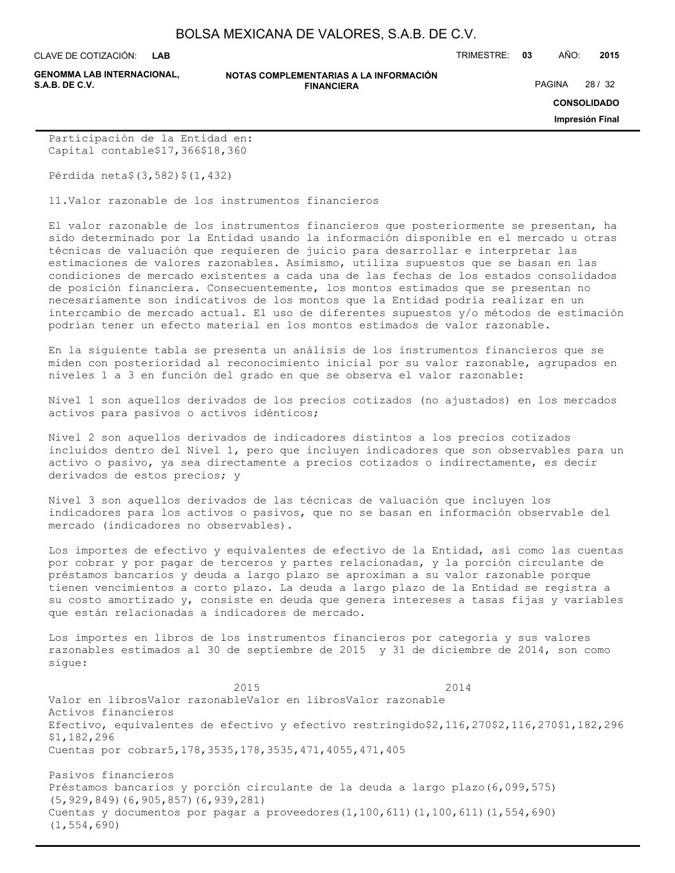**LAB**

**GENOMMA LAB INTERNACIONAL,**

#### **NOTAS COMPLEMENTARIAS A LA INFORMACIÓN FINANCIERA S.A.B. DE C.V.** PAGINA 28 / 32

CLAVE DE COTIZACIÓN: TRIMESTRE: **03** AÑO: **2015**

**CONSOLIDADO**

**Impresión Final**

Participación de la Entidad en: Capital contable\$17,366\$18,360

Pérdida neta\$(3,582)\$(1,432)

11.Valor razonable de los instrumentos financieros

El valor razonable de los instrumentos financieros que posteriormente se presentan, ha sido determinado por la Entidad usando la información disponible en el mercado u otras técnicas de valuación que requieren de juicio para desarrollar e interpretar las estimaciones de valores razonables. Asimismo, utiliza supuestos que se basan en las condiciones de mercado existentes a cada una de las fechas de los estados consolidados de posición financiera. Consecuentemente, los montos estimados que se presentan no necesariamente son indicativos de los montos que la Entidad podría realizar en un intercambio de mercado actual. El uso de diferentes supuestos y/o métodos de estimación podrían tener un efecto material en los montos estimados de valor razonable.

En la siguiente tabla se presenta un análisis de los instrumentos financieros que se miden con posterioridad al reconocimiento inicial por su valor razonable, agrupados en niveles 1 a 3 en función del grado en que se observa el valor razonable:

Nivel 1 son aquellos derivados de los precios cotizados (no ajustados) en los mercados activos para pasivos o activos idénticos;

Nivel 2 son aquellos derivados de indicadores distintos a los precios cotizados incluidos dentro del Nivel 1, pero que incluyen indicadores que son observables para un activo o pasivo, ya sea directamente a precios cotizados o indirectamente, es decir derivados de estos precios; y

Nivel 3 son aquellos derivados de las técnicas de valuación que incluyen los indicadores para los activos o pasivos, que no se basan en información observable del mercado (indicadores no observables).

Los importes de efectivo y equivalentes de efectivo de la Entidad, así como las cuentas por cobrar y por pagar de terceros y partes relacionadas, y la porción circulante de préstamos bancarios y deuda a largo plazo se aproximan a su valor razonable porque tienen vencimientos a corto plazo. La deuda a largo plazo de la Entidad se registra a su costo amortizado y, consiste en deuda que genera intereses a tasas fijas y variables que están relacionadas a indicadores de mercado.

Los importes en libros de los instrumentos financieros por categoría y sus valores razonables estimados al 30 de septiembre de 2015 y 31 de diciembre de 2014, son como sigue:

2015 2014 2014 Valor en librosValor razonableValor en librosValor razonable Activos financieros Efectivo, equivalentes de efectivo y efectivo restringido\$2,116,270\$2,116,270\$1,182,296 \$1,182,296 Cuentas por cobrar5,178,3535,178,3535,471,4055,471,405

Pasivos financieros Préstamos bancarios y porción circulante de la deuda a largo plazo(6,099,575) (5,929,849)(6,905,857)(6,939,281) Cuentas y documentos por pagar a proveedores(1,100,611)(1,100,611)(1,554,690) (1,554,690)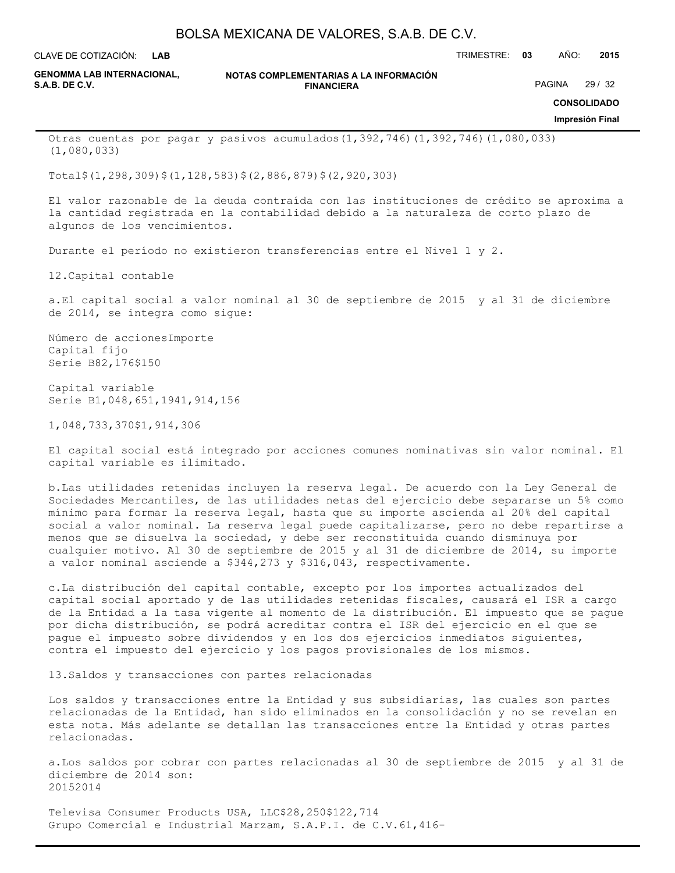**LAB**

CLAVE DE COTIZACIÓN: TRIMESTRE: **03** AÑO: **2015**

**GENOMMA LAB INTERNACIONAL,**

**NOTAS COMPLEMENTARIAS A LA INFORMACIÓN FINANCIERA S.A.B. DE C.V.** PAGINA 29 / 32

**CONSOLIDADO**

**Impresión Final**

Otras cuentas por pagar y pasivos acumulados(1,392,746)(1,392,746)(1,080,033) (1,080,033)

Total\$(1,298,309)\$(1,128,583)\$(2,886,879)\$(2,920,303)

El valor razonable de la deuda contraída con las instituciones de crédito se aproxima a la cantidad registrada en la contabilidad debido a la naturaleza de corto plazo de algunos de los vencimientos.

Durante el período no existieron transferencias entre el Nivel 1 y 2.

12.Capital contable

a.El capital social a valor nominal al 30 de septiembre de 2015 y al 31 de diciembre de 2014, se integra como sigue:

Número de accionesImporte Capital fijo Serie B82,176\$150

Capital variable Serie B1,048,651,1941,914,156

1,048,733,370\$1,914,306

El capital social está integrado por acciones comunes nominativas sin valor nominal. El capital variable es ilimitado.

b.Las utilidades retenidas incluyen la reserva legal. De acuerdo con la Ley General de Sociedades Mercantiles, de las utilidades netas del ejercicio debe separarse un 5% como mínimo para formar la reserva legal, hasta que su importe ascienda al 20% del capital social a valor nominal. La reserva legal puede capitalizarse, pero no debe repartirse a menos que se disuelva la sociedad, y debe ser reconstituida cuando disminuya por cualquier motivo. Al 30 de septiembre de 2015 y al 31 de diciembre de 2014, su importe a valor nominal asciende a \$344,273 y \$316,043, respectivamente.

c.La distribución del capital contable, excepto por los importes actualizados del capital social aportado y de las utilidades retenidas fiscales, causará el ISR a cargo de la Entidad a la tasa vigente al momento de la distribución. El impuesto que se pague por dicha distribución, se podrá acreditar contra el ISR del ejercicio en el que se pague el impuesto sobre dividendos y en los dos ejercicios inmediatos siguientes, contra el impuesto del ejercicio y los pagos provisionales de los mismos.

13.Saldos y transacciones con partes relacionadas

Los saldos y transacciones entre la Entidad y sus subsidiarias, las cuales son partes relacionadas de la Entidad, han sido eliminados en la consolidación y no se revelan en esta nota. Más adelante se detallan las transacciones entre la Entidad y otras partes relacionadas.

a.Los saldos por cobrar con partes relacionadas al 30 de septiembre de 2015 y al 31 de diciembre de 2014 son: 20152014

Televisa Consumer Products USA, LLC\$28,250\$122,714 Grupo Comercial e Industrial Marzam, S.A.P.I. de C.V.61,416-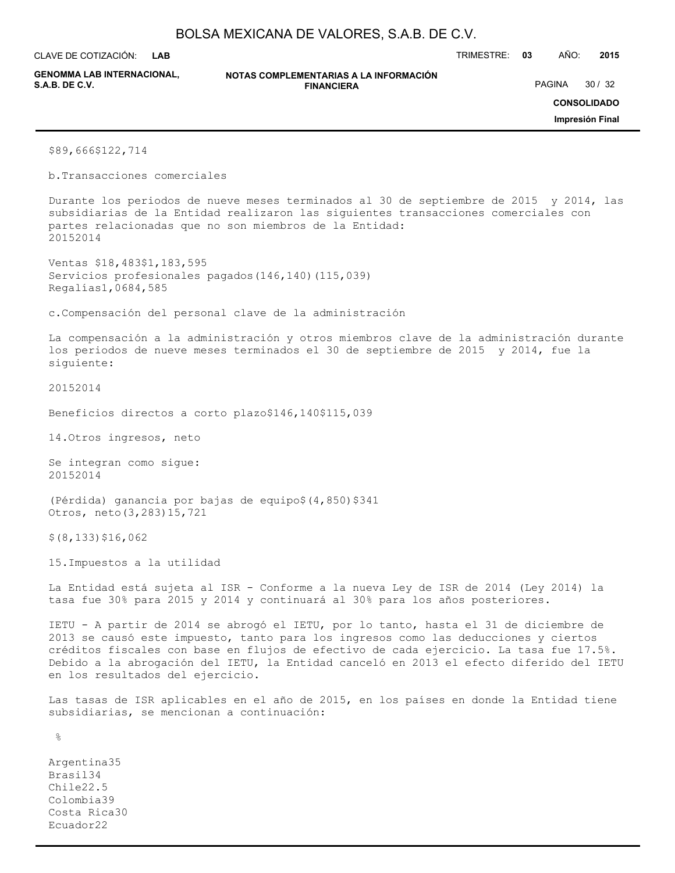**LAB**

CLAVE DE COTIZACIÓN: TRIMESTRE: **03** AÑO: **2015**

**GENOMMA LAB INTERNACIONAL,**

**NOTAS COMPLEMENTARIAS A LA INFORMACIÓN FINANCIERA S.A.B. DE C.V.** PAGINA 30 / 32

**CONSOLIDADO**

**Impresión Final**

\$89,666\$122,714

b.Transacciones comerciales

Durante los periodos de nueve meses terminados al 30 de septiembre de 2015 y 2014, las subsidiarias de la Entidad realizaron las siguientes transacciones comerciales con partes relacionadas que no son miembros de la Entidad: 20152014

Ventas \$18,483\$1,183,595 Servicios profesionales pagados (146,140) (115,039) Regalías1,0684,585

c.Compensación del personal clave de la administración

La compensación a la administración y otros miembros clave de la administración durante los periodos de nueve meses terminados el 30 de septiembre de 2015 y 2014, fue la siguiente:

20152014

Beneficios directos a corto plazo\$146,140\$115,039

14.Otros ingresos, neto

Se integran como sigue: 20152014

(Pérdida) ganancia por bajas de equipo\$(4,850)\$341 Otros, neto(3,283)15,721

\$(8,133)\$16,062

15.Impuestos a la utilidad

La Entidad está sujeta al ISR - Conforme a la nueva Ley de ISR de 2014 (Ley 2014) la tasa fue 30% para 2015 y 2014 y continuará al 30% para los años posteriores.

IETU - A partir de 2014 se abrogó el IETU, por lo tanto, hasta el 31 de diciembre de 2013 se causó este impuesto, tanto para los ingresos como las deducciones y ciertos créditos fiscales con base en flujos de efectivo de cada ejercicio. La tasa fue 17.5%. Debido a la abrogación del IETU, la Entidad canceló en 2013 el efecto diferido del IETU en los resultados del ejercicio.

Las tasas de ISR aplicables en el año de 2015, en los países en donde la Entidad tiene subsidiarias, se mencionan a continuación:

 $\approx$ 

Argentina35 Brasil34 Chile22.5 Colombia39 Costa Rica30 Ecuador22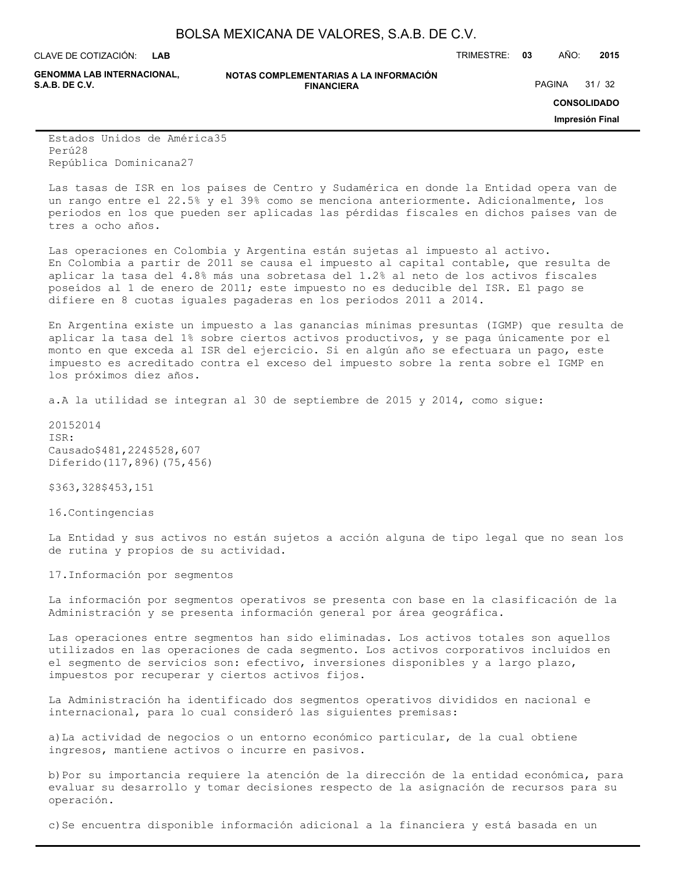CLAVE DE COTIZACIÓN: TRIMESTRE: **03** AÑO: **2015 LAB**

**GENOMMA LAB INTERNACIONAL,**

**NOTAS COMPLEMENTARIAS A LA INFORMACIÓN FINANCIERA S.A.B. DE C.V.** PAGINA 21 / 32

**CONSOLIDADO**

**Impresión Final**

Estados Unidos de América35 Perú28 República Dominicana27

Las tasas de ISR en los países de Centro y Sudamérica en donde la Entidad opera van de un rango entre el 22.5% y el 39% como se menciona anteriormente. Adicionalmente, los periodos en los que pueden ser aplicadas las pérdidas fiscales en dichos países van de tres a ocho años.

Las operaciones en Colombia y Argentina están sujetas al impuesto al activo. En Colombia a partir de 2011 se causa el impuesto al capital contable, que resulta de aplicar la tasa del 4.8% más una sobretasa del 1.2% al neto de los activos fiscales poseídos al 1 de enero de 2011; este impuesto no es deducible del ISR. El pago se difiere en 8 cuotas iguales pagaderas en los periodos 2011 a 2014.

En Argentina existe un impuesto a las ganancias mínimas presuntas (IGMP) que resulta de aplicar la tasa del 1% sobre ciertos activos productivos, y se paga únicamente por el monto en que exceda al ISR del ejercicio. Si en algún año se efectuara un pago, este impuesto es acreditado contra el exceso del impuesto sobre la renta sobre el IGMP en los próximos diez años.

a.A la utilidad se integran al 30 de septiembre de 2015 y 2014, como sigue:

20152014 ISR: Causado\$481,224\$528,607 Diferido(117,896)(75,456)

\$363,328\$453,151

16.Contingencias

La Entidad y sus activos no están sujetos a acción alguna de tipo legal que no sean los de rutina y propios de su actividad.

17.Información por segmentos

La información por segmentos operativos se presenta con base en la clasificación de la Administración y se presenta información general por área geográfica.

Las operaciones entre segmentos han sido eliminadas. Los activos totales son aquellos utilizados en las operaciones de cada segmento. Los activos corporativos incluidos en el segmento de servicios son: efectivo, inversiones disponibles y a largo plazo, impuestos por recuperar y ciertos activos fijos.

La Administración ha identificado dos segmentos operativos divididos en nacional e internacional, para lo cual consideró las siguientes premisas:

a)La actividad de negocios o un entorno económico particular, de la cual obtiene ingresos, mantiene activos o incurre en pasivos.

b)Por su importancia requiere la atención de la dirección de la entidad económica, para evaluar su desarrollo y tomar decisiones respecto de la asignación de recursos para su operación.

c)Se encuentra disponible información adicional a la financiera y está basada en un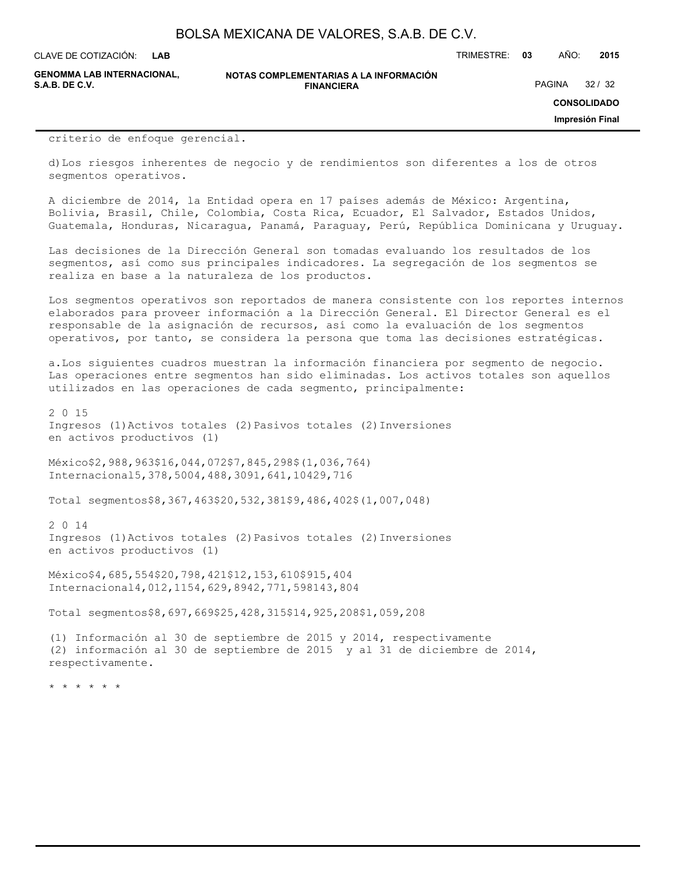**LAB**

CLAVE DE COTIZACIÓN: TRIMESTRE: **03** AÑO: **2015**

**GENOMMA LAB INTERNACIONAL,**

#### **NOTAS COMPLEMENTARIAS A LA INFORMACIÓN FINANCIERA S.A.B. DE C.V.** PAGINA 32 / 32

**CONSOLIDADO**

**Impresión Final**

criterio de enfoque gerencial.

d)Los riesgos inherentes de negocio y de rendimientos son diferentes a los de otros segmentos operativos.

A diciembre de 2014, la Entidad opera en 17 países además de México: Argentina, Bolivia, Brasil, Chile, Colombia, Costa Rica, Ecuador, El Salvador, Estados Unidos, Guatemala, Honduras, Nicaragua, Panamá, Paraguay, Perú, República Dominicana y Uruguay.

Las decisiones de la Dirección General son tomadas evaluando los resultados de los segmentos, así como sus principales indicadores. La segregación de los segmentos se realiza en base a la naturaleza de los productos.

Los segmentos operativos son reportados de manera consistente con los reportes internos elaborados para proveer información a la Dirección General. El Director General es el responsable de la asignación de recursos, así como la evaluación de los segmentos operativos, por tanto, se considera la persona que toma las decisiones estratégicas.

a.Los siguientes cuadros muestran la información financiera por segmento de negocio. Las operaciones entre segmentos han sido eliminadas. Los activos totales son aquellos utilizados en las operaciones de cada segmento, principalmente:

2 0 15 Ingresos (1)Activos totales (2) Pasivos totales (2) Inversiones en activos productivos (1)

México\$2,988,963\$16,044,072\$7,845,298\$(1,036,764) Internacional5,378,5004,488,3091,641,10429,716

Total segmentos\$8,367,463\$20,532,381\$9,486,402\$(1,007,048)

2 0 14 Ingresos (1)Activos totales (2) Pasivos totales (2) Inversiones en activos productivos (1)

México\$4,685,554\$20,798,421\$12,153,610\$915,404 Internacional4,012,1154,629,8942,771,598143,804

Total segmentos\$8,697,669\$25,428,315\$14,925,208\$1,059,208

(1) Información al 30 de septiembre de 2015 y 2014, respectivamente (2) información al 30 de septiembre de 2015 y al 31 de diciembre de 2014, respectivamente.

\* \* \* \* \* \*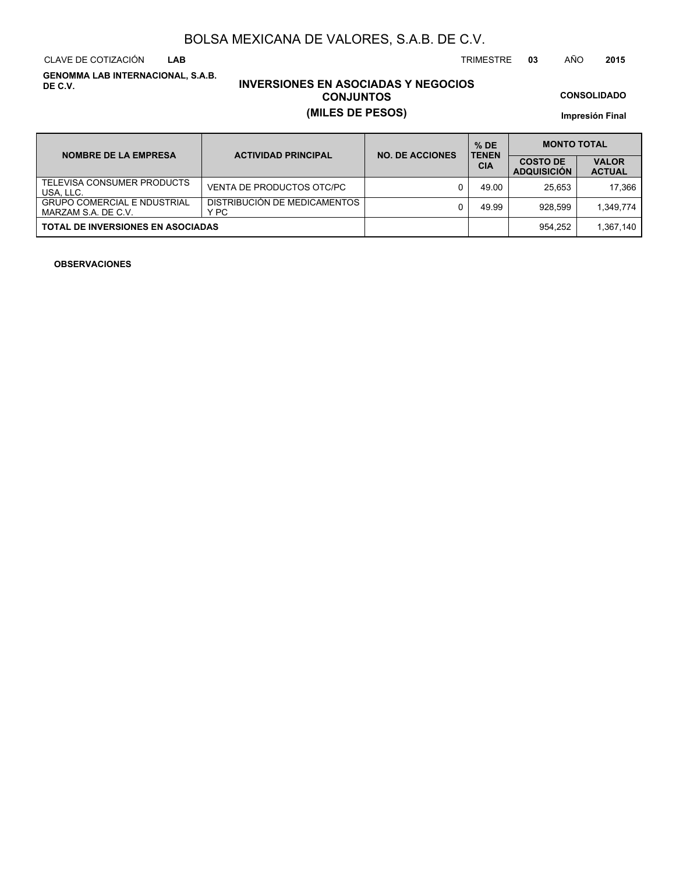CLAVE DE COTIZACIÓN TRIMESTRE **03** AÑO **2015 LAB**

**GENOMMA LAB INTERNACIONAL, S.A.B. DE C.V.**

# **INVERSIONES EN ASOCIADAS Y NEGOCIOS CONJUNTOS (MILES DE PESOS)**

**CONSOLIDADO**

**Impresión Final**

| <b>NOMBRE DE LA EMPRESA</b>                               | <b>ACTIVIDAD PRINCIPAL</b>           | <b>NO. DE ACCIONES</b> | $%$ DE<br><b>TENEN</b> | <b>MONTO TOTAL</b>                    |                               |  |
|-----------------------------------------------------------|--------------------------------------|------------------------|------------------------|---------------------------------------|-------------------------------|--|
|                                                           |                                      |                        | <b>CIA</b>             | <b>COSTO DE</b><br><b>ADQUISICION</b> | <b>VALOR</b><br><b>ACTUAL</b> |  |
| TELEVISA CONSUMER PRODUCTS<br>USA, LLC.                   | VENTA DE PRODUCTOS OTC/PC            |                        | 49.00                  | 25.653                                | 17.366                        |  |
| <b>GRUPO COMERCIAL E NDUSTRIAL</b><br>MARZAM S.A. DE C.V. | DISTRIBUCIÓN DE MEDICAMENTOS<br>Y PC |                        | 49.99                  | 928.599                               | 1.349.774                     |  |
| <b>TOTAL DE INVERSIONES EN ASOCIADAS</b>                  |                                      |                        |                        | 954.252                               | 1,367,140                     |  |

### **OBSERVACIONES**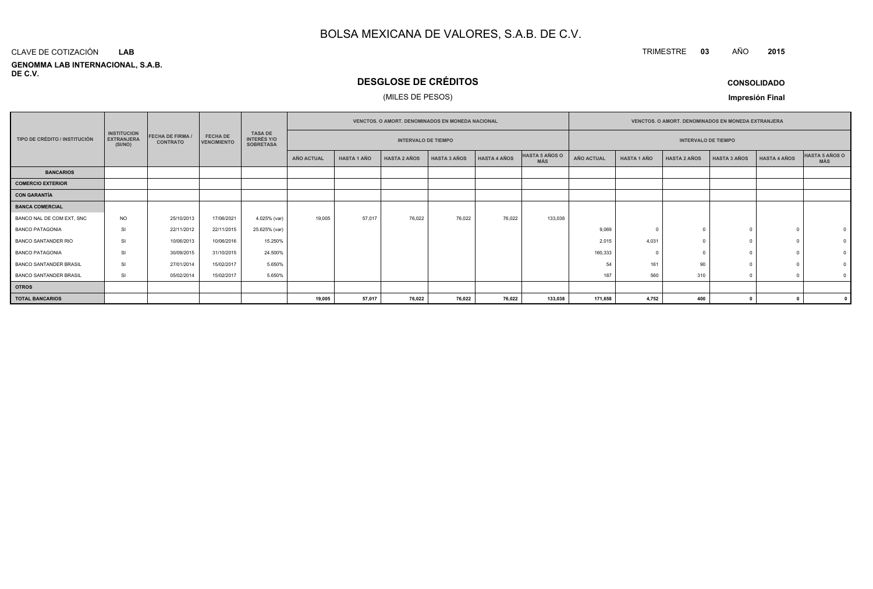#### **GENOMMA LAB INTERNACIONAL, S.A.B. DE C.V.**CLAVE DE COTIZACIÓN**LAB**

# **DESGLOSE DE CRÉDITOS**

### (MILES DE PESOS)

**CONSOLIDADO**

**<sup>2015</sup>**

TRIMESTRE **<sup>03</sup>** AÑO

**Impresión Final**

|                               |                                                    |                                          |                                       |                                                          | <b>VENCTOS, O AMORT, DENOMINADOS EN MONEDA NACIONAL</b> |                    |                            |                     |                     |                              | <b>VENCTOS, O AMORT, DENOMINADOS EN MONEDA EXTRANJERA</b> |                    |                            |                     |                     |                       |
|-------------------------------|----------------------------------------------------|------------------------------------------|---------------------------------------|----------------------------------------------------------|---------------------------------------------------------|--------------------|----------------------------|---------------------|---------------------|------------------------------|-----------------------------------------------------------|--------------------|----------------------------|---------------------|---------------------|-----------------------|
| TIPO DE CRÉDITO / INSTITUCIÓN | <b>INSTITUCION</b><br><b>EXTRANJERA</b><br>(SI/NO) | <b>FECHA DE FIRMA</b><br><b>CONTRATO</b> | <b>FECHA DE</b><br><b>VENCIMIENTO</b> | <b>TASA DE</b><br><b>INTERÉS Y/O</b><br><b>SOBRETASA</b> |                                                         |                    | <b>INTERVALO DE TIEMPO</b> |                     |                     |                              |                                                           |                    | <b>INTERVALO DE TIEMPO</b> |                     |                     |                       |
|                               |                                                    |                                          |                                       |                                                          | AÑO ACTUAL                                              | <b>HASTA 1 AÑO</b> | <b>HASTA 2 AÑOS</b>        | <b>HASTA 3 AÑOS</b> | <b>HASTA 4 AÑOS</b> | HASTA 5 AÑOS O<br><b>MÁS</b> | <b>AÑO ACTUAL</b>                                         | <b>HASTA 1 AÑO</b> | <b>HASTA 2 AÑOS</b>        | <b>HASTA 3 AÑOS</b> | <b>HASTA 4 AÑOS</b> | HASTA 5 AÑOS O<br>MÁS |
| <b>BANCARIOS</b>              |                                                    |                                          |                                       |                                                          |                                                         |                    |                            |                     |                     |                              |                                                           |                    |                            |                     |                     |                       |
| COMERCIO EXTERIOR             |                                                    |                                          |                                       |                                                          |                                                         |                    |                            |                     |                     |                              |                                                           |                    |                            |                     |                     |                       |
| <b>CON GARANTÍA</b>           |                                                    |                                          |                                       |                                                          |                                                         |                    |                            |                     |                     |                              |                                                           |                    |                            |                     |                     |                       |
| <b>BANCA COMERCIAL</b>        |                                                    |                                          |                                       |                                                          |                                                         |                    |                            |                     |                     |                              |                                                           |                    |                            |                     |                     |                       |
| BANCO NAL DE COM EXT. SNC     | <b>NO</b>                                          | 25/10/2013                               | 17/06/2021                            | 4.025% (var)                                             | 19,005                                                  | 57,017             | 76,022                     | 76,022              | 76,022              | 133,038                      |                                                           |                    |                            |                     |                     |                       |
| <b>BANCO PATAGONIA</b>        | SI                                                 | 22/11/2012                               | 22/11/2015                            | 25.625% (var)                                            |                                                         |                    |                            |                     |                     |                              | 9,069                                                     |                    |                            |                     |                     |                       |
| <b>BANCO SANTANDER RIO</b>    | <b>SI</b>                                          | 10/06/2013                               | 10/06/2016                            | 15.250%                                                  |                                                         |                    |                            |                     |                     |                              | 2,015                                                     | 4,031              |                            |                     |                     |                       |
| <b>BANCO PATAGONIA</b>        | <b>SI</b>                                          | 30/09/2015                               | 31/10/2015                            | 24.500%                                                  |                                                         |                    |                            |                     |                     |                              | 160,333                                                   |                    |                            |                     |                     |                       |
| <b>BANCO SANTANDER BRASIL</b> | SI                                                 | 27/01/2014                               | 15/02/2017                            | 5.650%                                                   |                                                         |                    |                            |                     |                     |                              | 54                                                        | 161                | 90                         |                     |                     |                       |
| BANCO SANTANDER BRASIL        | SI                                                 | 05/02/2014                               | 15/02/2017                            | 5.650%                                                   |                                                         |                    |                            |                     |                     |                              | 187                                                       | 560                | 310                        |                     |                     |                       |
| <b>OTROS</b>                  |                                                    |                                          |                                       |                                                          |                                                         |                    |                            |                     |                     |                              |                                                           |                    |                            |                     |                     |                       |
| <b>TOTAL BANCARIOS</b>        |                                                    |                                          |                                       |                                                          | 19,005                                                  | 57,017             | 76,022                     | 76,022              | 76,022              | 133,038                      | 171,658                                                   | 4,752              | 400                        |                     |                     |                       |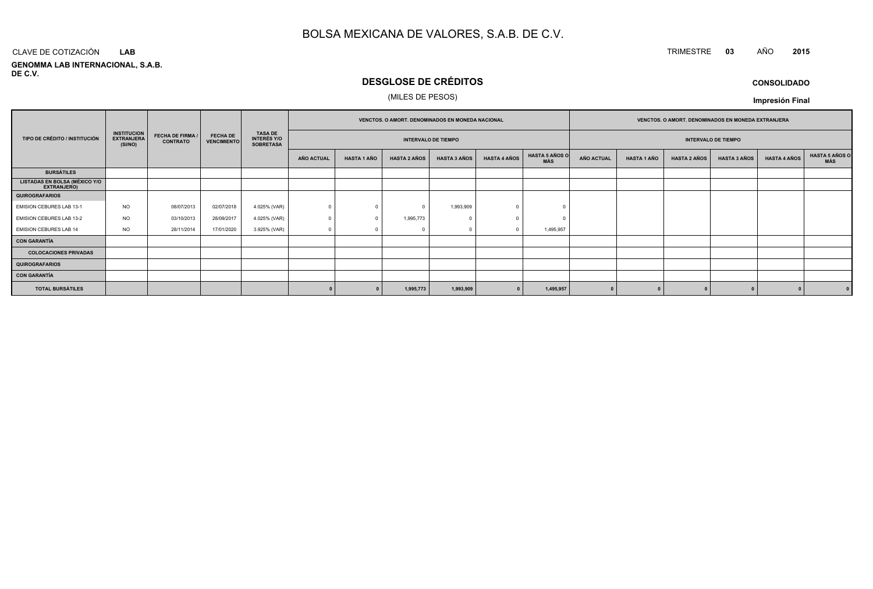# TRIMESTRE **<sup>03</sup>** AÑO **<sup>2015</sup>**

**GENOMMA LAB INTERNACIONAL, S.A.B. DE C.V.**CLAVE DE COTIZACIÓN**LAB**

# **DESGLOSE DE CRÉDITOS**

### (MILES DE PESOS)

**CONSOLIDADOImpresión Final**

|                                                     |                                                    |                                            |                                       |                                                          | VENCTOS. O AMORT. DENOMINADOS EN MONEDA NACIONAL |                            |                     |                     |                            | <b>VENCTOS, O AMORT, DENOMINADOS EN MONEDA EXTRANJERA</b> |                   |                    |                     |                     |                     |                       |
|-----------------------------------------------------|----------------------------------------------------|--------------------------------------------|---------------------------------------|----------------------------------------------------------|--------------------------------------------------|----------------------------|---------------------|---------------------|----------------------------|-----------------------------------------------------------|-------------------|--------------------|---------------------|---------------------|---------------------|-----------------------|
| TIPO DE CRÉDITO / INSTITUCIÓN                       | <b>INSTITUCION</b><br><b>EXTRANJERA</b><br>(SI/NO) | <b>FECHA DE FIRMA /</b><br><b>CONTRATO</b> | <b>FECHA DE</b><br><b>VENCIMIENTO</b> | <b>TASA DE</b><br><b>INTERÉS Y/O</b><br><b>SOBRETASA</b> |                                                  | <b>INTERVALO DE TIEMPO</b> |                     |                     | <b>INTERVALO DE TIEMPO</b> |                                                           |                   |                    |                     |                     |                     |                       |
|                                                     |                                                    |                                            |                                       |                                                          | AÑO ACTUAL                                       | <b>HASTA 1 AÑO</b>         | <b>HASTA 2 AÑOS</b> | <b>HASTA 3 AÑOS</b> | <b>HASTA 4 AÑOS</b>        | <b>HASTA 5 AÑOS O</b><br>MÁS                              | <b>AÑO ACTUAL</b> | <b>HASTA 1 AÑO</b> | <b>HASTA 2 AÑOS</b> | <b>HASTA 3 AÑOS</b> | <b>HASTA 4 AÑOS</b> | HASTA 5 AÑOS C<br>MÁS |
| <b>BURSÁTILES</b>                                   |                                                    |                                            |                                       |                                                          |                                                  |                            |                     |                     |                            |                                                           |                   |                    |                     |                     |                     |                       |
| <b>LISTADAS EN BOLSA (MÉXICO Y/O</b><br>EXTRANJERO) |                                                    |                                            |                                       |                                                          |                                                  |                            |                     |                     |                            |                                                           |                   |                    |                     |                     |                     |                       |
| <b>QUIROGRAFARIOS</b>                               |                                                    |                                            |                                       |                                                          |                                                  |                            |                     |                     |                            |                                                           |                   |                    |                     |                     |                     |                       |
| <b>EMISION CEBURES LAB 13-1</b>                     | <b>NO</b>                                          | 08/07/2013                                 | 02/07/2018                            | 4.025% (VAR)                                             | $\Omega$                                         |                            | $\Omega$            | 1,993,909           | $\Omega$                   |                                                           |                   |                    |                     |                     |                     |                       |
| EMISION CEBURES LAB 13-2                            | <b>NO</b>                                          | 03/10/2013                                 | 28/09/2017                            | 4.025% (VAR)                                             |                                                  |                            | 1,995,773           |                     | $\Omega$                   |                                                           |                   |                    |                     |                     |                     |                       |
| <b>EMISION CEBURES LAB 14</b>                       | <b>NO</b>                                          | 28/11/2014                                 | 17/01/2020                            | 3.925% (VAR)                                             |                                                  |                            |                     |                     | $\Omega$                   | 1,495,957                                                 |                   |                    |                     |                     |                     |                       |
| <b>CON GARANTÍA</b>                                 |                                                    |                                            |                                       |                                                          |                                                  |                            |                     |                     |                            |                                                           |                   |                    |                     |                     |                     |                       |
| <b>COLOCACIONES PRIVADAS</b>                        |                                                    |                                            |                                       |                                                          |                                                  |                            |                     |                     |                            |                                                           |                   |                    |                     |                     |                     |                       |
| <b>QUIROGRAFARIOS</b>                               |                                                    |                                            |                                       |                                                          |                                                  |                            |                     |                     |                            |                                                           |                   |                    |                     |                     |                     |                       |
| <b>CON GARANTÍA</b>                                 |                                                    |                                            |                                       |                                                          |                                                  |                            |                     |                     |                            |                                                           |                   |                    |                     |                     |                     |                       |
| <b>TOTAL BURSÁTILES</b>                             |                                                    |                                            |                                       |                                                          |                                                  |                            | 1,995,773           | 1,993,909           |                            | 1,495,957                                                 |                   |                    |                     |                     |                     |                       |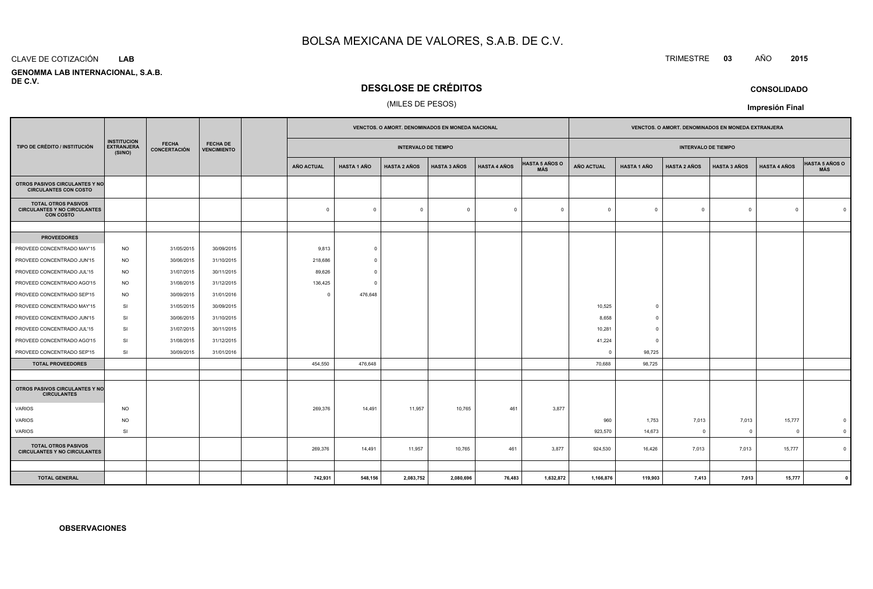#### CLAVE DE COTIZACIÓN**LAB**

 **GENOMMA LAB INTERNACIONAL, S.A.B.DE C.V.**

## **DESGLOSE DE CRÉDITOS**

### (MILES DE PESOS)

|                                                                                       |                                                    |                                     |                                       |  | <b>VENCTOS, O AMORT, DENOMINADOS EN MONEDA NACIONAL</b> |                    |                            |                     |                     |                              |                   | <b>VENCTOS, O AMORT, DENOMINADOS EN MONEDA EXTRANJERA</b> |                            |                     |                     |                              |
|---------------------------------------------------------------------------------------|----------------------------------------------------|-------------------------------------|---------------------------------------|--|---------------------------------------------------------|--------------------|----------------------------|---------------------|---------------------|------------------------------|-------------------|-----------------------------------------------------------|----------------------------|---------------------|---------------------|------------------------------|
| TIPO DE CRÉDITO / INSTITUCIÓN                                                         | <b>INSTITUCION</b><br><b>EXTRANJERA</b><br>(SI/NO) | <b>FECHA</b><br><b>CONCERTACIÓN</b> | <b>FECHA DE</b><br><b>VENCIMIENTO</b> |  |                                                         |                    | <b>INTERVALO DE TIEMPO</b> |                     |                     |                              |                   |                                                           | <b>INTERVALO DE TIEMPO</b> |                     |                     |                              |
|                                                                                       |                                                    |                                     |                                       |  | <b>AÑO ACTUAL</b>                                       | <b>HASTA 1 AÑO</b> | <b>HASTA 2 AÑOS</b>        | <b>HASTA 3 AÑOS</b> | <b>HASTA 4 AÑOS</b> | <b>HASTA 5 AÑOS O</b><br>MÁS | <b>AÑO ACTUAL</b> | <b>HASTA 1 AÑO</b>                                        | <b>HASTA 2 AÑOS</b>        | <b>HASTA 3 AÑOS</b> | <b>HASTA 4 AÑOS</b> | <b>HASTA 5 AÑOS O</b><br>MÁS |
| OTROS PASIVOS CIRCULANTES Y NO<br><b>CIRCULANTES CON COSTO</b>                        |                                                    |                                     |                                       |  |                                                         |                    |                            |                     |                     |                              |                   |                                                           |                            |                     |                     |                              |
| <b>TOTAL OTROS PASIVOS</b><br><b>CIRCULANTES Y NO CIRCULANTES</b><br><b>CON COSTO</b> |                                                    |                                     |                                       |  | $\mathbf 0$                                             | $\Omega$           | $\mathbf 0$                | $\overline{0}$      | $\Omega$            | $\overline{0}$               | $\mathbf{0}$      | $\mathbf 0$                                               | $\Omega$                   | $^{\circ}$          | $\Omega$            | $\Omega$                     |
|                                                                                       |                                                    |                                     |                                       |  |                                                         |                    |                            |                     |                     |                              |                   |                                                           |                            |                     |                     |                              |
| <b>PROVEEDORES</b>                                                                    |                                                    |                                     |                                       |  |                                                         |                    |                            |                     |                     |                              |                   |                                                           |                            |                     |                     |                              |
| PROVEED CONCENTRADO MAY'15                                                            | <b>NO</b>                                          | 31/05/2015                          | 30/09/2015                            |  | 9,813                                                   | $\Omega$           |                            |                     |                     |                              |                   |                                                           |                            |                     |                     |                              |
| PROVEED CONCENTRADO JUN'15                                                            | <b>NO</b>                                          | 30/06/2015                          | 31/10/2015                            |  | 218,686                                                 | $^{\circ}$         |                            |                     |                     |                              |                   |                                                           |                            |                     |                     |                              |
| PROVEED CONCENTRADO JUL'15                                                            | <b>NO</b>                                          | 31/07/2015                          | 30/11/2015                            |  | 89,626                                                  | $\Omega$           |                            |                     |                     |                              |                   |                                                           |                            |                     |                     |                              |
| PROVEED CONCENTRADO AGO'15                                                            | <b>NO</b>                                          | 31/08/2015                          | 31/12/2015                            |  | 136,425                                                 | $\Omega$           |                            |                     |                     |                              |                   |                                                           |                            |                     |                     |                              |
| PROVEED CONCENTRADO SEP'15                                                            | <b>NO</b>                                          | 30/09/2015                          | 31/01/2016                            |  | $\Omega$                                                | 476,648            |                            |                     |                     |                              |                   |                                                           |                            |                     |                     |                              |
| PROVEED CONCENTRADO MAY'15                                                            | SI                                                 | 31/05/2015                          | 30/09/2015                            |  |                                                         |                    |                            |                     |                     |                              | 10,525            | $\overline{0}$                                            |                            |                     |                     |                              |
| PROVEED CONCENTRADO JUN'15                                                            | SI                                                 | 30/06/2015                          | 31/10/2015                            |  |                                                         |                    |                            |                     |                     |                              | 8,658             | $\overline{0}$                                            |                            |                     |                     |                              |
| PROVEED CONCENTRADO JUL'15                                                            | <b>SI</b>                                          | 31/07/2015                          | 30/11/2015                            |  |                                                         |                    |                            |                     |                     |                              | 10,281            | $\Omega$                                                  |                            |                     |                     |                              |
| PROVEED CONCENTRADO AGO'15                                                            | SI                                                 | 31/08/2015                          | 31/12/2015                            |  |                                                         |                    |                            |                     |                     |                              | 41,224            | $\overline{0}$                                            |                            |                     |                     |                              |
| PROVEED CONCENTRADO SEP'15                                                            | SI                                                 | 30/09/2015                          | 31/01/2016                            |  |                                                         |                    |                            |                     |                     |                              | $\Omega$          | 98,725                                                    |                            |                     |                     |                              |
| <b>TOTAL PROVEEDORES</b>                                                              |                                                    |                                     |                                       |  | 454,550                                                 | 476,648            |                            |                     |                     |                              | 70,688            | 98,725                                                    |                            |                     |                     |                              |
|                                                                                       |                                                    |                                     |                                       |  |                                                         |                    |                            |                     |                     |                              |                   |                                                           |                            |                     |                     |                              |
| OTROS PASIVOS CIRCULANTES Y NO<br><b>CIRCULANTES</b>                                  |                                                    |                                     |                                       |  |                                                         |                    |                            |                     |                     |                              |                   |                                                           |                            |                     |                     |                              |
| VARIOS                                                                                | <b>NO</b>                                          |                                     |                                       |  | 269,376                                                 | 14,491             | 11,957                     | 10,765              | 461                 | 3,877                        |                   |                                                           |                            |                     |                     |                              |
| <b>VARIOS</b>                                                                         | <b>NO</b>                                          |                                     |                                       |  |                                                         |                    |                            |                     |                     |                              | 960               | 1,753                                                     | 7,013                      | 7,013               | 15,777              | $\mathbf 0$                  |
| VARIOS                                                                                | SI                                                 |                                     |                                       |  |                                                         |                    |                            |                     |                     |                              | 923,570           | 14,673                                                    | $\mathbf{0}$               | $\overline{0}$      | $\overline{0}$      | $\overline{\mathbf{0}}$      |
| <b>TOTAL OTROS PASIVOS</b><br><b>CIRCULANTES Y NO CIRCULANTES</b>                     |                                                    |                                     |                                       |  | 269,376                                                 | 14,491             | 11,957                     | 10,765              | 461                 | 3,877                        | 924,530           | 16,426                                                    | 7,013                      | 7,013               | 15,777              | $\Omega$                     |
|                                                                                       |                                                    |                                     |                                       |  |                                                         |                    |                            |                     |                     |                              |                   |                                                           |                            |                     |                     |                              |
| <b>TOTAL GENERAL</b>                                                                  |                                                    |                                     |                                       |  | 742,931                                                 | 548,156            | 2,083,752                  | 2,080,696           | 76,483              | 1,632,872                    | 1,166,876         | 119,903                                                   | 7,413                      | 7,013               | 15,777              |                              |

**CONSOLIDADO**

**Impresión Final**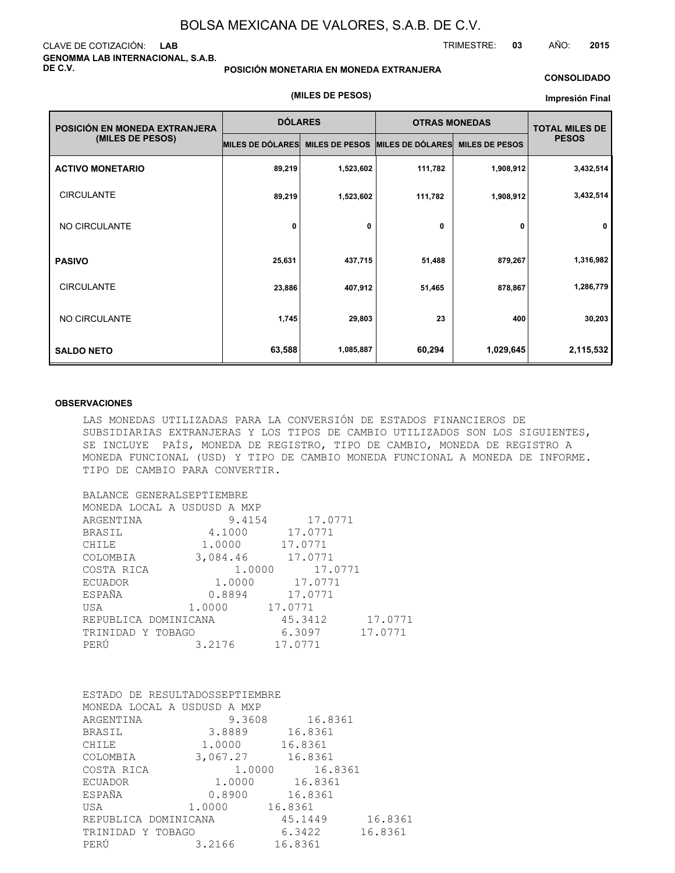### CLAVE DE COTIZACIÓN: **LAB GENOMMA LAB INTERNACIONAL, S.A.B. DE C.V.**

### **POSICIÓN MONETARIA EN MONEDA EXTRANJERA**

#### **CONSOLIDADO**

TRIMESTRE: **03** AÑO: **2015**

#### **(MILES DE PESOS)**

#### **Impresión Final**

| POSICIÓN EN MONEDA EXTRANJERA | <b>DÓLARES</b>   |                       | <b>OTRAS MONEDAS</b>    |                       | <b>TOTAL MILES DE</b> |  |
|-------------------------------|------------------|-----------------------|-------------------------|-----------------------|-----------------------|--|
| (MILES DE PESOS)              | MILES DE DÓLARES | <b>MILES DE PESOS</b> | <b>MILES DE DÓLARES</b> | <b>MILES DE PESOS</b> | <b>PESOS</b>          |  |
| <b>ACTIVO MONETARIO</b>       | 89,219           | 1,523,602             | 111,782                 | 1,908,912             | 3,432,514             |  |
| <b>CIRCULANTE</b>             | 89,219           | 1,523,602             | 111,782                 | 1,908,912             | 3,432,514             |  |
| NO CIRCULANTE                 | 0                | 0                     | 0                       | 0                     | 0                     |  |
| <b>PASIVO</b>                 | 25,631           | 437,715               | 51,488                  | 879,267               | 1,316,982             |  |
| <b>CIRCULANTE</b>             | 23,886           | 407,912               | 51,465                  | 878,867               | 1,286,779             |  |
| NO CIRCULANTE                 | 1,745            | 29,803                | 23                      | 400                   | 30,203                |  |
| <b>SALDO NETO</b>             | 63,588           | 1,085,887             | 60,294                  | 1,029,645             | 2,115,532             |  |

#### **OBSERVACIONES**

LAS MONEDAS UTILIZADAS PARA LA CONVERSIÓN DE ESTADOS FINANCIEROS DE SUBSIDIARIAS EXTRANJERAS Y LOS TIPOS DE CAMBIO UTILIZADOS SON LOS SIGUIENTES, SE INCLUYE PAÍS, MONEDA DE REGISTRO, TIPO DE CAMBIO, MONEDA DE REGISTRO A MONEDA FUNCIONAL (USD) Y TIPO DE CAMBIO MONEDA FUNCIONAL A MONEDA DE INFORME. TIPO DE CAMBIO PARA CONVERTIR.

| BALANCE GENERALSEPTIEMBRE   |                |                  |  |
|-----------------------------|----------------|------------------|--|
| MONEDA LOCAL A USDUSD A MXP |                |                  |  |
| ARGENTINA                   |                | 9.4154 17.0771   |  |
| BRASIL                      |                | 4.1000 17.0771   |  |
| CHILE                       |                | 1.0000 17.0771   |  |
| COLOMBIA                    |                | 3,084.46 17.0771 |  |
| COSTA RICA                  |                | 1.0000 17.0771   |  |
| ECUADOR                     |                | 1.0000 17.0771   |  |
| ESPAÑA                      |                | 0.8894 17.0771   |  |
| USA                         | 1.0000 17.0771 |                  |  |
| REPUBLICA DOMINICANA        |                | 45.3412 17.0771  |  |
| TRINIDAD Y TOBAGO           |                | 6.3097 17.0771   |  |
| PERÚ                        | 3.2176         | 17.0771          |  |

| ESTADO DE RESULTADOSSEPTIEMBRE |          |                |         |
|--------------------------------|----------|----------------|---------|
| MONEDA LOCAL A USDUSD A MXP    |          |                |         |
| ARGENTINA                      | 9.3608   | 16.8361        |         |
| BRASIL                         | 3.8889   | 16.8361        |         |
| CHILE                          | 1.0000   | 16.8361        |         |
| COLOMBIA                       | 3,067.27 | 16.8361        |         |
| COSTA RICA                     | 1,0000   | 16.8361        |         |
| <b>ECUADOR</b>                 |          | 1.0000 16.8361 |         |
| ESPAÑA                         | 0.8900   | 16.8361        |         |
| USA                            | 1,0000   | 16.8361        |         |
| REPUBLICA DOMINICANA           |          | 45.1449        | 16.8361 |
| TRINIDAD Y TOBAGO              |          | 6.3422         | 16.8361 |
| PERÚ                           | 3,2166   | 16.8361        |         |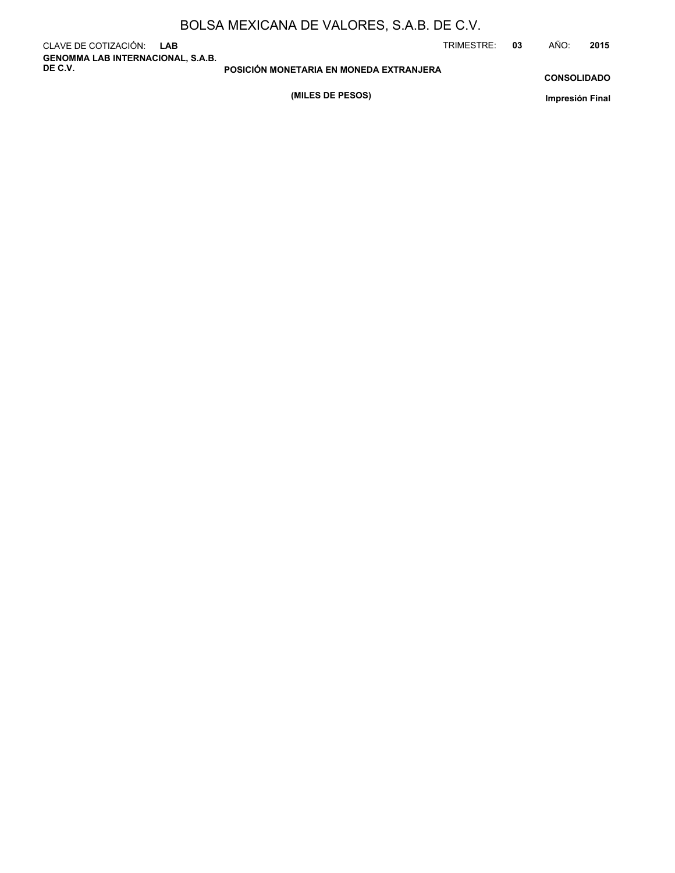|  | BOLSA MEXICANA DE VALORES, S.A.B. DE C.V. |
|--|-------------------------------------------|
|--|-------------------------------------------|

CLAVE DE COTIZACIÓN: **LAB GENOMMA LAB INTERNACIONAL, S.A.B. DE C.V.**

TRIMESTRE: **03** AÑO: **2015**

**CONSOLIDADO**

**(MILES DE PESOS)**

**POSICIÓN MONETARIA EN MONEDA EXTRANJERA**

**Impresión Final**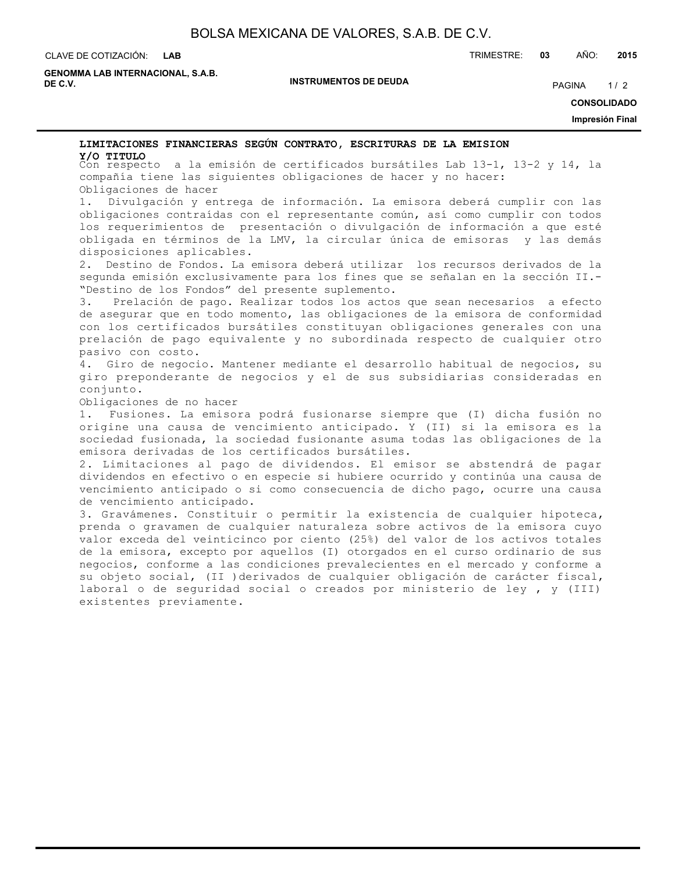#### CLAVE DE COTIZACIÓN: TRIMESTRE: **03** AÑO: **2015 LAB**

**GENOMMA LAB INTERNACIONAL, S.A.B. DE C.V.** PAGINA 1/2

**INSTRUMENTOS DE DEUDA**

**CONSOLIDADO**

**Impresión Final**

# **LIMITACIONES FINANCIERAS SEGÚN CONTRATO, ESCRITURAS DE LA EMISION**

Con respecto a la emisión de certificados bursátiles Lab 13-1, 13-2 y 14, la **Y/O TITULO**compañía tiene las siguientes obligaciones de hacer y no hacer: Obligaciones de hacer

1. Divulgación y entrega de información. La emisora deberá cumplir con las obligaciones contraídas con el representante común, así como cumplir con todos los requerimientos de presentación o divulgación de información a que esté obligada en términos de la LMV, la circular única de emisoras y las demás disposiciones aplicables.

2. Destino de Fondos. La emisora deberá utilizar los recursos derivados de la segunda emisión exclusivamente para los fines que se señalan en la sección II.- "Destino de los Fondos" del presente suplemento.

3. Prelación de pago. Realizar todos los actos que sean necesarios a efecto de asegurar que en todo momento, las obligaciones de la emisora de conformidad con los certificados bursátiles constituyan obligaciones generales con una prelación de pago equivalente y no subordinada respecto de cualquier otro pasivo con costo.

4. Giro de negocio. Mantener mediante el desarrollo habitual de negocios, su giro preponderante de negocios y el de sus subsidiarias consideradas en conjunto.

Obligaciones de no hacer

1. Fusiones. La emisora podrá fusionarse siempre que (I) dicha fusión no origine una causa de vencimiento anticipado. Y (II) si la emisora es la sociedad fusionada, la sociedad fusionante asuma todas las obligaciones de la emisora derivadas de los certificados bursátiles.

2. Limitaciones al pago de dividendos. El emisor se abstendrá de pagar dividendos en efectivo o en especie si hubiere ocurrido y continúa una causa de vencimiento anticipado o si como consecuencia de dicho pago, ocurre una causa de vencimiento anticipado.

3. Gravámenes. Constituir o permitir la existencia de cualquier hipoteca, prenda o gravamen de cualquier naturaleza sobre activos de la emisora cuyo valor exceda del veinticinco por ciento (25%) del valor de los activos totales de la emisora, excepto por aquellos (I) otorgados en el curso ordinario de sus negocios, conforme a las condiciones prevalecientes en el mercado y conforme a su objeto social, (II )derivados de cualquier obligación de carácter fiscal, laboral o de seguridad social o creados por ministerio de ley , y (III) existentes previamente.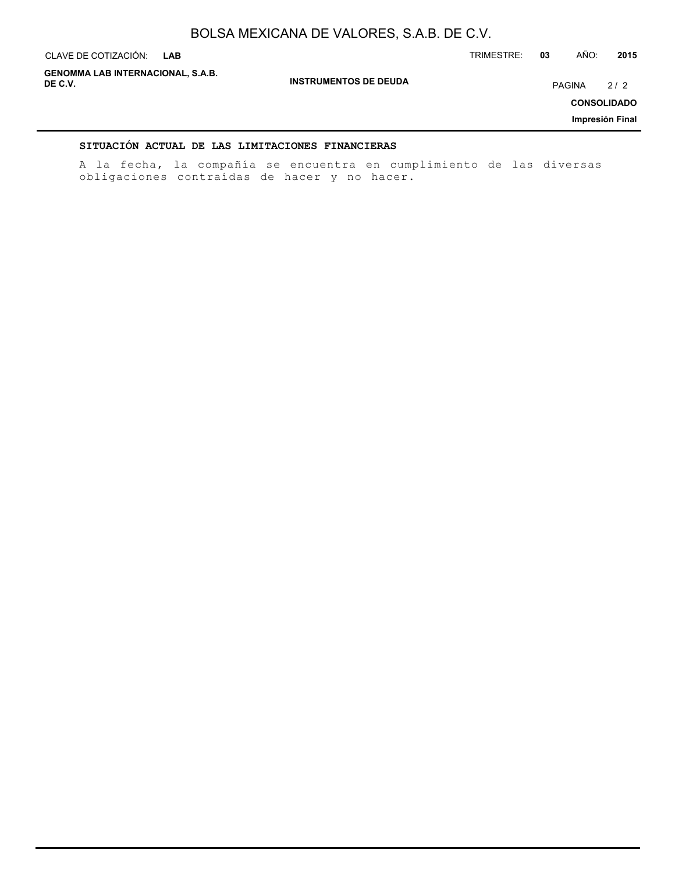| CLAVE DE COTIZACIÓN:<br><b>LAB</b>                  |                              | TRIMESTRE: | 03            | AÑO: | 2015               |
|-----------------------------------------------------|------------------------------|------------|---------------|------|--------------------|
| <b>GENOMMA LAB INTERNACIONAL, S.A.B.</b><br>DE C.V. | <b>INSTRUMENTOS DE DEUDA</b> |            | <b>PAGINA</b> |      | 2/2                |
|                                                     |                              |            |               |      | <b>CONSOLIDADO</b> |
|                                                     |                              |            |               |      | Impresión Final    |
|                                                     |                              |            |               |      |                    |

### **SITUACIÓN ACTUAL DE LAS LIMITACIONES FINANCIERAS**

A la fecha, la compañía se encuentra en cumplimiento de las diversas obligaciones contraídas de hacer y no hacer.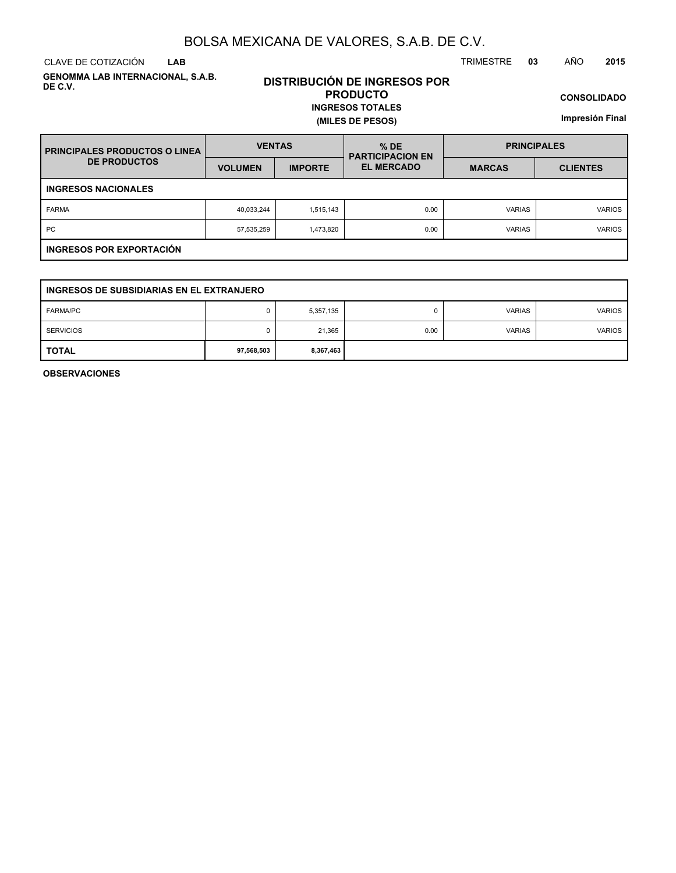CLAVE DE COTIZACIÓN TRIMESTRE **03** AÑO **2015 LAB**

**GENOMMA LAB INTERNACIONAL, S.A.B. DE C.V.**

### **DISTRIBUCIÓN DE INGRESOS POR PRODUCTO INGRESOS TOTALES**

**(MILES DE PESOS)**

**CONSOLIDADO**

**Impresión Final**

| <b>PRINCIPALES PRODUCTOS O LINEA</b> | <b>VENTAS</b>  |                | $%$ DE<br><b>PARTICIPACION EN</b> | <b>PRINCIPALES</b> |                 |  |  |
|--------------------------------------|----------------|----------------|-----------------------------------|--------------------|-----------------|--|--|
| <b>DE PRODUCTOS</b>                  | <b>VOLUMEN</b> | <b>IMPORTE</b> | <b>EL MERCADO</b>                 | <b>MARCAS</b>      | <b>CLIENTES</b> |  |  |
| <b>INGRESOS NACIONALES</b>           |                |                |                                   |                    |                 |  |  |
| <b>FARMA</b>                         | 40,033,244     | 1,515,143      | 0.00                              | <b>VARIAS</b>      | <b>VARIOS</b>   |  |  |
| PC                                   | 57,535,259     | 1,473,820      | 0.00                              | <b>VARIAS</b>      | <b>VARIOS</b>   |  |  |
| INGRESOS POR EXPORTACIÓN             |                |                |                                   |                    |                 |  |  |

| INGRESOS DE SUBSIDIARIAS EN EL EXTRANJERO |            |           |      |               |               |  |
|-------------------------------------------|------------|-----------|------|---------------|---------------|--|
| <b>FARMA/PC</b>                           |            | 5,357,135 | 0    | <b>VARIAS</b> | <b>VARIOS</b> |  |
| <b>SERVICIOS</b>                          |            | 21,365    | 0.00 | <b>VARIAS</b> | <b>VARIOS</b> |  |
| <b>TOTAL</b>                              | 97,568,503 | 8,367,463 |      |               |               |  |

**OBSERVACIONES**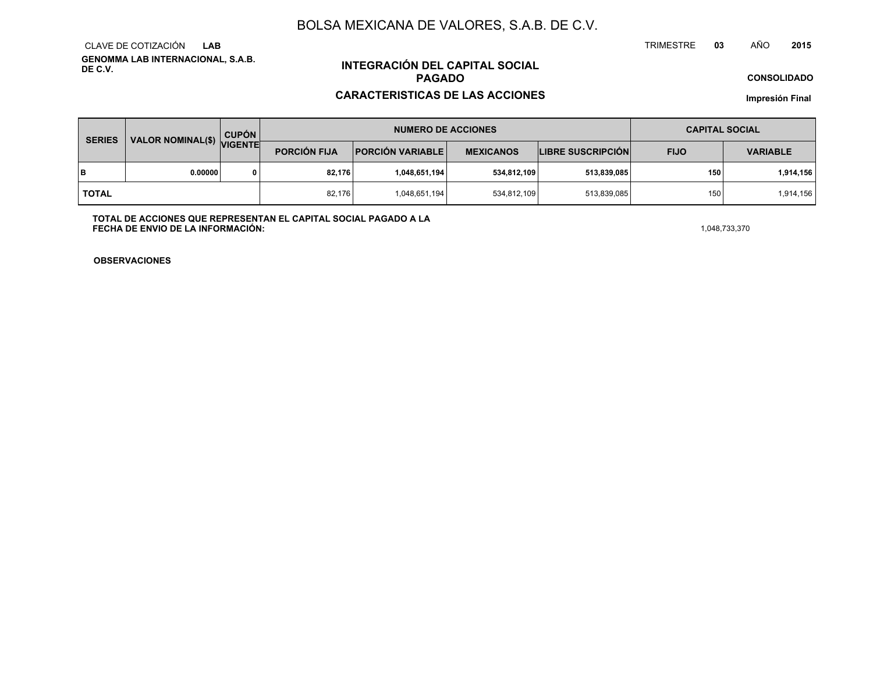**GENOMMA LAB INTERNACIONAL, S.A.B. DE C.V.**CLAVE DE COTIZACIÓN**LAB**

# **INTEGRACIÓN DEL CAPITAL SOCIALPAGADO**

### **CARACTERISTICAS DE LAS ACCIONES**

**CONSOLIDADO**

**Impresión Final**

| <b>SERIES</b> |                           | <b>CUPÓN</b> | <b>NUMERO DE ACCIONES</b> |                         |                  |                          | <b>CAPITAL SOCIAL</b> |                 |  |
|---------------|---------------------------|--------------|---------------------------|-------------------------|------------------|--------------------------|-----------------------|-----------------|--|
|               | VALOR NOMINAL(\$) VIGENTE |              | <b>PORCIÓN FIJA</b>       | <b>PORCIÓN VARIABLE</b> | <b>MEXICANOS</b> | <b>LIBRE SUSCRIPCIÓN</b> | <b>FIJO</b>           | <b>VARIABLE</b> |  |
| lв            | 0.00000                   |              | 82,176                    | 1,048,651,194           | 534,812,109      | 513,839,085              | 150                   | 1,914,156       |  |
| <b>TOTAL</b>  |                           |              | 82,176                    | 1,048,651,194           | 534,812,109      | 513,839,085              | 150                   | 1,914,156       |  |

**TOTAL DE ACCIONES QUE REPRESENTAN EL CAPITAL SOCIAL PAGADO A LAFECHA DE ENVIO DE LA INFORMACIÓN:** $1,048,733,370$ 

TRIMESTRE

**OBSERVACIONES**

 **<sup>03</sup>** AÑO**<sup>2015</sup>**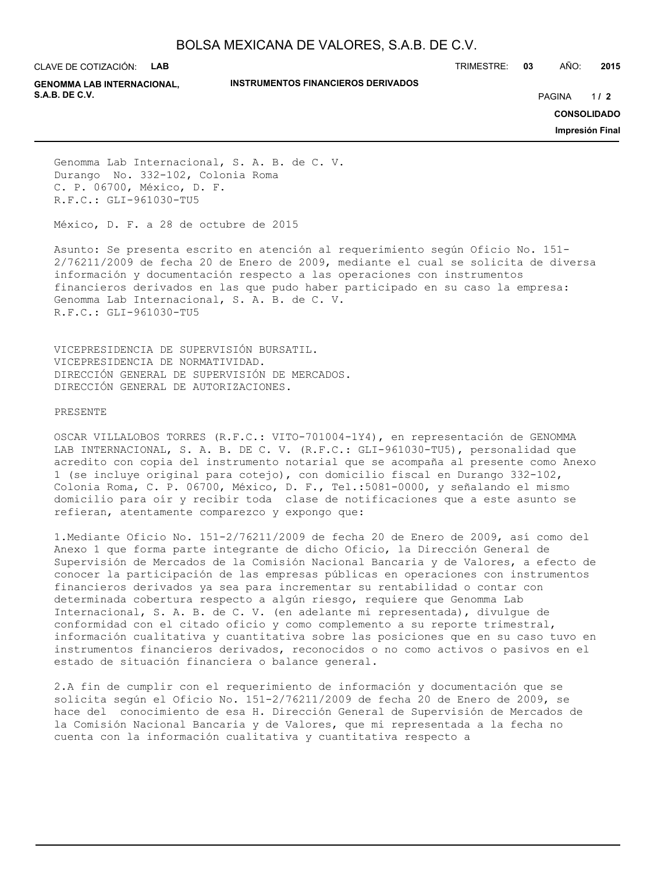CLAVE DE COTIZACIÓN: **LAB**

TRIMESTRE: **03** AÑO: **2015**

**GENOMMA LAB INTERNACIONAL, S.A.B. DE C.V.** PAGINA **/ 2**

#### **INSTRUMENTOS FINANCIEROS DERIVADOS**

 $1/2$ 

**CONSOLIDADO**

**Impresión Final**

Genomma Lab Internacional, S. A. B. de C. V. Durango No. 332-102, Colonia Roma C. P. 06700, México, D. F. R.F.C.: GLI-961030-TU5

México, D. F. a 28 de octubre de 2015

Asunto: Se presenta escrito en atención al requerimiento según Oficio No. 151- 2/76211/2009 de fecha 20 de Enero de 2009, mediante el cual se solicita de diversa información y documentación respecto a las operaciones con instrumentos financieros derivados en las que pudo haber participado en su caso la empresa: Genomma Lab Internacional, S. A. B. de C. V. R.F.C.: GLI-961030-TU5

VICEPRESIDENCIA DE SUPERVISIÓN BURSATIL. VICEPRESIDENCIA DE NORMATIVIDAD. DIRECCIÓN GENERAL DE SUPERVISIÓN DE MERCADOS. DIRECCIÓN GENERAL DE AUTORIZACIONES.

#### PRESENTE

OSCAR VILLALOBOS TORRES (R.F.C.: VITO-701004-1Y4), en representación de GENOMMA LAB INTERNACIONAL, S. A. B. DE C. V. (R.F.C.: GLI-961030-TU5), personalidad que acredito con copia del instrumento notarial que se acompaña al presente como Anexo 1 (se incluye original para cotejo), con domicilio fiscal en Durango 332-102, Colonia Roma, C. P. 06700, México, D. F., Tel.:5081-0000, y señalando el mismo domicilio para oír y recibir toda clase de notificaciones que a este asunto se refieran, atentamente comparezco y expongo que:

1.Mediante Oficio No. 151-2/76211/2009 de fecha 20 de Enero de 2009, así como del Anexo 1 que forma parte integrante de dicho Oficio, la Dirección General de Supervisión de Mercados de la Comisión Nacional Bancaria y de Valores, a efecto de conocer la participación de las empresas públicas en operaciones con instrumentos financieros derivados ya sea para incrementar su rentabilidad o contar con determinada cobertura respecto a algún riesgo, requiere que Genomma Lab Internacional, S. A. B. de C. V. (en adelante mi representada), divulgue de conformidad con el citado oficio y como complemento a su reporte trimestral, información cualitativa y cuantitativa sobre las posiciones que en su caso tuvo en instrumentos financieros derivados, reconocidos o no como activos o pasivos en el estado de situación financiera o balance general.

2.A fin de cumplir con el requerimiento de información y documentación que se solicita según el Oficio No. 151-2/76211/2009 de fecha 20 de Enero de 2009, se hace del conocimiento de esa H. Dirección General de Supervisión de Mercados de la Comisión Nacional Bancaria y de Valores, que mi representada a la fecha no cuenta con la información cualitativa y cuantitativa respecto a